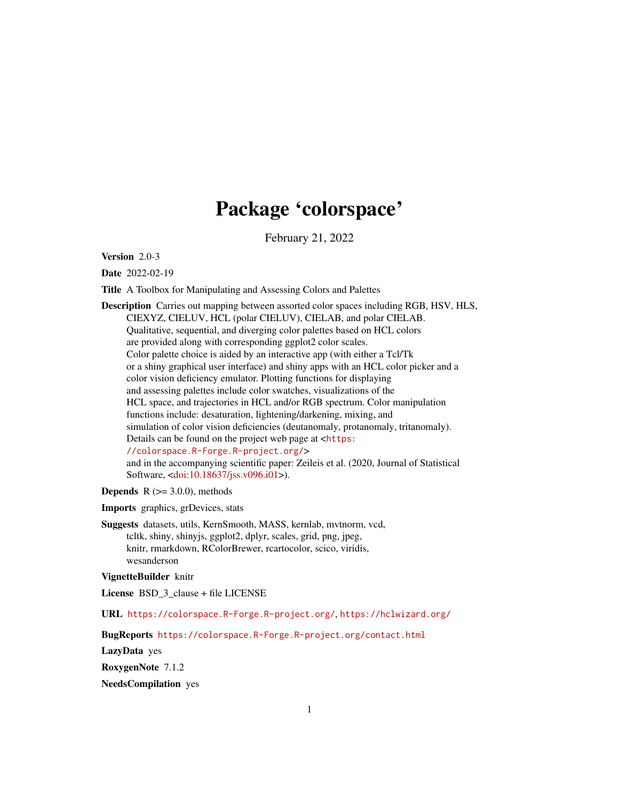# Package 'colorspace'

February 21, 2022

<span id="page-0-0"></span>Version 2.0-3

Date 2022-02-19

Title A Toolbox for Manipulating and Assessing Colors and Palettes

Description Carries out mapping between assorted color spaces including RGB, HSV, HLS, CIEXYZ, CIELUV, HCL (polar CIELUV), CIELAB, and polar CIELAB. Qualitative, sequential, and diverging color palettes based on HCL colors are provided along with corresponding ggplot2 color scales. Color palette choice is aided by an interactive app (with either a Tcl/Tk or a shiny graphical user interface) and shiny apps with an HCL color picker and a color vision deficiency emulator. Plotting functions for displaying and assessing palettes include color swatches, visualizations of the HCL space, and trajectories in HCL and/or RGB spectrum. Color manipulation functions include: desaturation, lightening/darkening, mixing, and simulation of color vision deficiencies (deutanomaly, protanomaly, tritanomaly). Details can be found on the project web page at <[https:](https://colorspace.R-Forge.R-project.org/) [//colorspace.R-Forge.R-project.org/](https://colorspace.R-Forge.R-project.org/)> and in the accompanying scientific paper: Zeileis et al. (2020, Journal of Statistical Software, [<doi:10.18637/jss.v096.i01>](https://doi.org/10.18637/jss.v096.i01)).

**Depends** R  $(>= 3.0.0)$ , methods

Imports graphics, grDevices, stats

Suggests datasets, utils, KernSmooth, MASS, kernlab, mvtnorm, vcd, tcltk, shiny, shinyjs, ggplot2, dplyr, scales, grid, png, jpeg, knitr, rmarkdown, RColorBrewer, rcartocolor, scico, viridis, wesanderson

VignetteBuilder knitr

License BSD\_3\_clause + file LICENSE

URL <https://colorspace.R-Forge.R-project.org/>, <https://hclwizard.org/>

BugReports <https://colorspace.R-Forge.R-project.org/contact.html>

LazyData yes

RoxygenNote 7.1.2

NeedsCompilation yes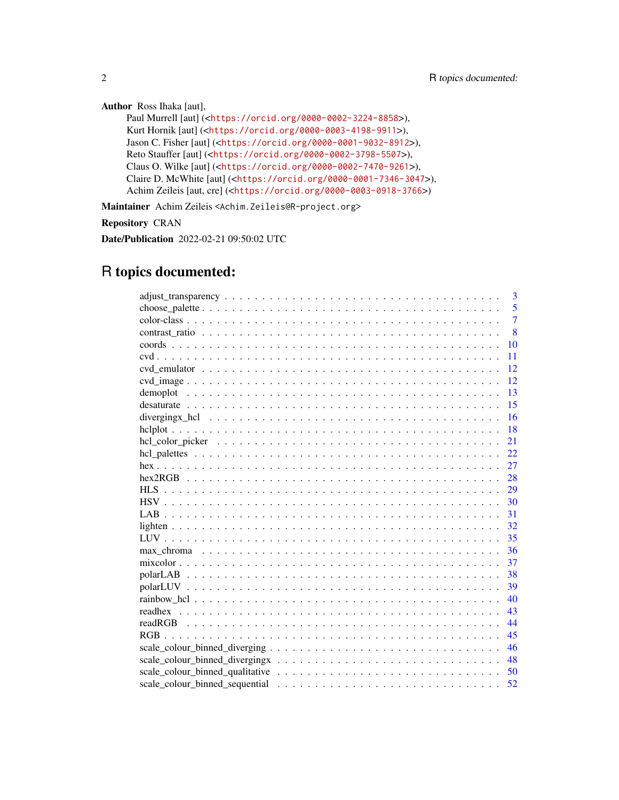Author Ross Ihaka [aut], Paul Murrell [aut] (<<https://orcid.org/0000-0002-3224-8858>>), Kurt Hornik [aut] (<<https://orcid.org/0000-0003-4198-9911>>), Jason C. Fisher [aut] (<<https://orcid.org/0000-0001-9032-8912>>), Reto Stauffer [aut] (<<https://orcid.org/0000-0002-3798-5507>>), Claus O. Wilke [aut] (<<https://orcid.org/0000-0002-7470-9261>>), Claire D. McWhite [aut] (<<https://orcid.org/0000-0001-7346-3047>>), Achim Zeileis [aut, cre] (<<https://orcid.org/0000-0003-0918-3766>>)

Maintainer Achim Zeileis <Achim.Zeileis@R-project.org>

Repository CRAN

Date/Publication 2022-02-21 09:50:02 UTC

# R topics documented: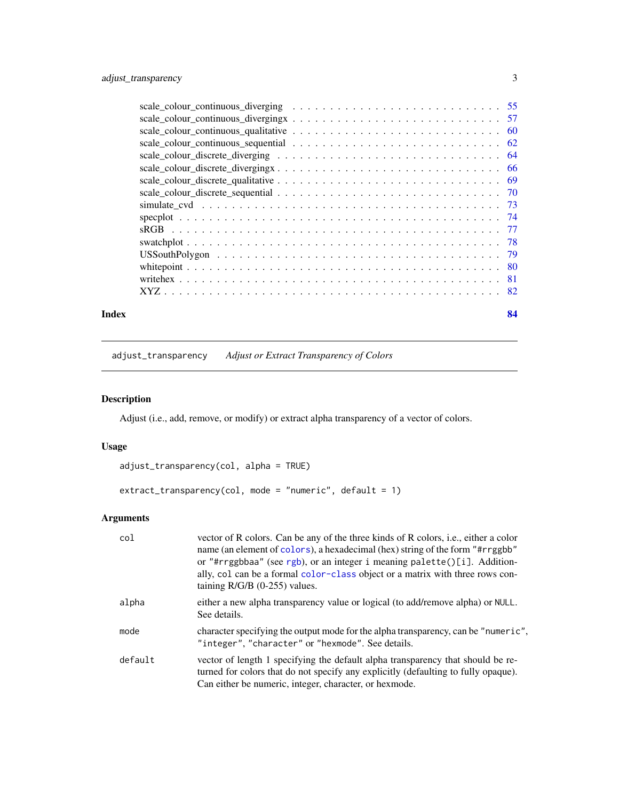<span id="page-2-0"></span>

| Index | 84 |
|-------|----|
|       |    |
|       |    |
|       |    |
|       |    |
|       |    |
|       |    |
|       |    |
|       |    |
|       |    |
|       |    |
|       |    |
|       |    |
|       |    |
|       |    |
|       |    |
|       |    |

adjust\_transparency *Adjust or Extract Transparency of Colors*

## Description

Adjust (i.e., add, remove, or modify) or extract alpha transparency of a vector of colors.

## Usage

```
adjust_transparency(col, alpha = TRUE)
```
extract\_transparency(col, mode = "numeric", default = 1)

## Arguments

| col     | vector of R colors. Can be any of the three kinds of R colors, <i>i.e.</i> , either a color<br>name (an element of colors), a hexadecimal (hex) string of the form "#rrggbb"<br>or "#rrggbbaa" (see rgb), or an integer i meaning palette()[i]. Addition-<br>ally, col can be a formal color-class object or a matrix with three rows con-<br>taining $R/G/B$ (0-255) values. |
|---------|-------------------------------------------------------------------------------------------------------------------------------------------------------------------------------------------------------------------------------------------------------------------------------------------------------------------------------------------------------------------------------|
| alpha   | either a new alpha transparency value or logical (to add/remove alpha) or NULL.<br>See details.                                                                                                                                                                                                                                                                               |
| mode    | character specifying the output mode for the alpha transparency, can be "numeric",<br>"integer", "character" or "hexmode". See details.                                                                                                                                                                                                                                       |
| default | vector of length 1 specifying the default alpha transparency that should be re-<br>turned for colors that do not specify any explicitly (defaulting to fully opaque).<br>Can either be numeric, integer, character, or hexmode.                                                                                                                                               |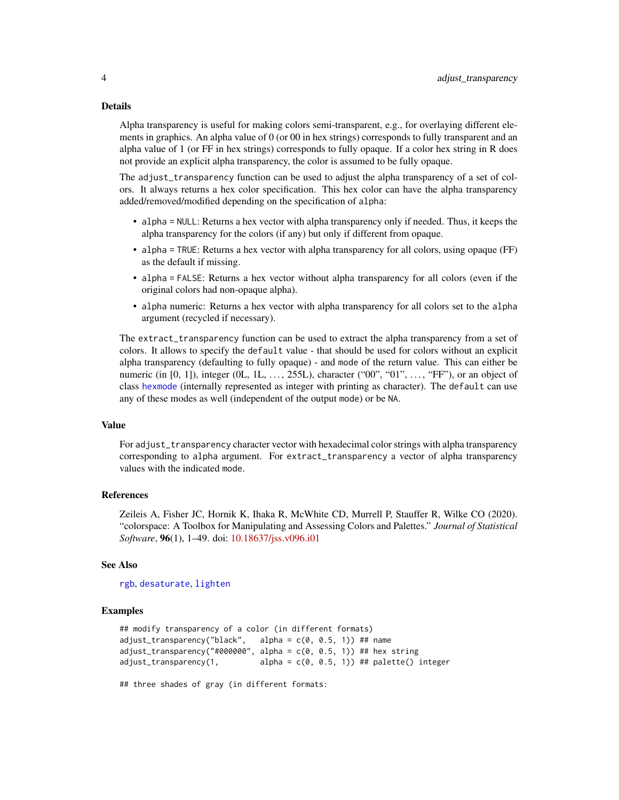#### Details

Alpha transparency is useful for making colors semi-transparent, e.g., for overlaying different elements in graphics. An alpha value of 0 (or 00 in hex strings) corresponds to fully transparent and an alpha value of 1 (or FF in hex strings) corresponds to fully opaque. If a color hex string in R does not provide an explicit alpha transparency, the color is assumed to be fully opaque.

The adjust\_transparency function can be used to adjust the alpha transparency of a set of colors. It always returns a hex color specification. This hex color can have the alpha transparency added/removed/modified depending on the specification of alpha:

- alpha = NULL: Returns a hex vector with alpha transparency only if needed. Thus, it keeps the alpha transparency for the colors (if any) but only if different from opaque.
- alpha = TRUE: Returns a hex vector with alpha transparency for all colors, using opaque (FF) as the default if missing.
- alpha = FALSE: Returns a hex vector without alpha transparency for all colors (even if the original colors had non-opaque alpha).
- alpha numeric: Returns a hex vector with alpha transparency for all colors set to the alpha argument (recycled if necessary).

The extract\_transparency function can be used to extract the alpha transparency from a set of colors. It allows to specify the default value - that should be used for colors without an explicit alpha transparency (defaulting to fully opaque) - and mode of the return value. This can either be numeric (in  $[0, 1]$ ), integer  $(0L, 1L, \ldots, 255L)$ , character  $("00", "01", \ldots, "FF")$ , or an object of class [hexmode](#page-0-0) (internally represented as integer with printing as character). The default can use any of these modes as well (independent of the output mode) or be NA.

## Value

For adjust\_transparency character vector with hexadecimal color strings with alpha transparency corresponding to alpha argument. For extract\_transparency a vector of alpha transparency values with the indicated mode.

## References

Zeileis A, Fisher JC, Hornik K, Ihaka R, McWhite CD, Murrell P, Stauffer R, Wilke CO (2020). "colorspace: A Toolbox for Manipulating and Assessing Colors and Palettes." *Journal of Statistical Software*, 96(1), 1–49. doi: [10.18637/jss.v096.i01](https://doi.org/10.18637/jss.v096.i01)

## See Also

[rgb](#page-0-0), [desaturate](#page-14-1), [lighten](#page-31-1)

#### Examples

```
## modify transparency of a color (in different formats)
adjust_Ltransparency("black", allpha = c(0, 0.5, 1)) # * nameadjust_{\text{transparency}}("#000000", \text{ alpha} = c(0, 0.5, 1)) #\# \text{ hex string}adjust_{\text{transparency}}(1, \text{alpha} = c(0, 0.5, 1))## palette() integer
```
## three shades of gray (in different formats: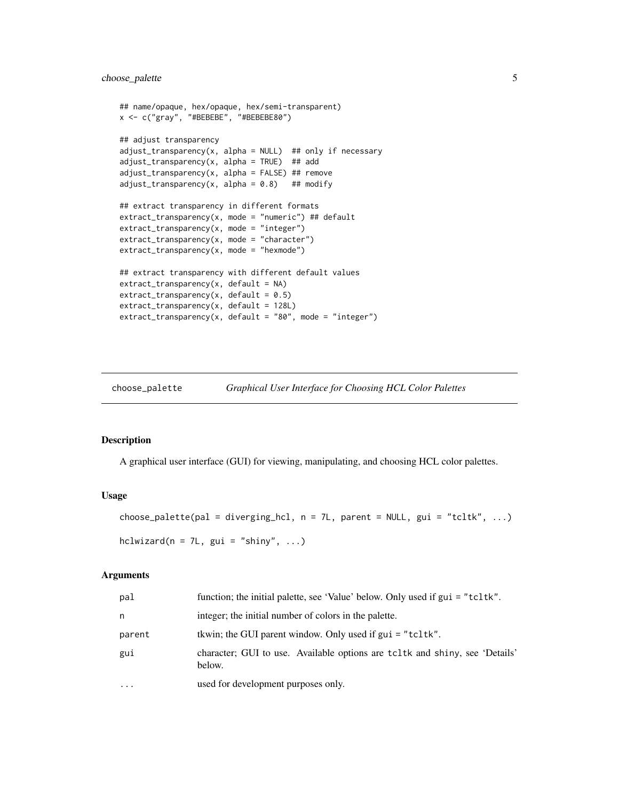```
## name/opaque, hex/opaque, hex/semi-transparent)
x <- c("gray", "#BEBEBE", "#BEBEBE80")
## adjust transparency
adjust_transparency(x, alpha = NULL) ## only if necessary
adjust_transparency(x, alpha = TRUE) ## add
adjust_{transparency}(x, alpha = FALSE)## remove
adjust_transparency(x, alpha = 0.8) ## modify
## extract transparency in different formats
extract\_transport and (x, mode = "numeric")## default
extract_transparency(x, mode = "integer")
extract_transformcyc(x, mode = "character")extract_transparency(x, mode = "hexmode")
## extract transparency with different default values
extract_transparency(x, default = NA)
extract_transformcy(x, default = 0.5)extract_transparency(x, default = 128L)
extract_transformcyc(x, default = "80", mode = "integer")
```
<span id="page-4-1"></span>

| choose_palette |  | Graphical User Interface for Choosing HCL Color Palettes |
|----------------|--|----------------------------------------------------------|
|                |  |                                                          |

#### Description

A graphical user interface (GUI) for viewing, manipulating, and choosing HCL color palettes.

#### Usage

```
choose_palette(pal = diverging_hcl, n = 7L, parent = NULL, gui = "tcltk", ...)
```

```
hclwizard(n = 7L, gui = "shiny", ...)
```
## Arguments

| pal       | function; the initial palette, see 'Value' below. Only used if gui = "tcltk".            |
|-----------|------------------------------------------------------------------------------------------|
| n         | integer; the initial number of colors in the palette.                                    |
| parent    | tkwin; the GUI parent window. Only used if $gui = "tcltk".$                              |
| gui       | character; GUI to use. Available options are to the stand shiny, see 'Details'<br>below. |
| $\ddotsc$ | used for development purposes only.                                                      |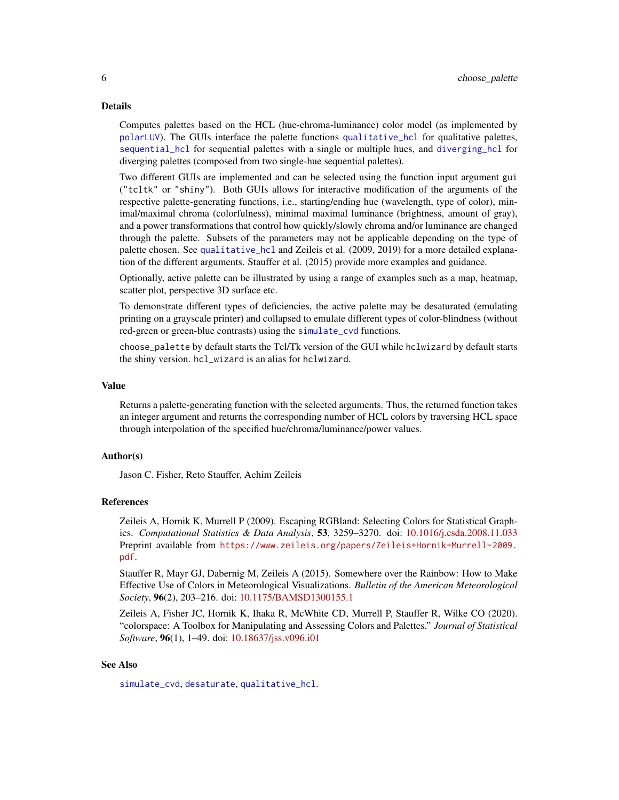#### Details

Computes palettes based on the HCL (hue-chroma-luminance) color model (as implemented by [polarLUV](#page-38-1)). The GUIs interface the palette functions [qualitative\\_hcl](#page-21-1) for qualitative palettes, [sequential\\_hcl](#page-21-1) for sequential palettes with a single or multiple hues, and [diverging\\_hcl](#page-21-1) for diverging palettes (composed from two single-hue sequential palettes).

Two different GUIs are implemented and can be selected using the function input argument gui ("tcltk" or "shiny"). Both GUIs allows for interactive modification of the arguments of the respective palette-generating functions, i.e., starting/ending hue (wavelength, type of color), minimal/maximal chroma (colorfulness), minimal maximal luminance (brightness, amount of gray), and a power transformations that control how quickly/slowly chroma and/or luminance are changed through the palette. Subsets of the parameters may not be applicable depending on the type of palette chosen. See [qualitative\\_hcl](#page-21-1) and Zeileis et al. (2009, 2019) for a more detailed explanation of the different arguments. Stauffer et al. (2015) provide more examples and guidance.

Optionally, active palette can be illustrated by using a range of examples such as a map, heatmap, scatter plot, perspective 3D surface etc.

To demonstrate different types of deficiencies, the active palette may be desaturated (emulating printing on a grayscale printer) and collapsed to emulate different types of color-blindness (without red-green or green-blue contrasts) using the [simulate\\_cvd](#page-72-1) functions.

choose\_palette by default starts the Tcl/Tk version of the GUI while hclwizard by default starts the shiny version. hcl\_wizard is an alias for hclwizard.

#### Value

Returns a palette-generating function with the selected arguments. Thus, the returned function takes an integer argument and returns the corresponding number of HCL colors by traversing HCL space through interpolation of the specified hue/chroma/luminance/power values.

## Author(s)

Jason C. Fisher, Reto Stauffer, Achim Zeileis

#### References

Zeileis A, Hornik K, Murrell P (2009). Escaping RGBland: Selecting Colors for Statistical Graphics. *Computational Statistics & Data Analysis*, 53, 3259–3270. doi: [10.1016/j.csda.2008.11.033](https://doi.org/10.1016/j.csda.2008.11.033) Preprint available from [https://www.zeileis.org/papers/Zeileis+Hornik+Murrell-2009.](https://www.zeileis.org/papers/Zeileis+Hornik+Murrell-2009.pdf) [pdf](https://www.zeileis.org/papers/Zeileis+Hornik+Murrell-2009.pdf).

Stauffer R, Mayr GJ, Dabernig M, Zeileis A (2015). Somewhere over the Rainbow: How to Make Effective Use of Colors in Meteorological Visualizations. *Bulletin of the American Meteorological Society*, 96(2), 203–216. doi: [10.1175/BAMSD1300155.1](https://doi.org/10.1175/BAMS-D-13-00155.1)

Zeileis A, Fisher JC, Hornik K, Ihaka R, McWhite CD, Murrell P, Stauffer R, Wilke CO (2020). "colorspace: A Toolbox for Manipulating and Assessing Colors and Palettes." *Journal of Statistical Software*, 96(1), 1–49. doi: [10.18637/jss.v096.i01](https://doi.org/10.18637/jss.v096.i01)

## See Also

[simulate\\_cvd](#page-72-1), [desaturate](#page-14-1), [qualitative\\_hcl](#page-21-1).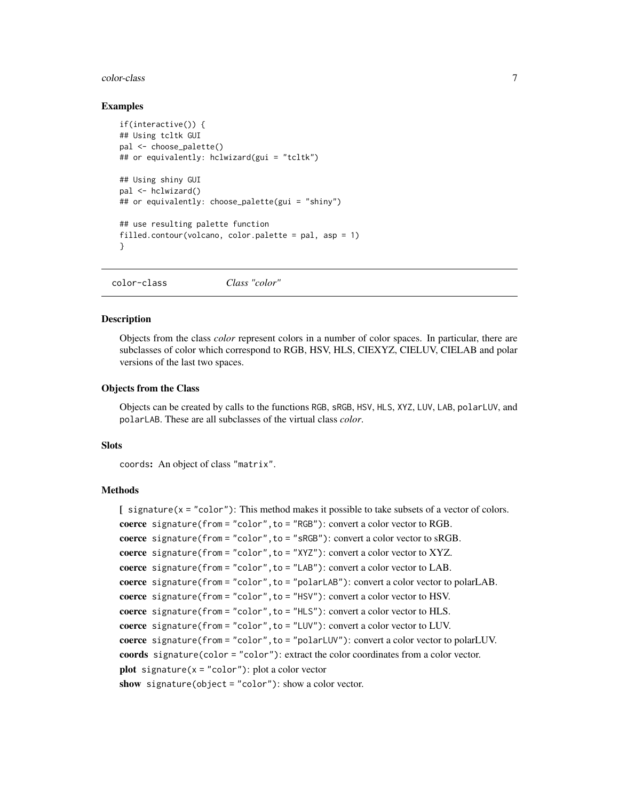#### <span id="page-6-0"></span>color-class 7

## Examples

```
if(interactive()) {
## Using tcltk GUI
pal <- choose_palette()
## or equivalently: hclwizard(gui = "tcltk")
## Using shiny GUI
pal <- hclwizard()
## or equivalently: choose_palette(gui = "shiny")
## use resulting palette function
filled.contour(volcano, color.palette = pal, asp = 1)
}
```
<span id="page-6-1"></span>color-class *Class "color"*

#### **Description**

Objects from the class *color* represent colors in a number of color spaces. In particular, there are subclasses of color which correspond to RGB, HSV, HLS, CIEXYZ, CIELUV, CIELAB and polar versions of the last two spaces.

## Objects from the Class

Objects can be created by calls to the functions RGB, sRGB, HSV, HLS, XYZ, LUV, LAB, polarLUV, and polarLAB. These are all subclasses of the virtual class *color*.

#### **Slots**

coords: An object of class "matrix".

#### Methods

```
[ signature(x = "color"): This method makes it possible to take subsets of a vector of colors.
coerce signature(from = "color",to = "RGB"): convert a color vector to RGB.
coerce signature(from = "color",to = "sRGB"): convert a color vector to sRGB.
coerce signature(from = "color", to = "XYZ"): convert a color vector to XYZ.
coerce signature(from = "color",to = "LAB"): convert a color vector to LAB.
coerce signature(from = "color", to = "polarLAB"): convert a color vector to polarLAB.
coerce signature(from = "color",to = "HSV"): convert a color vector to HSV.
coerce signature(from = "color", to = "HLS"): convert a color vector to HLS.
coerce signature(from = "color",to = "LUV"): convert a color vector to LUV.
coerce signature(from = "color",to = "polarLUV"): convert a color vector to polarLUV.
coords signature(color = "color"): extract the color coordinates from a color vector.
plot signature(x = "color"): plot a color vector
show signature(object = "color"): show a color vector.
```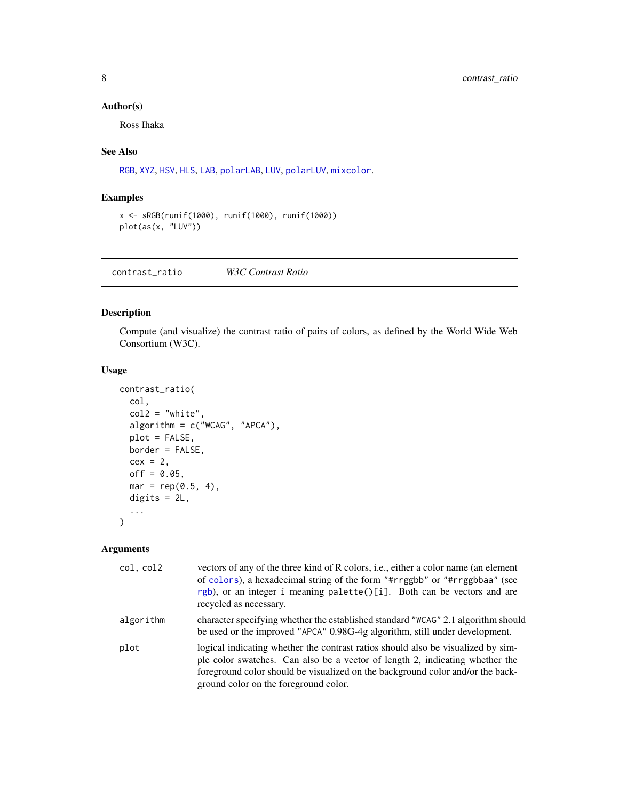## <span id="page-7-0"></span>Author(s)

Ross Ihaka

## See Also

[RGB](#page-44-1), [XYZ](#page-81-1), [HSV](#page-29-1), [HLS](#page-28-1), [LAB](#page-30-1), [polarLAB](#page-37-1), [LUV](#page-34-1), [polarLUV](#page-38-1), [mixcolor](#page-36-1).

## Examples

```
x <- sRGB(runif(1000), runif(1000), runif(1000))
plot(as(x, "LUV"))
```
contrast\_ratio *W3C Contrast Ratio*

## Description

Compute (and visualize) the contrast ratio of pairs of colors, as defined by the World Wide Web Consortium (W3C).

## Usage

```
contrast_ratio(
  col,
  col2 = "white",algorithm = c("WCAG", "APCA"),
 plot = FALSE,
 border = FALSE,
 cex = 2,
 off = 0.05,
 mar = rep(0.5, 4),digits = 2L,
  ...
\mathcal{L}
```
## Arguments

| col, col2 | vectors of any of the three kind of R colors, <i>i.e.</i> , either a color name (an element<br>of colors), a hexadecimal string of the form "#rrggbb" or "#rrggbbaa" (see<br>$rgb$ ), or an integer i meaning palette()[i]. Both can be vectors and are<br>recycled as necessary.           |
|-----------|---------------------------------------------------------------------------------------------------------------------------------------------------------------------------------------------------------------------------------------------------------------------------------------------|
| algorithm | character specifying whether the established standard "WCAG" 2.1 algorithm should<br>be used or the improved "APCA" 0.98G-4g algorithm, still under development.                                                                                                                            |
| plot      | logical indicating whether the contrast ratios should also be visualized by sim-<br>ple color swatches. Can also be a vector of length 2, indicating whether the<br>foreground color should be visualized on the background color and/or the back-<br>ground color on the foreground color. |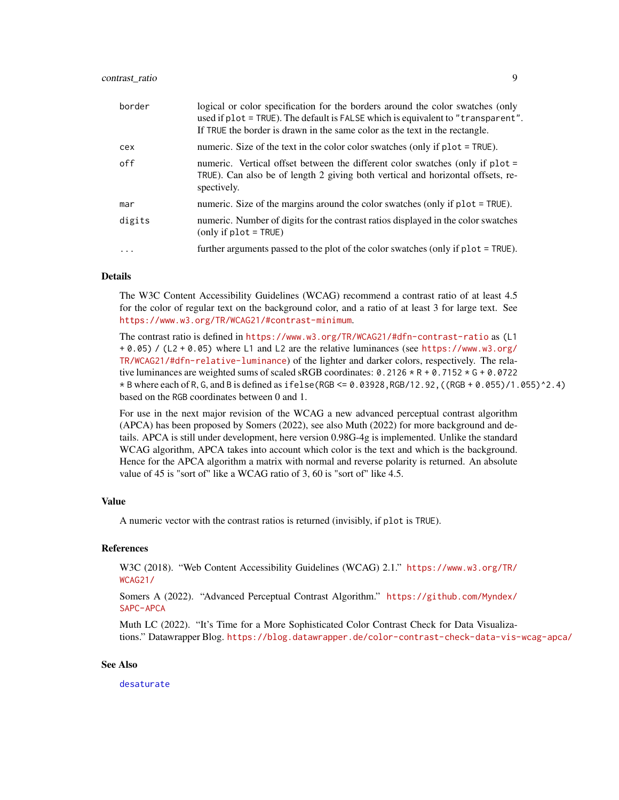| border   | logical or color specification for the borders around the color swatches (only<br>used if plot = TRUE). The default is FALSE which is equivalent to "transparent".<br>If TRUE the border is drawn in the same color as the text in the rectangle. |
|----------|---------------------------------------------------------------------------------------------------------------------------------------------------------------------------------------------------------------------------------------------------|
| cex      | numeric. Size of the text in the color color swatches (only if plot = TRUE).                                                                                                                                                                      |
| off      | numeric. Vertical offset between the different color swatches (only if plot =<br>TRUE). Can also be of length 2 giving both vertical and horizontal offsets, re-<br>spectively.                                                                   |
| mar      | numeric. Size of the margins around the color swatches (only if plot = TRUE).                                                                                                                                                                     |
| digits   | numeric. Number of digits for the contrast ratios displayed in the color swatches<br>(only if $plot = TRUE$ )                                                                                                                                     |
| $\cdots$ | further arguments passed to the plot of the color swatches (only if plot = TRUE).                                                                                                                                                                 |

## Details

The W3C Content Accessibility Guidelines (WCAG) recommend a contrast ratio of at least 4.5 for the color of regular text on the background color, and a ratio of at least 3 for large text. See <https://www.w3.org/TR/WCAG21/#contrast-minimum>.

The contrast ratio is defined in <https://www.w3.org/TR/WCAG21/#dfn-contrast-ratio> as (L1 + 0.05) / (L2 + 0.05) where L1 and L2 are the relative luminances (see [https://www.w3.org/](https://www.w3.org/TR/WCAG21/#dfn-relative-luminance) [TR/WCAG21/#dfn-relative-luminance](https://www.w3.org/TR/WCAG21/#dfn-relative-luminance)) of the lighter and darker colors, respectively. The relative luminances are weighted sums of scaled sRGB coordinates:  $0.2126 \times R + 0.7152 \times G + 0.0722$ \* B where each of R, G, and B is defined as ifelse(RGB <= 0.03928,RGB/12.92,((RGB + 0.055)/1.055)^2.4) based on the RGB coordinates between 0 and 1.

For use in the next major revision of the WCAG a new advanced perceptual contrast algorithm (APCA) has been proposed by Somers (2022), see also Muth (2022) for more background and details. APCA is still under development, here version 0.98G-4g is implemented. Unlike the standard WCAG algorithm, APCA takes into account which color is the text and which is the background. Hence for the APCA algorithm a matrix with normal and reverse polarity is returned. An absolute value of 45 is "sort of" like a WCAG ratio of 3, 60 is "sort of" like 4.5.

#### Value

A numeric vector with the contrast ratios is returned (invisibly, if plot is TRUE).

## References

W3C (2018). "Web Content Accessibility Guidelines (WCAG) 2.1." [https://www.w3.org/TR/](https://www.w3.org/TR/WCAG21/) [WCAG21/](https://www.w3.org/TR/WCAG21/)

Somers A (2022). "Advanced Perceptual Contrast Algorithm." [https://github.com/Myndex/](https://github.com/Myndex/SAPC-APCA) [SAPC-APCA](https://github.com/Myndex/SAPC-APCA)

Muth LC (2022). "It's Time for a More Sophisticated Color Contrast Check for Data Visualizations." Datawrapper Blog. <https://blog.datawrapper.de/color-contrast-check-data-vis-wcag-apca/>

## See Also

[desaturate](#page-14-1)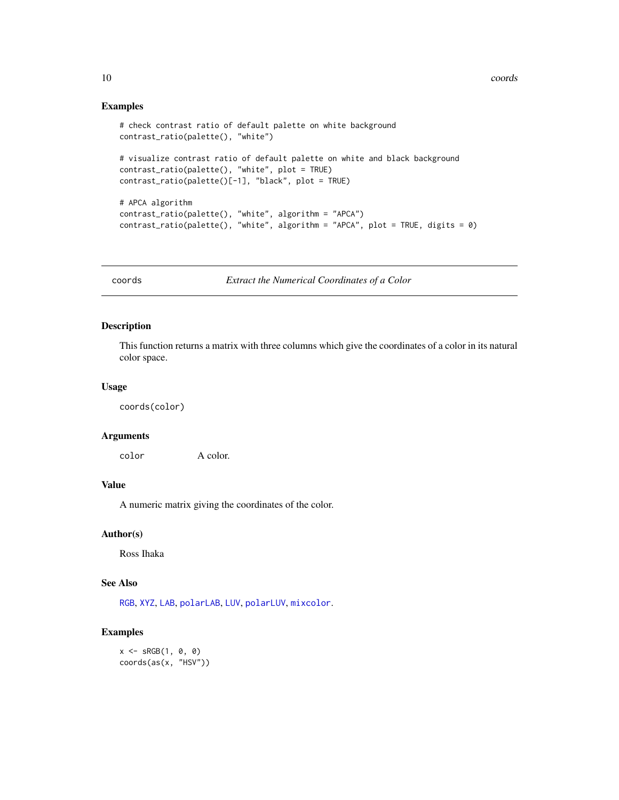## Examples

```
# check contrast ratio of default palette on white background
contrast_ratio(palette(), "white")
# visualize contrast ratio of default palette on white and black background
contrast_ratio(palette(), "white", plot = TRUE)
contrast_ratio(palette()[-1], "black", plot = TRUE)
# APCA algorithm
contrast_ratio(palette(), "white", algorithm = "APCA")
contrast_ratio(palette(), "white", algorithm = "APCA", plot = TRUE, digits = 0)
```
coords *Extract the Numerical Coordinates of a Color*

## Description

This function returns a matrix with three columns which give the coordinates of a color in its natural color space.

#### Usage

coords(color)

#### Arguments

color A color.

## Value

A numeric matrix giving the coordinates of the color.

## Author(s)

Ross Ihaka

## See Also

[RGB](#page-44-1), [XYZ](#page-81-1), [LAB](#page-30-1), [polarLAB](#page-37-1), [LUV](#page-34-1), [polarLUV](#page-38-1), [mixcolor](#page-36-1).

## Examples

```
x \le - sRGB(1, 0, 0)
coords(as(x, "HSV"))
```
<span id="page-9-0"></span>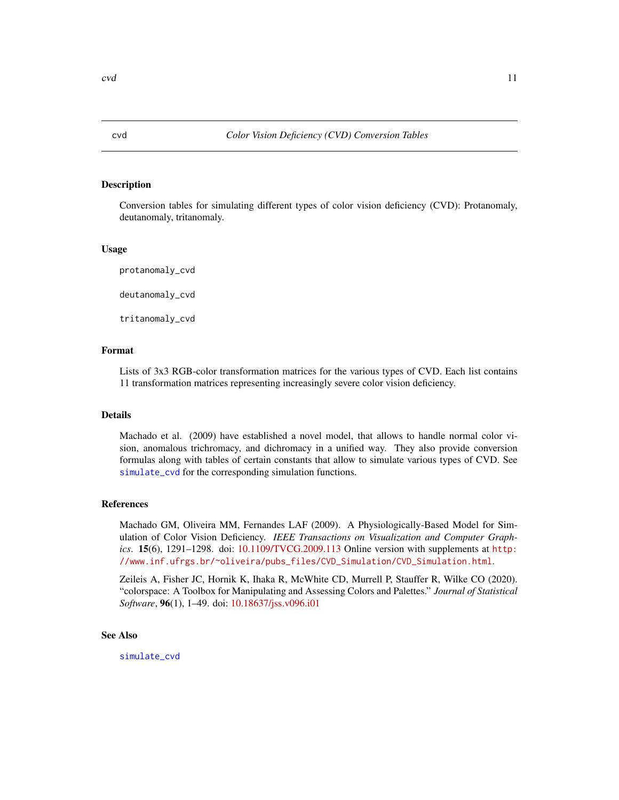<span id="page-10-0"></span>

## Description

Conversion tables for simulating different types of color vision deficiency (CVD): Protanomaly, deutanomaly, tritanomaly.

#### Usage

protanomaly\_cvd deutanomaly\_cvd tritanomaly\_cvd

## Format

Lists of 3x3 RGB-color transformation matrices for the various types of CVD. Each list contains 11 transformation matrices representing increasingly severe color vision deficiency.

## Details

Machado et al. (2009) have established a novel model, that allows to handle normal color vision, anomalous trichromacy, and dichromacy in a unified way. They also provide conversion formulas along with tables of certain constants that allow to simulate various types of CVD. See [simulate\\_cvd](#page-72-1) for the corresponding simulation functions.

## References

Machado GM, Oliveira MM, Fernandes LAF (2009). A Physiologically-Based Model for Simulation of Color Vision Deficiency. *IEEE Transactions on Visualization and Computer Graphics*. 15(6), 1291–1298. doi: [10.1109/TVCG.2009.113](https://doi.org/10.1109/TVCG.2009.113) Online version with supplements at [http:](http://www.inf.ufrgs.br/~oliveira/pubs_files/CVD_Simulation/CVD_Simulation.html) [//www.inf.ufrgs.br/~oliveira/pubs\\_files/CVD\\_Simulation/CVD\\_Simulation.html](http://www.inf.ufrgs.br/~oliveira/pubs_files/CVD_Simulation/CVD_Simulation.html).

Zeileis A, Fisher JC, Hornik K, Ihaka R, McWhite CD, Murrell P, Stauffer R, Wilke CO (2020). "colorspace: A Toolbox for Manipulating and Assessing Colors and Palettes." *Journal of Statistical Software*, 96(1), 1–49. doi: [10.18637/jss.v096.i01](https://doi.org/10.18637/jss.v096.i01)

#### See Also

[simulate\\_cvd](#page-72-1)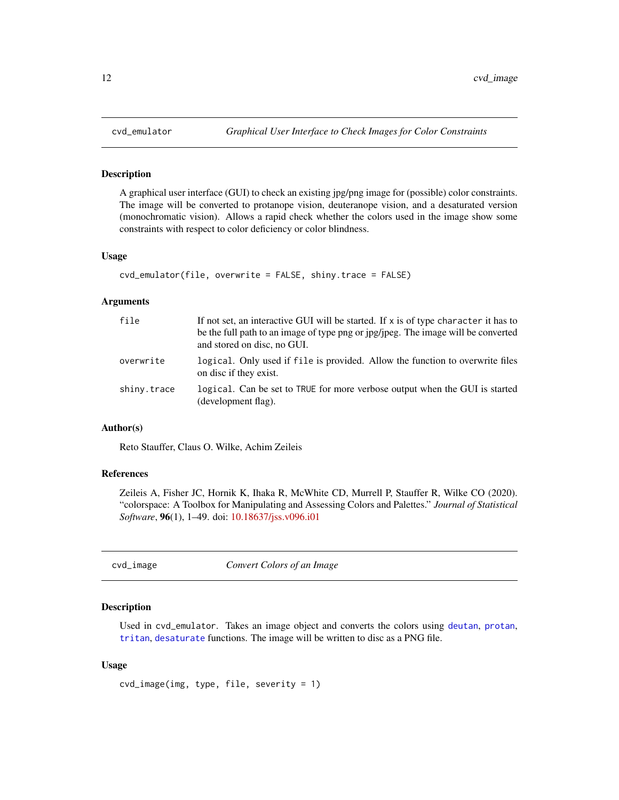#### Description

A graphical user interface (GUI) to check an existing jpg/png image for (possible) color constraints. The image will be converted to protanope vision, deuteranope vision, and a desaturated version (monochromatic vision). Allows a rapid check whether the colors used in the image show some constraints with respect to color deficiency or color blindness.

#### Usage

```
cvd_emulator(file, overwrite = FALSE, shiny.trace = FALSE)
```
#### Arguments

| file        | If not set, an interactive GUI will be started. If x is of type character it has to<br>be the full path to an image of type png or jpg/jpeg. The image will be converted<br>and stored on disc, no GUI. |
|-------------|---------------------------------------------------------------------------------------------------------------------------------------------------------------------------------------------------------|
| overwrite   | logical. Only used if file is provided. Allow the function to overwrite files<br>on disc if they exist.                                                                                                 |
| shiny.trace | logical. Can be set to TRUE for more verbose output when the GUI is started<br>(development flag).                                                                                                      |

## Author(s)

Reto Stauffer, Claus O. Wilke, Achim Zeileis

#### References

Zeileis A, Fisher JC, Hornik K, Ihaka R, McWhite CD, Murrell P, Stauffer R, Wilke CO (2020). "colorspace: A Toolbox for Manipulating and Assessing Colors and Palettes." *Journal of Statistical Software*, 96(1), 1–49. doi: [10.18637/jss.v096.i01](https://doi.org/10.18637/jss.v096.i01)

cvd\_image *Convert Colors of an Image*

#### **Description**

Used in cvd\_emulator. Takes an image object and converts the colors using [deutan](#page-72-2), [protan](#page-72-2), [tritan](#page-72-2), [desaturate](#page-14-1) functions. The image will be written to disc as a PNG file.

## Usage

```
cvd_image(img, type, file, severity = 1)
```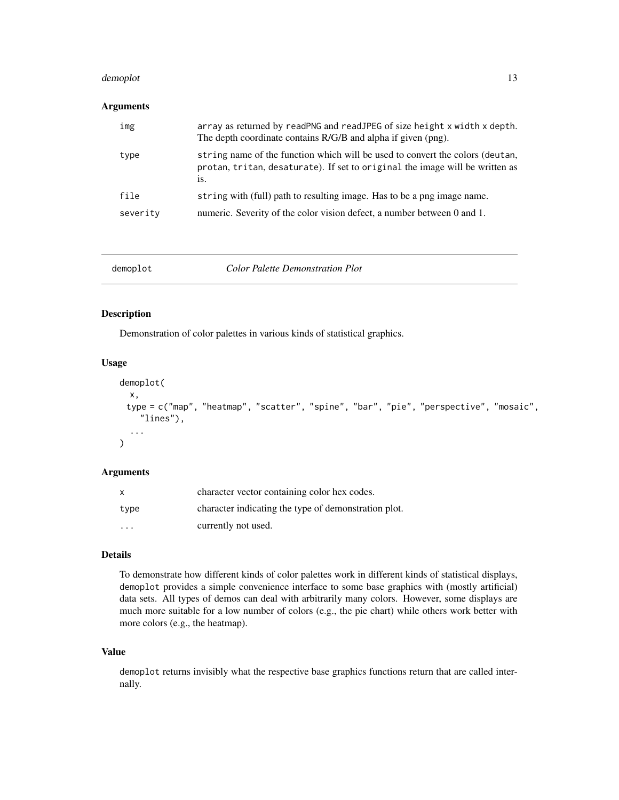#### <span id="page-12-0"></span>demoplot that the contract of the contract of the contract of the contract of the contract of the contract of the contract of the contract of the contract of the contract of the contract of the contract of the contract of

## Arguments

| img      | array as returned by readPNG and readJPEG of size height x width x depth.<br>The depth coordinate contains R/G/B and alpha if given (png).                           |
|----------|----------------------------------------------------------------------------------------------------------------------------------------------------------------------|
| type     | string name of the function which will be used to convert the colors (deutan,<br>protan, tritan, desaturate). If set to original the image will be written as<br>1S. |
| file     | string with (full) path to resulting image. Has to be a png image name.                                                                                              |
| severity | numeric. Severity of the color vision defect, a number between 0 and 1.                                                                                              |

demoplot *Color Palette Demonstration Plot*

## Description

Demonstration of color palettes in various kinds of statistical graphics.

## Usage

```
demoplot(
  x,
 type = c("map", "heatmap", "scatter", "spine", "bar", "pie", "perspective", "mosaic",
    "lines"),
  ...
)
```
## Arguments

| X                 | character vector containing color hex codes.         |
|-------------------|------------------------------------------------------|
| type              | character indicating the type of demonstration plot. |
| $\cdot\cdot\cdot$ | currently not used.                                  |

## Details

To demonstrate how different kinds of color palettes work in different kinds of statistical displays, demoplot provides a simple convenience interface to some base graphics with (mostly artificial) data sets. All types of demos can deal with arbitrarily many colors. However, some displays are much more suitable for a low number of colors (e.g., the pie chart) while others work better with more colors (e.g., the heatmap).

## Value

demoplot returns invisibly what the respective base graphics functions return that are called internally.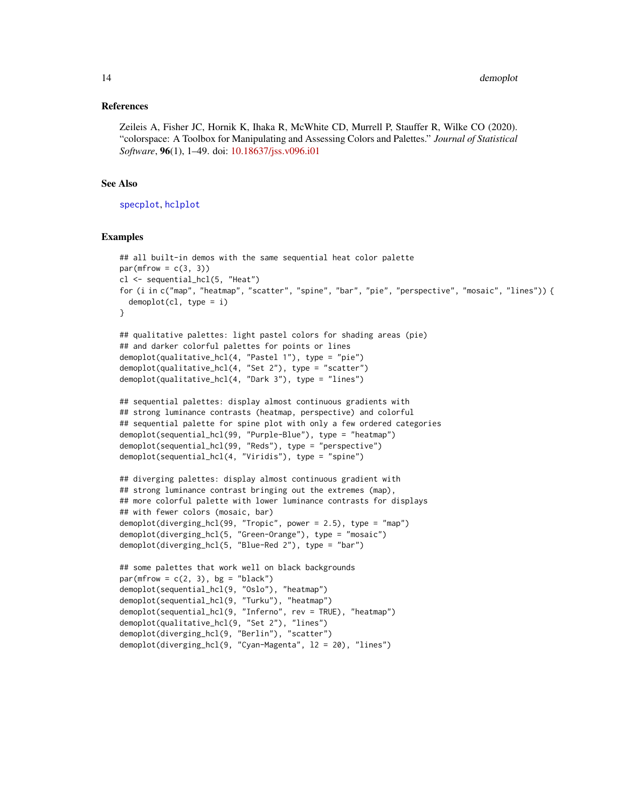#### References

Zeileis A, Fisher JC, Hornik K, Ihaka R, McWhite CD, Murrell P, Stauffer R, Wilke CO (2020). "colorspace: A Toolbox for Manipulating and Assessing Colors and Palettes." *Journal of Statistical Software*, 96(1), 1–49. doi: [10.18637/jss.v096.i01](https://doi.org/10.18637/jss.v096.i01)

## See Also

[specplot](#page-73-1), [hclplot](#page-17-1)

#### Examples

```
## all built-in demos with the same sequential heat color palette
par(mfrow = c(3, 3))cl <- sequential_hcl(5, "Heat")
for (i in c("map", "heatmap", "scatter", "spine", "bar", "pie", "perspective", "mosaic", "lines")) {
 demoplot(cl, type = i)}
## qualitative palettes: light pastel colors for shading areas (pie)
## and darker colorful palettes for points or lines
demoplot(qualitative_hcl(4, "Pastel 1"), type = "pie")
demoplot(qualitative_hcl(4, "Set 2"), type = "scatter")
demoplot(qualitative_hcl(4, "Dark 3"), type = "lines")
## sequential palettes: display almost continuous gradients with
## strong luminance contrasts (heatmap, perspective) and colorful
## sequential palette for spine plot with only a few ordered categories
demoplot(sequential_hcl(99, "Purple-Blue"), type = "heatmap")
demoplot(sequential_hcl(99, "Reds"), type = "perspective")
demoplot(sequential_hcl(4, "Viridis"), type = "spine")
## diverging palettes: display almost continuous gradient with
## strong luminance contrast bringing out the extremes (map),
## more colorful palette with lower luminance contrasts for displays
## with fewer colors (mosaic, bar)
demoplot(diverging_hcl(99, "Tropic", power = 2.5), type = "map")
demoplot(diverging_hcl(5, "Green-Orange"), type = "mosaic")
demoplot(diverging_hcl(5, "Blue-Red 2"), type = "bar")
## some palettes that work well on black backgrounds
par(mfrow = c(2, 3), bg = "black")demoplot(sequential_hcl(9, "Oslo"), "heatmap")
demoplot(sequential_hcl(9, "Turku"), "heatmap")
demoplot(sequential_hcl(9, "Inferno", rev = TRUE), "heatmap")
demoplot(qualitative_hcl(9, "Set 2"), "lines")
demoplot(diverging_hcl(9, "Berlin"), "scatter")
demoplot(diverging_hcl(9, "Cyan-Magenta", l2 = 20), "lines")
```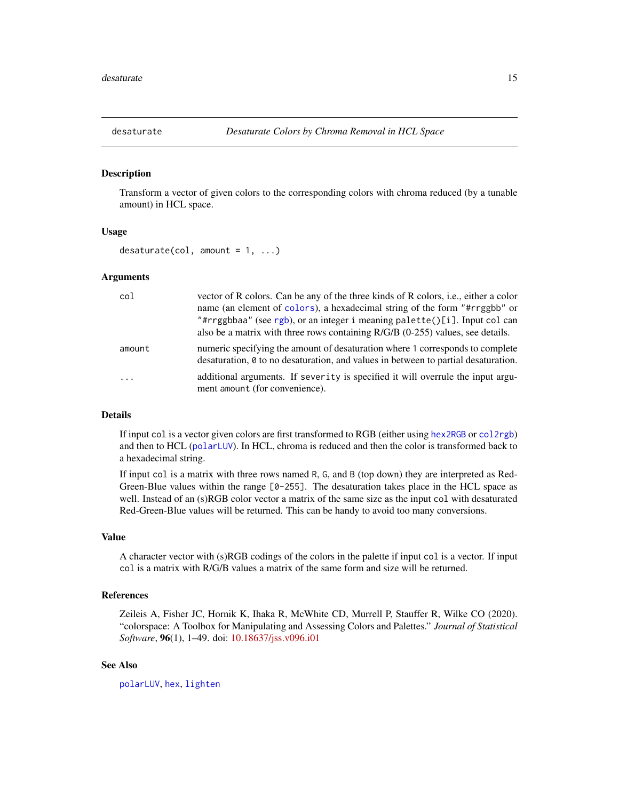<span id="page-14-1"></span><span id="page-14-0"></span>

#### Description

Transform a vector of given colors to the corresponding colors with chroma reduced (by a tunable amount) in HCL space.

## Usage

desaturate(col, amount =  $1, ...$ )

#### Arguments

| col    | vector of R colors. Can be any of the three kinds of R colors, <i>i.e.</i> , either a color<br>name (an element of colors), a hexadecimal string of the form "#rrggbb" or<br>"#rrggbbaa" (see rgb), or an integer i meaning palette()[i]. Input col can<br>also be a matrix with three rows containing $R/G/B$ (0-255) values, see details. |
|--------|---------------------------------------------------------------------------------------------------------------------------------------------------------------------------------------------------------------------------------------------------------------------------------------------------------------------------------------------|
| amount | numeric specifying the amount of desaturation where 1 corresponds to complete<br>desaturation, 0 to no desaturation, and values in between to partial desaturation.                                                                                                                                                                         |
| .      | additional arguments. If severity is specified it will overrule the input argu-<br>ment amount (for convenience).                                                                                                                                                                                                                           |

## Details

If input col is a vector given colors are first transformed to RGB (either using [hex2RGB](#page-27-1) or [col2rgb](#page-0-0)) and then to HCL ([polarLUV](#page-38-1)). In HCL, chroma is reduced and then the color is transformed back to a hexadecimal string.

If input col is a matrix with three rows named R, G, and B (top down) they are interpreted as Red-Green-Blue values within the range  $[0-255]$ . The desaturation takes place in the HCL space as well. Instead of an (s)RGB color vector a matrix of the same size as the input col with desaturated Red-Green-Blue values will be returned. This can be handy to avoid too many conversions.

#### Value

A character vector with (s)RGB codings of the colors in the palette if input col is a vector. If input col is a matrix with R/G/B values a matrix of the same form and size will be returned.

## References

Zeileis A, Fisher JC, Hornik K, Ihaka R, McWhite CD, Murrell P, Stauffer R, Wilke CO (2020). "colorspace: A Toolbox for Manipulating and Assessing Colors and Palettes." *Journal of Statistical Software*, 96(1), 1–49. doi: [10.18637/jss.v096.i01](https://doi.org/10.18637/jss.v096.i01)

## See Also

[polarLUV](#page-38-1), [hex](#page-26-1), [lighten](#page-31-1)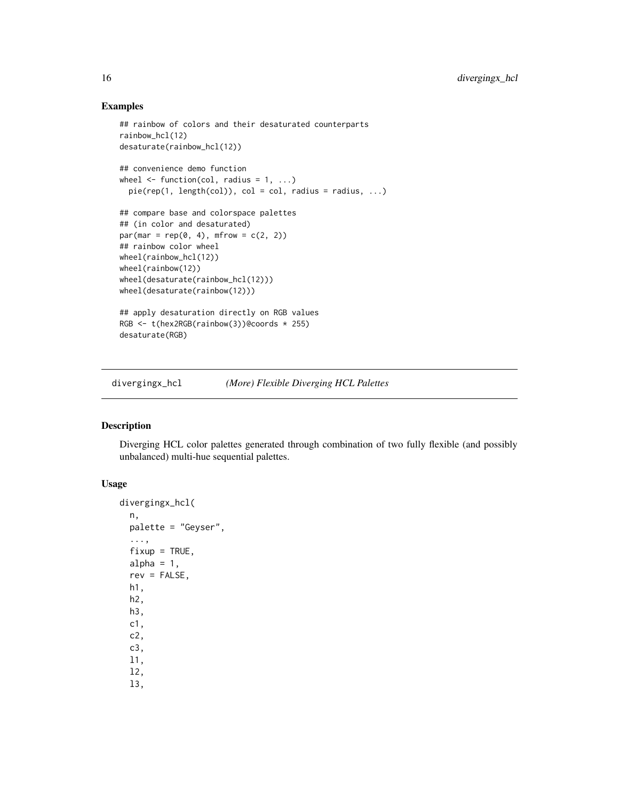## Examples

```
## rainbow of colors and their desaturated counterparts
rainbow_hcl(12)
desaturate(rainbow_hcl(12))
## convenience demo function
wheel \le function(col, radius = 1, ...)
  pie(rep(1, length(col)), col = col, radius = radius, ...)## compare base and colorspace palettes
## (in color and desaturated)
par(mar = rep(\emptyset, 4), mfrow = c(2, 2))
## rainbow color wheel
wheel(rainbow_hcl(12))
wheel(rainbow(12))
wheel(desaturate(rainbow_hcl(12)))
wheel(desaturate(rainbow(12)))
## apply desaturation directly on RGB values
RGB <- t(hex2RGB(rainbow(3))@coords * 255)
desaturate(RGB)
```
<span id="page-15-1"></span>divergingx\_hcl *(More) Flexible Diverging HCL Palettes*

## Description

Diverging HCL color palettes generated through combination of two fully flexible (and possibly unbalanced) multi-hue sequential palettes.

## Usage

```
divergingx_hcl(
  n,
  palette = "Geyser",
  ...,
  fixup = TRUE,alpha = 1,
  rev = FALSE,h1,
  h2,
  h3,
  c1,
  c2,
  c3,
  l1,
  l2,
  l3,
```
<span id="page-15-0"></span>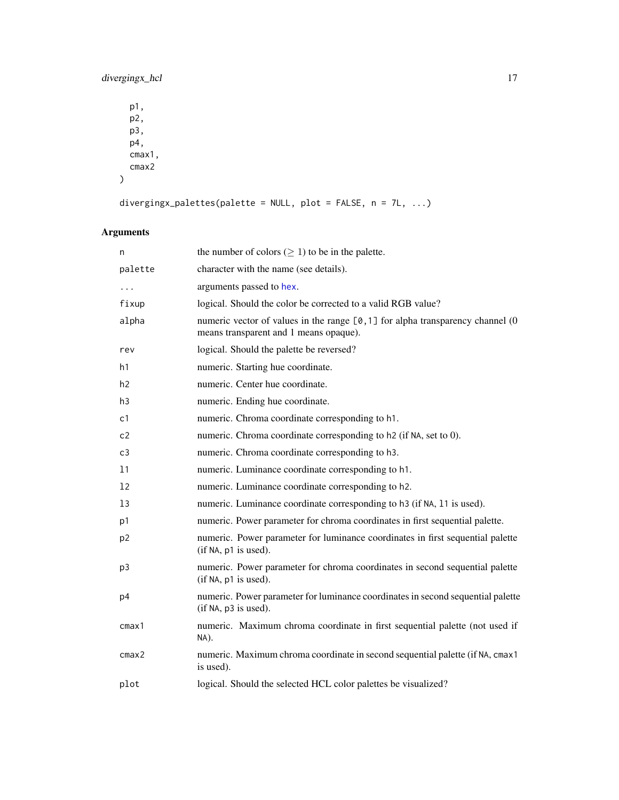## diverging x\_hcl 17

p1, p2, p3, p4, cmax1, cmax2  $\mathcal{L}$ 

```
divergingx_palettes(palette = NULL, plot = FALSE, n = 7L, ...)
```
## Arguments

| n              | the number of colors $(\geq 1)$ to be in the palette.                                                                            |
|----------------|----------------------------------------------------------------------------------------------------------------------------------|
| palette        | character with the name (see details).                                                                                           |
| .              | arguments passed to hex.                                                                                                         |
| fixup          | logical. Should the color be corrected to a valid RGB value?                                                                     |
| alpha          | numeric vector of values in the range $[0, 1]$ for alpha transparency channel $(0, 1)$<br>means transparent and 1 means opaque). |
| rev            | logical. Should the palette be reversed?                                                                                         |
| h1             | numeric. Starting hue coordinate.                                                                                                |
| h <sub>2</sub> | numeric. Center hue coordinate.                                                                                                  |
| h <sub>3</sub> | numeric. Ending hue coordinate.                                                                                                  |
| c <sub>1</sub> | numeric. Chroma coordinate corresponding to h1.                                                                                  |
| c2             | numeric. Chroma coordinate corresponding to h2 (if NA, set to 0).                                                                |
| c3             | numeric. Chroma coordinate corresponding to h3.                                                                                  |
| 11             | numeric. Luminance coordinate corresponding to h1.                                                                               |
| 12             | numeric. Luminance coordinate corresponding to h2.                                                                               |
| 13             | numeric. Luminance coordinate corresponding to h3 (if NA, 11 is used).                                                           |
| p1             | numeric. Power parameter for chroma coordinates in first sequential palette.                                                     |
| p <sub>2</sub> | numeric. Power parameter for luminance coordinates in first sequential palette<br>(if NA, p1 is used).                           |
| p3             | numeric. Power parameter for chroma coordinates in second sequential palette<br>(if NA, p1 is used).                             |
| p4             | numeric. Power parameter for luminance coordinates in second sequential palette<br>(if NA, p3 is used).                          |
| cmax1          | numeric. Maximum chroma coordinate in first sequential palette (not used if<br>NA).                                              |
| cmax2          | numeric. Maximum chroma coordinate in second sequential palette (if NA, cmax1<br>is used).                                       |
| plot           | logical. Should the selected HCL color palettes be visualized?                                                                   |
|                |                                                                                                                                  |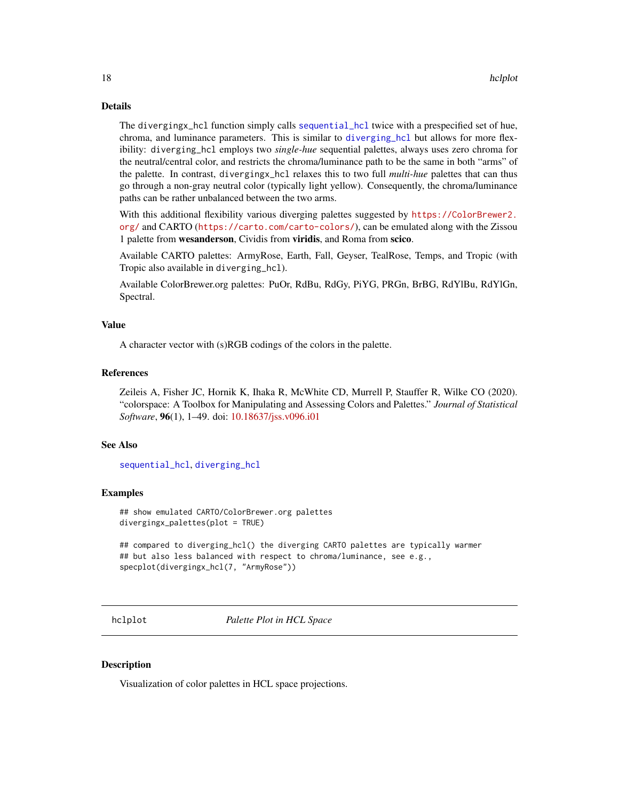## Details

The divergingx\_hcl function simply calls [sequential\\_hcl](#page-21-1) twice with a prespecified set of hue, chroma, and luminance parameters. This is similar to [diverging\\_hcl](#page-21-1) but allows for more flexibility: diverging\_hcl employs two *single-hue* sequential palettes, always uses zero chroma for the neutral/central color, and restricts the chroma/luminance path to be the same in both "arms" of the palette. In contrast, divergingx\_hcl relaxes this to two full *multi-hue* palettes that can thus go through a non-gray neutral color (typically light yellow). Consequently, the chroma/luminance paths can be rather unbalanced between the two arms.

With this additional flexibility various diverging palettes suggested by [https://ColorBrewer2.](https://ColorBrewer2.org/) [org/](https://ColorBrewer2.org/) and CARTO (<https://carto.com/carto-colors/>), can be emulated along with the Zissou 1 palette from wesanderson, Cividis from viridis, and Roma from scico.

Available CARTO palettes: ArmyRose, Earth, Fall, Geyser, TealRose, Temps, and Tropic (with Tropic also available in diverging\_hcl).

Available ColorBrewer.org palettes: PuOr, RdBu, RdGy, PiYG, PRGn, BrBG, RdYlBu, RdYlGn, Spectral.

## Value

A character vector with (s)RGB codings of the colors in the palette.

#### References

Zeileis A, Fisher JC, Hornik K, Ihaka R, McWhite CD, Murrell P, Stauffer R, Wilke CO (2020). "colorspace: A Toolbox for Manipulating and Assessing Colors and Palettes." *Journal of Statistical Software*, 96(1), 1–49. doi: [10.18637/jss.v096.i01](https://doi.org/10.18637/jss.v096.i01)

## See Also

[sequential\\_hcl](#page-21-1), [diverging\\_hcl](#page-21-1)

## Examples

## show emulated CARTO/ColorBrewer.org palettes divergingx\_palettes(plot = TRUE)

## compared to diverging\_hcl() the diverging CARTO palettes are typically warmer ## but also less balanced with respect to chroma/luminance, see e.g., specplot(divergingx\_hcl(7, "ArmyRose"))

<span id="page-17-1"></span>hclplot *Palette Plot in HCL Space*

## Description

Visualization of color palettes in HCL space projections.

<span id="page-17-0"></span>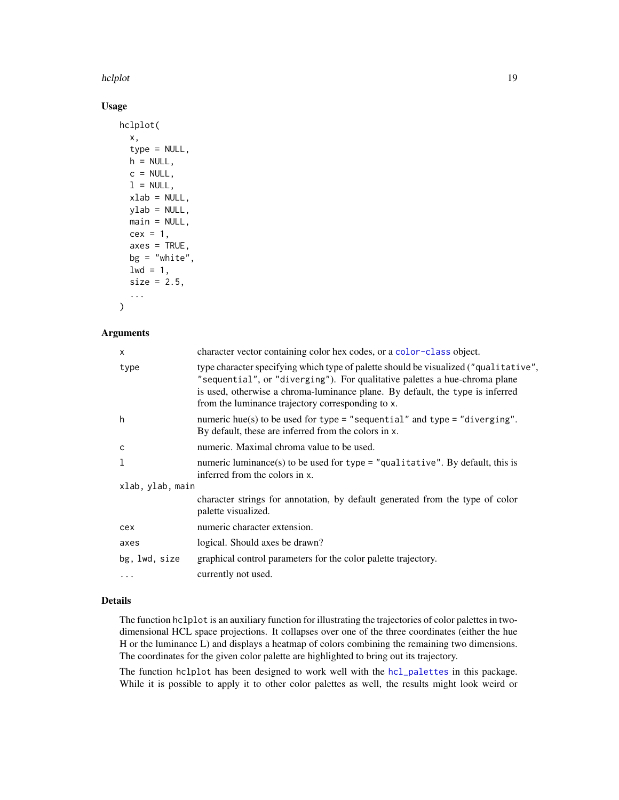## hclplot the contract of the contract of the contract of the contract of the contract of the contract of the contract of the contract of the contract of the contract of the contract of the contract of the contract of the co

## Usage

```
hclplot(
  x,
  type = NULL,
 h = NULL,c = NULL,l = NULL,xlab = NULL,
 ylab = NULL,
 main = NULL,
 cex = 1,
 axes = TRUE,bg = "white",1wd = 1,size = 2.5,
  ...
)
```
## Arguments

| $\times$         | character vector containing color hex codes, or a color-class object.                                                                                                                                                                                                                                    |
|------------------|----------------------------------------------------------------------------------------------------------------------------------------------------------------------------------------------------------------------------------------------------------------------------------------------------------|
| type             | type character specifying which type of palette should be visualized ("qualitative",<br>"sequential", or "diverging"). For qualitative palettes a hue-chroma plane<br>is used, otherwise a chroma-luminance plane. By default, the type is inferred<br>from the luminance trajectory corresponding to x. |
| h                | numeric hue(s) to be used for type = "sequential" and type = "diverging".<br>By default, these are inferred from the colors in x.                                                                                                                                                                        |
| C                | numeric. Maximal chroma value to be used.                                                                                                                                                                                                                                                                |
| 1                | numeric luminance(s) to be used for type = "qualitative". By default, this is<br>inferred from the colors in x.                                                                                                                                                                                          |
| xlab, ylab, main |                                                                                                                                                                                                                                                                                                          |
|                  | character strings for annotation, by default generated from the type of color<br>palette visualized.                                                                                                                                                                                                     |
| cex              | numeric character extension.                                                                                                                                                                                                                                                                             |
| axes             | logical. Should axes be drawn?                                                                                                                                                                                                                                                                           |
| bg, lwd, size    | graphical control parameters for the color palette trajectory.                                                                                                                                                                                                                                           |
| $\cdots$         | currently not used.                                                                                                                                                                                                                                                                                      |

## Details

The function hclplot is an auxiliary function for illustrating the trajectories of color palettes in twodimensional HCL space projections. It collapses over one of the three coordinates (either the hue H or the luminance L) and displays a heatmap of colors combining the remaining two dimensions. The coordinates for the given color palette are highlighted to bring out its trajectory.

The function hclplot has been designed to work well with the [hcl\\_palettes](#page-21-2) in this package. While it is possible to apply it to other color palettes as well, the results might look weird or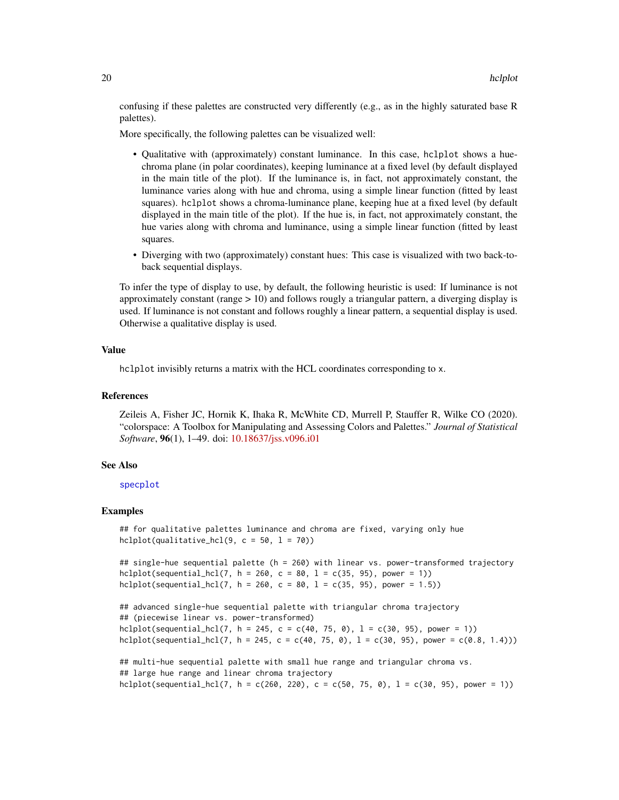confusing if these palettes are constructed very differently (e.g., as in the highly saturated base R palettes).

More specifically, the following palettes can be visualized well:

- Qualitative with (approximately) constant luminance. In this case, hclplot shows a huechroma plane (in polar coordinates), keeping luminance at a fixed level (by default displayed in the main title of the plot). If the luminance is, in fact, not approximately constant, the luminance varies along with hue and chroma, using a simple linear function (fitted by least squares). hclplot shows a chroma-luminance plane, keeping hue at a fixed level (by default displayed in the main title of the plot). If the hue is, in fact, not approximately constant, the hue varies along with chroma and luminance, using a simple linear function (fitted by least squares.
- Diverging with two (approximately) constant hues: This case is visualized with two back-toback sequential displays.

To infer the type of display to use, by default, the following heuristic is used: If luminance is not approximately constant (range  $> 10$ ) and follows rougly a triangular pattern, a diverging display is used. If luminance is not constant and follows roughly a linear pattern, a sequential display is used. Otherwise a qualitative display is used.

## Value

hclplot invisibly returns a matrix with the HCL coordinates corresponding to x.

#### References

Zeileis A, Fisher JC, Hornik K, Ihaka R, McWhite CD, Murrell P, Stauffer R, Wilke CO (2020). "colorspace: A Toolbox for Manipulating and Assessing Colors and Palettes." *Journal of Statistical Software*, 96(1), 1–49. doi: [10.18637/jss.v096.i01](https://doi.org/10.18637/jss.v096.i01)

## See Also

#### [specplot](#page-73-1)

#### Examples

## for qualitative palettes luminance and chroma are fixed, varying only hue hclplot(qualitative\_hcl(9,  $c = 50$ ,  $l = 70$ ))

```
## single-hue sequential palette (h = 260) with linear vs. power-transformed trajectory
hclplot(sequential_hcl(7, h = 260, c = 80, l = c(35, 95), power = 1))
hclplot(sequential_{hcl}(7, h = 260, c = 80, l = c(35, 95), power = 1.5))
```

```
## advanced single-hue sequential palette with triangular chroma trajectory
## (piecewise linear vs. power-transformed)
hclplot(sequential_hcl(7, h = 245, c = c(40, 75, 0), l = c(30, 95), power = 1))
hclplot(sequential_hcl(7, h = 245, c = c(40, 75, 0), l = c(30, 95), power = c(0.8, 1.4)))
```

```
## multi-hue sequential palette with small hue range and triangular chroma vs.
## large hue range and linear chroma trajectory
hclplot(sequential_hcl(7, h = c(260, 220), c = c(50, 75, 0), l = c(30, 95), power = 1))
```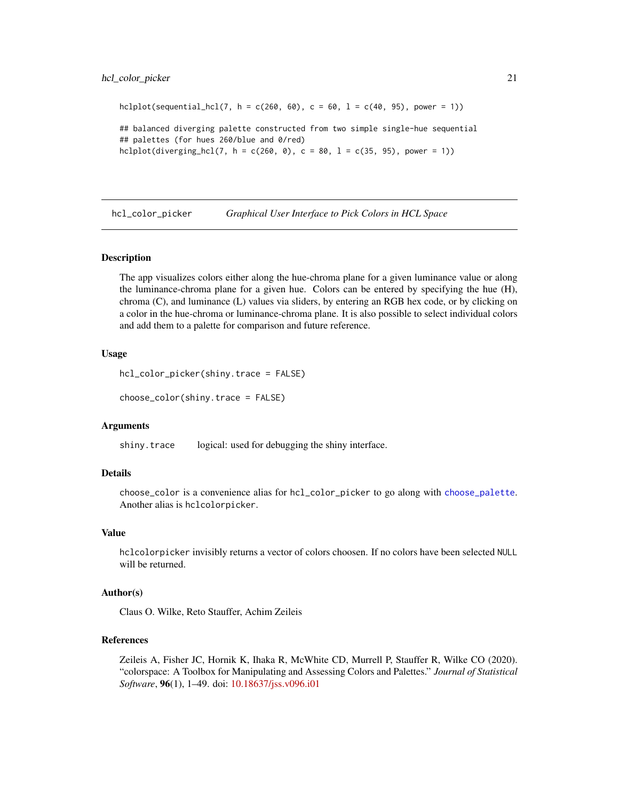## <span id="page-20-0"></span>hcl\_color\_picker 21

```
hclplot(sequential_hcl(7, h = c(260, 60), c = 60, l = c(40, 95), power = 1))## balanced diverging palette constructed from two simple single-hue sequential
## palettes (for hues 260/blue and 0/red)
hclplot(diverging_hcl(7, h = c(260, 0), c = 80, l = c(35, 95), power = 1))
```
hcl\_color\_picker *Graphical User Interface to Pick Colors in HCL Space*

#### Description

The app visualizes colors either along the hue-chroma plane for a given luminance value or along the luminance-chroma plane for a given hue. Colors can be entered by specifying the hue (H), chroma (C), and luminance (L) values via sliders, by entering an RGB hex code, or by clicking on a color in the hue-chroma or luminance-chroma plane. It is also possible to select individual colors and add them to a palette for comparison and future reference.

## Usage

```
hcl_color_picker(shiny.trace = FALSE)
```
choose\_color(shiny.trace = FALSE)

## Arguments

shiny.trace logical: used for debugging the shiny interface.

## Details

choose\_color is a convenience alias for hcl\_color\_picker to go along with [choose\\_palette](#page-4-1). Another alias is hclcolorpicker.

#### Value

hclcolorpicker invisibly returns a vector of colors choosen. If no colors have been selected NULL will be returned.

## Author(s)

Claus O. Wilke, Reto Stauffer, Achim Zeileis

## References

Zeileis A, Fisher JC, Hornik K, Ihaka R, McWhite CD, Murrell P, Stauffer R, Wilke CO (2020). "colorspace: A Toolbox for Manipulating and Assessing Colors and Palettes." *Journal of Statistical Software*, 96(1), 1–49. doi: [10.18637/jss.v096.i01](https://doi.org/10.18637/jss.v096.i01)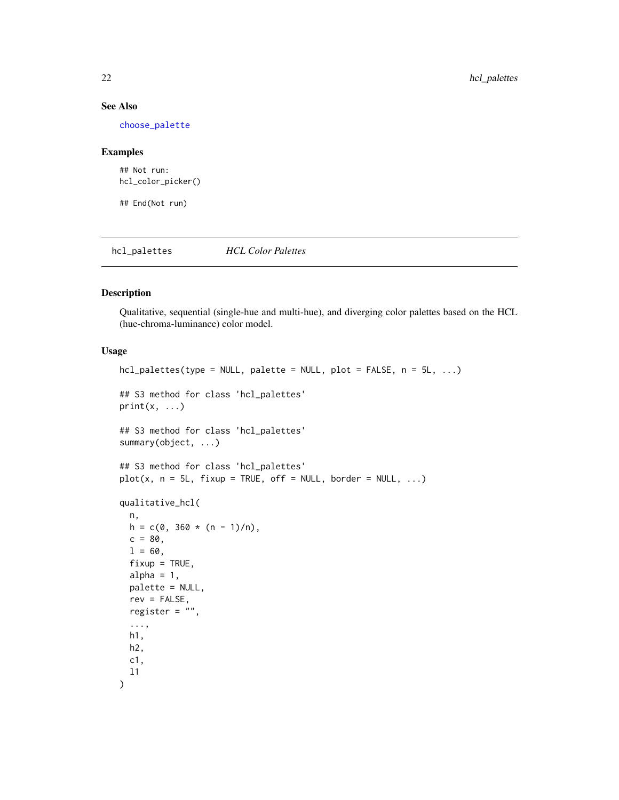## See Also

[choose\\_palette](#page-4-1)

#### Examples

## Not run: hcl\_color\_picker()

## End(Not run)

<span id="page-21-2"></span>hcl\_palettes *HCL Color Palettes*

## <span id="page-21-1"></span>Description

Qualitative, sequential (single-hue and multi-hue), and diverging color palettes based on the HCL (hue-chroma-luminance) color model.

## Usage

```
hcl_palettes(type = NULL, palette = NULL, plot = FALSE, n = 5L, ...)
## S3 method for class 'hcl_palettes'
print(x, \ldots)## S3 method for class 'hcl_palettes'
summary(object, ...)
## S3 method for class 'hcl_palettes'
plot(x, n = 5L, fixup = TRUE, off = NULL, border = NULL, ...)qualitative_hcl(
  n,
 h = c(0, 360 \times (n - 1)/n),
 c = 80,1 = 60,
  fixup = TRUE,
  alpha = 1,
  palette = NULL,
  rev = FALSE,register = ",
  ...,
 h1,
 h2,
  c1,
  l1
)
```
<span id="page-21-0"></span>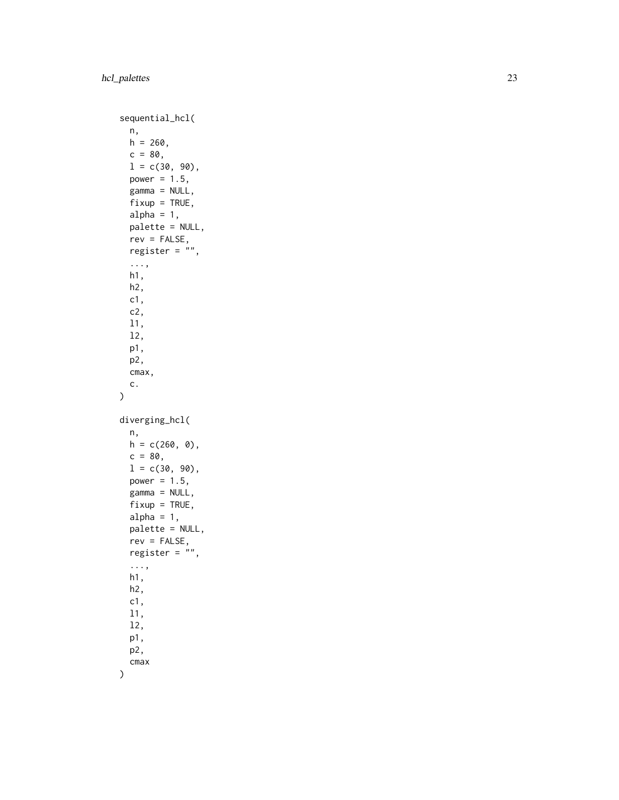```
sequential_hcl(
 n,
 h = 260,c = 80,l = c(30, 90),
 power = 1.5,
  gamma = NULL,
  fixup = TRUE,alpha = 1,palette = NULL,
  rev = FALSE,register = "",
  ...,
 h1,
  h2,
  c1,
 c2,
 l1,
  l2,
 p1,
 p2,
 cmax,
  c.
\mathcal{L}diverging_hcl(
 n,
 h = c(260, 0),c = 80,l = c(30, 90),
 power = 1.5,
 gamma = NULL,fixup = TRUE,alpha = 1,
 palette = NULL,
  rev = FALSE,register = ",
  ...,
 h1,
 h2,
 c1,
 l1,
  l2,
 p1,
 p2,
  cmax
```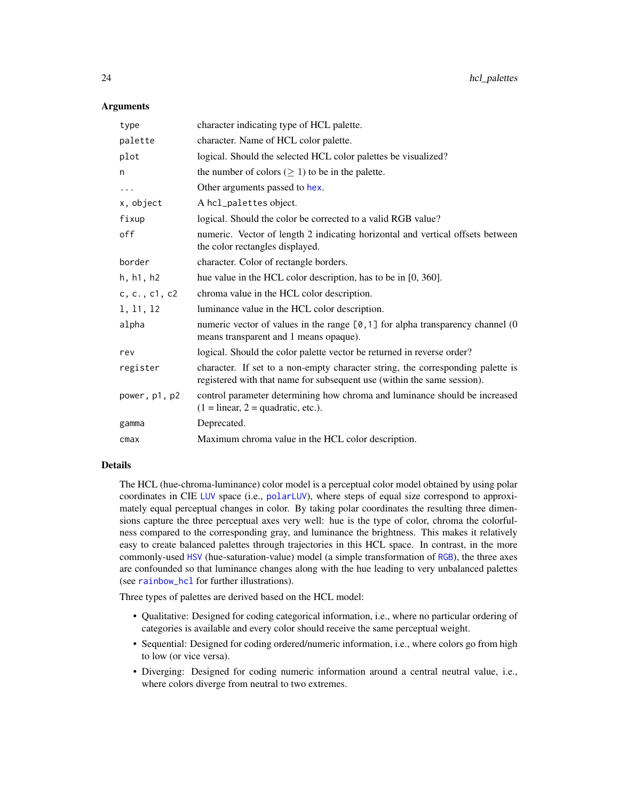## Arguments

| type          | character indicating type of HCL palette.                                                                                                                  |
|---------------|------------------------------------------------------------------------------------------------------------------------------------------------------------|
| palette       | character. Name of HCL color palette.                                                                                                                      |
| plot          | logical. Should the selected HCL color palettes be visualized?                                                                                             |
| n             | the number of colors $(\geq 1)$ to be in the palette.                                                                                                      |
| $\cdots$      | Other arguments passed to hex.                                                                                                                             |
| x, object     | A hcl_palettes object.                                                                                                                                     |
| fixup         | logical. Should the color be corrected to a valid RGB value?                                                                                               |
| off           | numeric. Vector of length 2 indicating horizontal and vertical offsets between<br>the color rectangles displayed.                                          |
| border        | character. Color of rectangle borders.                                                                                                                     |
| h, h1, h2     | hue value in the HCL color description, has to be in [0, 360].                                                                                             |
| c, c., c1, c2 | chroma value in the HCL color description.                                                                                                                 |
| 1, 11, 12     | luminance value in the HCL color description.                                                                                                              |
| alpha         | numeric vector of values in the range $[0, 1]$ for alpha transparency channel $(0, 1)$<br>means transparent and 1 means opaque).                           |
| rev           | logical. Should the color palette vector be returned in reverse order?                                                                                     |
| register      | character. If set to a non-empty character string, the corresponding palette is<br>registered with that name for subsequent use (within the same session). |
| power, p1, p2 | control parameter determining how chroma and luminance should be increased<br>$(1 = linear, 2 = quadratic, etc.).$                                         |
| gamma         | Deprecated.                                                                                                                                                |
| cmax          | Maximum chroma value in the HCL color description.                                                                                                         |

## Details

The HCL (hue-chroma-luminance) color model is a perceptual color model obtained by using polar coordinates in CIE [LUV](#page-34-1) space (i.e., [polarLUV](#page-38-1)), where steps of equal size correspond to approximately equal perceptual changes in color. By taking polar coordinates the resulting three dimensions capture the three perceptual axes very well: hue is the type of color, chroma the colorfulness compared to the corresponding gray, and luminance the brightness. This makes it relatively easy to create balanced palettes through trajectories in this HCL space. In contrast, in the more commonly-used [HSV](#page-29-1) (hue-saturation-value) model (a simple transformation of [RGB](#page-44-1)), the three axes are confounded so that luminance changes along with the hue leading to very unbalanced palettes (see [rainbow\\_hcl](#page-39-1) for further illustrations).

Three types of palettes are derived based on the HCL model:

- Qualitative: Designed for coding categorical information, i.e., where no particular ordering of categories is available and every color should receive the same perceptual weight.
- Sequential: Designed for coding ordered/numeric information, i.e., where colors go from high to low (or vice versa).
- Diverging: Designed for coding numeric information around a central neutral value, i.e., where colors diverge from neutral to two extremes.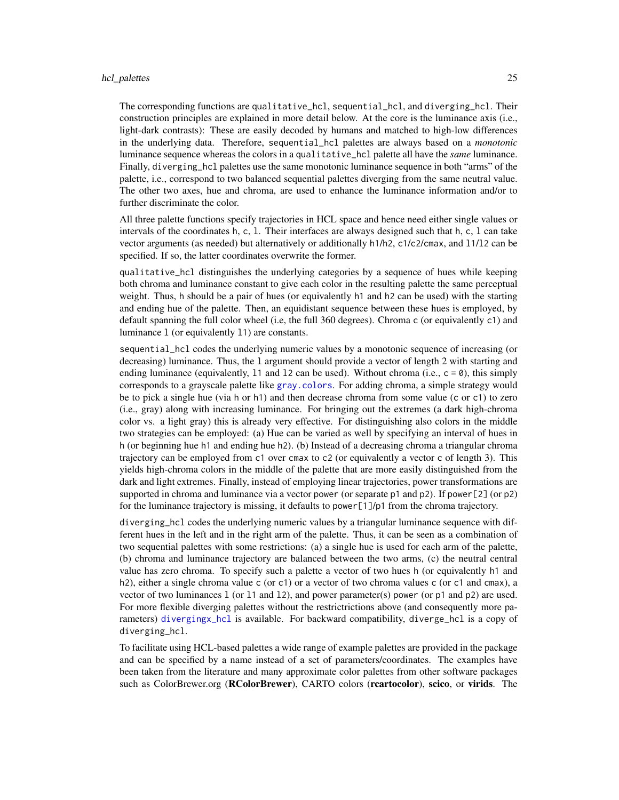#### hcl\_palettes 25

The corresponding functions are qualitative\_hcl, sequential\_hcl, and diverging\_hcl. Their construction principles are explained in more detail below. At the core is the luminance axis (i.e., light-dark contrasts): These are easily decoded by humans and matched to high-low differences in the underlying data. Therefore, sequential\_hcl palettes are always based on a *monotonic* luminance sequence whereas the colors in a qualitative\_hcl palette all have the *same* luminance. Finally, diverging\_hcl palettes use the same monotonic luminance sequence in both "arms" of the palette, i.e., correspond to two balanced sequential palettes diverging from the same neutral value. The other two axes, hue and chroma, are used to enhance the luminance information and/or to further discriminate the color.

All three palette functions specify trajectories in HCL space and hence need either single values or intervals of the coordinates h, c, l. Their interfaces are always designed such that h, c, l can take vector arguments (as needed) but alternatively or additionally h1/h2, c1/c2/cmax, and l1/l2 can be specified. If so, the latter coordinates overwrite the former.

qualitative\_hcl distinguishes the underlying categories by a sequence of hues while keeping both chroma and luminance constant to give each color in the resulting palette the same perceptual weight. Thus, h should be a pair of hues (or equivalently h1 and h2 can be used) with the starting and ending hue of the palette. Then, an equidistant sequence between these hues is employed, by default spanning the full color wheel (i.e, the full 360 degrees). Chroma c (or equivalently c1) and luminance l (or equivalently l1) are constants.

sequential\_hcl codes the underlying numeric values by a monotonic sequence of increasing (or decreasing) luminance. Thus, the l argument should provide a vector of length 2 with starting and ending luminance (equivalently, 11 and 12 can be used). Without chroma (i.e.,  $c = 0$ ), this simply corresponds to a grayscale palette like [gray.colors](#page-0-0). For adding chroma, a simple strategy would be to pick a single hue (via h or h1) and then decrease chroma from some value (c or c1) to zero (i.e., gray) along with increasing luminance. For bringing out the extremes (a dark high-chroma color vs. a light gray) this is already very effective. For distinguishing also colors in the middle two strategies can be employed: (a) Hue can be varied as well by specifying an interval of hues in h (or beginning hue h1 and ending hue h2). (b) Instead of a decreasing chroma a triangular chroma trajectory can be employed from c1 over cmax to c2 (or equivalently a vector c of length 3). This yields high-chroma colors in the middle of the palette that are more easily distinguished from the dark and light extremes. Finally, instead of employing linear trajectories, power transformations are supported in chroma and luminance via a vector power (or separate p1 and p2). If power[2] (or p2) for the luminance trajectory is missing, it defaults to power[1]/p1 from the chroma trajectory.

diverging\_hcl codes the underlying numeric values by a triangular luminance sequence with different hues in the left and in the right arm of the palette. Thus, it can be seen as a combination of two sequential palettes with some restrictions: (a) a single hue is used for each arm of the palette, (b) chroma and luminance trajectory are balanced between the two arms, (c) the neutral central value has zero chroma. To specify such a palette a vector of two hues h (or equivalently h1 and h2), either a single chroma value c (or c1) or a vector of two chroma values c (or c1 and cmax), a vector of two luminances 1 (or 11 and 12), and power parameter(s) power (or  $p1$  and  $p2$ ) are used. For more flexible diverging palettes without the restrictrictions above (and consequently more parameters) [divergingx\\_hcl](#page-15-1) is available. For backward compatibility, diverge\_hcl is a copy of diverging\_hcl.

To facilitate using HCL-based palettes a wide range of example palettes are provided in the package and can be specified by a name instead of a set of parameters/coordinates. The examples have been taken from the literature and many approximate color palettes from other software packages such as ColorBrewer.org (RColorBrewer), CARTO colors (rcartocolor), scico, or virids. The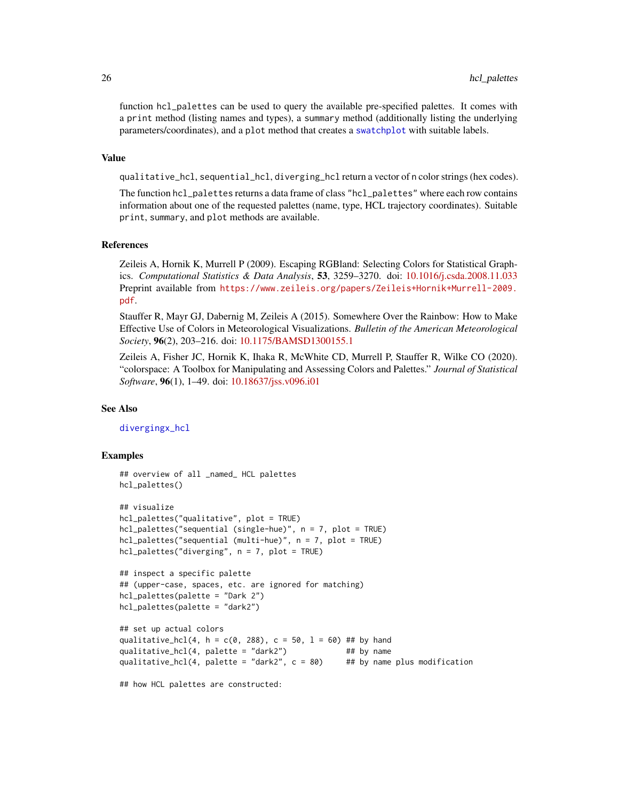function hcl\_palettes can be used to query the available pre-specified palettes. It comes with a print method (listing names and types), a summary method (additionally listing the underlying parameters/coordinates), and a plot method that creates a [swatchplot](#page-77-1) with suitable labels.

## Value

qualitative\_hcl, sequential\_hcl, diverging\_hcl return a vector of n color strings (hex codes).

The function hcl\_palettes returns a data frame of class "hcl\_palettes" where each row contains information about one of the requested palettes (name, type, HCL trajectory coordinates). Suitable print, summary, and plot methods are available.

#### References

Zeileis A, Hornik K, Murrell P (2009). Escaping RGBland: Selecting Colors for Statistical Graphics. *Computational Statistics & Data Analysis*, 53, 3259–3270. doi: [10.1016/j.csda.2008.11.033](https://doi.org/10.1016/j.csda.2008.11.033) Preprint available from [https://www.zeileis.org/papers/Zeileis+Hornik+Murrell-2009.](https://www.zeileis.org/papers/Zeileis+Hornik+Murrell-2009.pdf) [pdf](https://www.zeileis.org/papers/Zeileis+Hornik+Murrell-2009.pdf).

Stauffer R, Mayr GJ, Dabernig M, Zeileis A (2015). Somewhere Over the Rainbow: How to Make Effective Use of Colors in Meteorological Visualizations. *Bulletin of the American Meteorological Society*, 96(2), 203–216. doi: [10.1175/BAMSD1300155.1](https://doi.org/10.1175/BAMS-D-13-00155.1)

Zeileis A, Fisher JC, Hornik K, Ihaka R, McWhite CD, Murrell P, Stauffer R, Wilke CO (2020). "colorspace: A Toolbox for Manipulating and Assessing Colors and Palettes." *Journal of Statistical Software*, 96(1), 1–49. doi: [10.18637/jss.v096.i01](https://doi.org/10.18637/jss.v096.i01)

#### See Also

[divergingx\\_hcl](#page-15-1)

## Examples

```
## overview of all _named_ HCL palettes
hcl_palettes()
## visualize
hcl_palettes("qualitative", plot = TRUE)
hcl_palettes("sequential (single-hue)", n = 7, plot = TRUE)
hcl_palettes("sequential (multi-hue)", n = 7, plot = TRUE)
hcl_palettes("diverging", n = 7, plot = TRUE)
## inspect a specific palette
## (upper-case, spaces, etc. are ignored for matching)
hcl_palettes(palette = "Dark 2")
hcl_palettes(palette = "dark2")
## set up actual colors
qualitative_hcl(4, h = c(0, 288), c = 50, l = 60) ## by hand
qualitative_hcl(4, palette = "dark2") \qquad ## by name
qualitative_hcl(4, palette = "dark2", c = 80) ## by name plus modification
```
## how HCL palettes are constructed: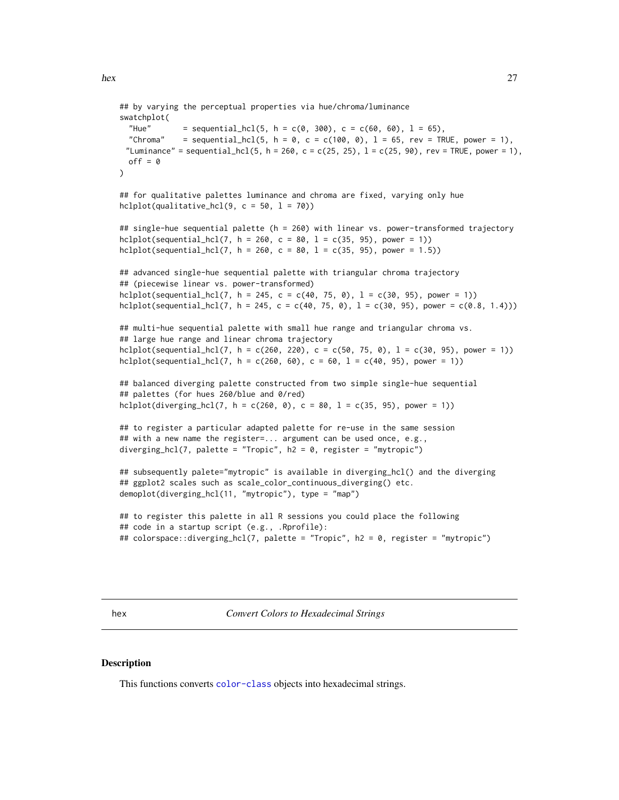```
## by varying the perceptual properties via hue/chroma/luminance
swatchplot(
  "Hue" = sequential_hcl(5, h = c(0, 300), c = c(60, 60), l = 65),
  "Chroma" = sequential_hcl(5, h = \theta, c = c(100, 0), l = 65, rev = TRUE, power = 1),
 "Luminance" = sequential_hcl(5, h = 260, c = c(25, 25), l = c(25, 90), rev = TRUE, power = 1),
 off = 0)
## for qualitative palettes luminance and chroma are fixed, varying only hue
hclplot(qualitative_hcl(9, c = 50, l = 70))
## single-hue sequential palette (h = 260) with linear vs. power-transformed trajectory
hclplot(sequential_hcl(7, h = 260, c = 80, l = c(35, 95), power = 1))hclplot(sequential_hcl(7, h = 260, c = 80, l = c(35, 95), power = 1.5))
## advanced single-hue sequential palette with triangular chroma trajectory
## (piecewise linear vs. power-transformed)
hclplot(sequential_hcl(7, h = 245, c = c(40, 75, 0), l = c(30, 95), power = 1))
hclplot(sequential_hcl(7, h = 245, c = c(40, 75, 0), l = c(30, 95), power = c(0.8, 1.4)))
## multi-hue sequential palette with small hue range and triangular chroma vs.
## large hue range and linear chroma trajectory
hclplot(sequential_hcl(7, h = c(260, 220), c = c(50, 75, 0), l = c(30, 95), power = 1))
hclplot(sequential_hcl(7, h = c(260, 60), c = 60, l = c(40, 95), power = 1))
## balanced diverging palette constructed from two simple single-hue sequential
## palettes (for hues 260/blue and 0/red)
hclplot(diverging_hcl(7, h = c(260, 0), c = 80, l = c(35, 95), power = 1))
## to register a particular adapted palette for re-use in the same session
## with a new name the register=... argument can be used once, e.g.,
diverging_hcl(7, palette = "Tropic", h2 = 0, register = "mytropic")
## subsequently palete="mytropic" is available in diverging_hcl() and the diverging
## ggplot2 scales such as scale_color_continuous_diverging() etc.
demoplot(diverging_hcl(11, "mytropic"), type = "map")
## to register this palette in all R sessions you could place the following
## code in a startup script (e.g., .Rprofile):
```
## colorspace::diverging\_hcl(7, palette = "Tropic", h2 = 0, register = "mytropic")

<span id="page-26-1"></span>hex *Convert Colors to Hexadecimal Strings*

#### **Description**

This functions converts [color-class](#page-6-1) objects into hexadecimal strings.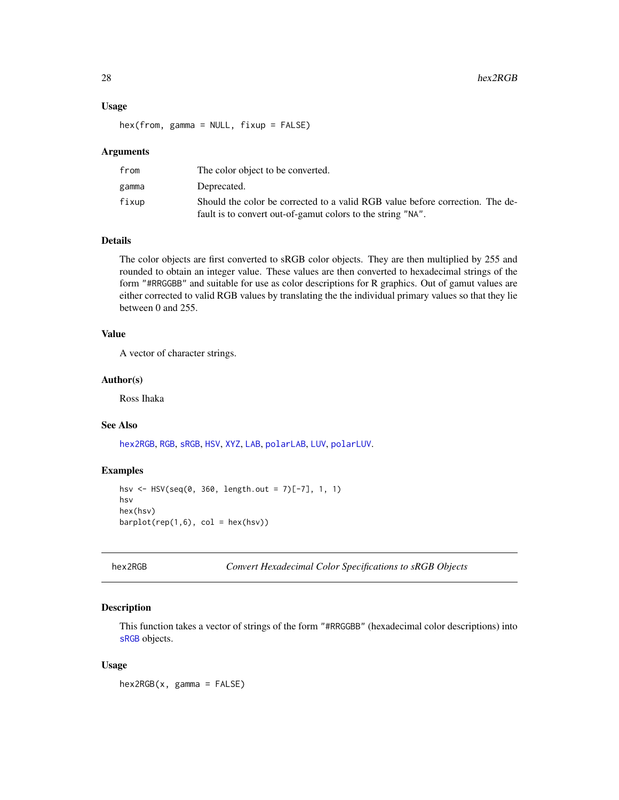## <span id="page-27-0"></span>Usage

hex(from, gamma = NULL, fixup = FALSE)

#### **Arguments**

| from  | The color object to be converted.                                                                                                            |
|-------|----------------------------------------------------------------------------------------------------------------------------------------------|
| gamma | Deprecated.                                                                                                                                  |
| fixup | Should the color be corrected to a valid RGB value before correction. The de-<br>fault is to convert out-of-gamut colors to the string "NA". |

## Details

The color objects are first converted to sRGB color objects. They are then multiplied by 255 and rounded to obtain an integer value. These values are then converted to hexadecimal strings of the form "#RRGGBB" and suitable for use as color descriptions for R graphics. Out of gamut values are either corrected to valid RGB values by translating the the individual primary values so that they lie between 0 and 255.

## Value

A vector of character strings.

#### Author(s)

Ross Ihaka

## See Also

[hex2RGB](#page-27-1), [RGB](#page-44-1), [sRGB](#page-76-1), [HSV](#page-29-1), [XYZ](#page-81-1), [LAB](#page-30-1), [polarLAB](#page-37-1), [LUV](#page-34-1), [polarLUV](#page-38-1).

#### Examples

```
hsv <- HSV(seq(0, 360, length.out = 7)[-7], 1, 1)
hsv
hex(hsv)
barplot(rep(1,6), col = hex(hsv))
```
<span id="page-27-1"></span>hex2RGB *Convert Hexadecimal Color Specifications to sRGB Objects*

#### Description

This function takes a vector of strings of the form "#RRGGBB" (hexadecimal color descriptions) into [sRGB](#page-76-1) objects.

## Usage

 $hex2RGB(x, gamma = FALSE)$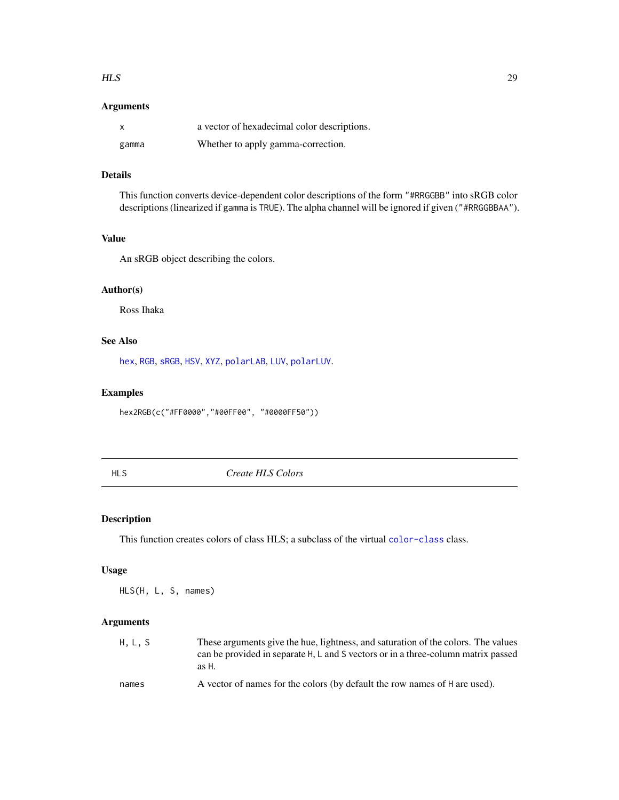#### <span id="page-28-0"></span> $HLS$  29

## Arguments

| X     | a vector of hexadecimal color descriptions. |
|-------|---------------------------------------------|
| gamma | Whether to apply gamma-correction.          |

## Details

This function converts device-dependent color descriptions of the form "#RRGGBB" into sRGB color descriptions (linearized if gamma is TRUE). The alpha channel will be ignored if given ("#RRGGBBAA").

## Value

An sRGB object describing the colors.

## Author(s)

Ross Ihaka

## See Also

[hex](#page-26-1), [RGB](#page-44-1), [sRGB](#page-76-1), [HSV](#page-29-1), [XYZ](#page-81-1), [polarLAB](#page-37-1), [LUV](#page-34-1), [polarLUV](#page-38-1).

#### Examples

hex2RGB(c("#FF0000","#00FF00", "#0000FF50"))

<span id="page-28-1"></span>HLS *Create HLS Colors*

## Description

This function creates colors of class HLS; a subclass of the virtual [color-class](#page-6-1) class.

## Usage

HLS(H, L, S, names)

## Arguments

| H.L.S | These arguments give the hue, lightness, and saturation of the colors. The values |
|-------|-----------------------------------------------------------------------------------|
|       | can be provided in separate H, L and S vectors or in a three-column matrix passed |
|       | as H.                                                                             |
|       |                                                                                   |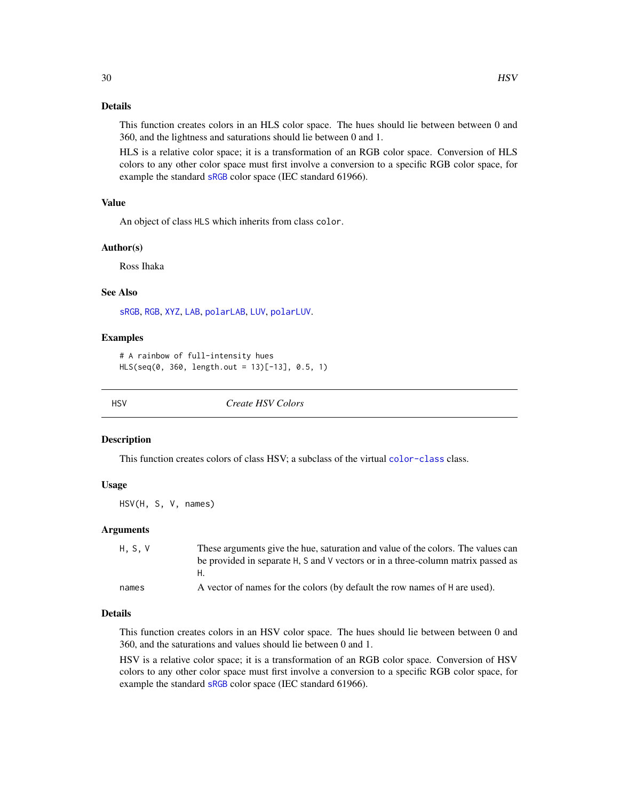## <span id="page-29-0"></span>Details

This function creates colors in an HLS color space. The hues should lie between between 0 and 360, and the lightness and saturations should lie between 0 and 1.

HLS is a relative color space; it is a transformation of an RGB color space. Conversion of HLS colors to any other color space must first involve a conversion to a specific RGB color space, for example the standard [sRGB](#page-76-1) color space (IEC standard 61966).

## Value

An object of class HLS which inherits from class color.

#### Author(s)

Ross Ihaka

## See Also

[sRGB](#page-76-1), [RGB](#page-44-1), [XYZ](#page-81-1), [LAB](#page-30-1), [polarLAB](#page-37-1), [LUV](#page-34-1), [polarLUV](#page-38-1).

## Examples

```
# A rainbow of full-intensity hues
HLS(seq(0, 360, length.out = 13)[-13], 0.5, 1)
```
<span id="page-29-1"></span>

HSV *Create HSV Colors*

#### **Description**

This function creates colors of class HSV; a subclass of the virtual [color-class](#page-6-1) class.

#### Usage

HSV(H, S, V, names)

#### Arguments

| H.S. V | These arguments give the hue, saturation and value of the colors. The values can |
|--------|----------------------------------------------------------------------------------|
|        | be provided in separate H, S and V vectors or in a three-column matrix passed as |
|        |                                                                                  |
| names  | A vector of names for the colors (by default the row names of H are used).       |

#### Details

This function creates colors in an HSV color space. The hues should lie between between 0 and 360, and the saturations and values should lie between 0 and 1.

HSV is a relative color space; it is a transformation of an RGB color space. Conversion of HSV colors to any other color space must first involve a conversion to a specific RGB color space, for example the standard [sRGB](#page-76-1) color space (IEC standard 61966).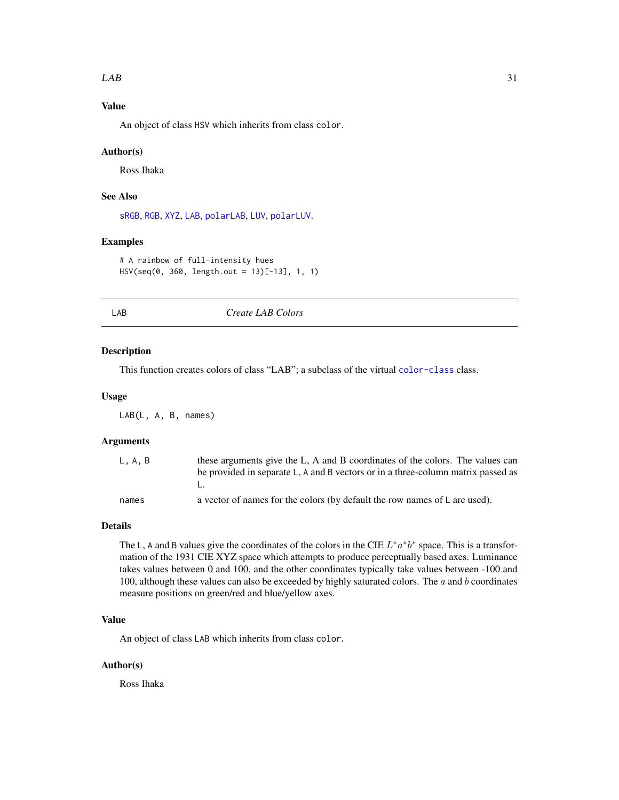#### <span id="page-30-0"></span> $LAB$  31

## Value

An object of class HSV which inherits from class color.

## Author(s)

Ross Ihaka

## See Also

[sRGB](#page-76-1), [RGB](#page-44-1), [XYZ](#page-81-1), [LAB](#page-30-1), [polarLAB](#page-37-1), [LUV](#page-34-1), [polarLUV](#page-38-1).

#### Examples

```
# A rainbow of full-intensity hues
HSV(seq(0, 360, length.out = 13)[-13], 1, 1)
```
<span id="page-30-1"></span>

## LAB *Create LAB Colors*

## Description

This function creates colors of class "LAB"; a subclass of the virtual [color-class](#page-6-1) class.

#### Usage

LAB(L, A, B, names)

## Arguments

| L.A.B | these arguments give the L, A and B coordinates of the colors. The values can    |
|-------|----------------------------------------------------------------------------------|
|       | be provided in separate L, A and B vectors or in a three-column matrix passed as |
|       |                                                                                  |
| names | a vector of names for the colors (by default the row names of L are used).       |

#### Details

The L, A and B values give the coordinates of the colors in the CIE  $L^* a^* b^*$  space. This is a transformation of the 1931 CIE XYZ space which attempts to produce perceptually based axes. Luminance takes values between 0 and 100, and the other coordinates typically take values between -100 and 100, although these values can also be exceeded by highly saturated colors. The  $a$  and  $b$  coordinates measure positions on green/red and blue/yellow axes.

## Value

An object of class LAB which inherits from class color.

## Author(s)

Ross Ihaka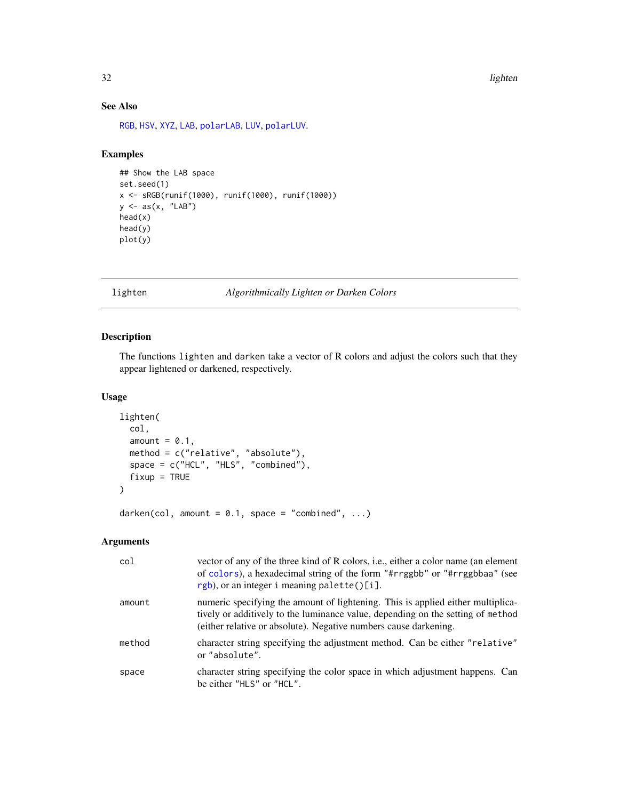#### 32 lighten was a strong of the strong strong strong strong strong strong strong strong strong strong strong strong strong strong strong strong strong strong strong strong strong strong strong strong strong strong strong st

## See Also

[RGB](#page-44-1), [HSV](#page-29-1), [XYZ](#page-81-1), [LAB](#page-30-1), [polarLAB](#page-37-1), [LUV](#page-34-1), [polarLUV](#page-38-1).

## Examples

```
## Show the LAB space
set.seed(1)
x <- sRGB(runif(1000), runif(1000), runif(1000))
y \leftarrow as(x, "LAB")head(x)
head(y)
plot(y)
```
<span id="page-31-1"></span>lighten *Algorithmically Lighten or Darken Colors*

## Description

The functions lighten and darken take a vector of R colors and adjust the colors such that they appear lightened or darkened, respectively.

## Usage

```
lighten(
  col,
  amount = 0.1,
 method = c("relative", "absolute"),
  space = c("HCL", "HLS", "combined"),
  fixup = TRUE\mathcal{L}
```
darken(col, amount =  $0.1$ , space = "combined", ...)

## Arguments

| col    | vector of any of the three kind of R colors, i.e., either a color name (an element<br>of colors), a hexadecimal string of the form "#rrggbb" or "#rrggbbaa" (see<br>$rgb)$ , or an integer i meaning palette()[i].                     |
|--------|----------------------------------------------------------------------------------------------------------------------------------------------------------------------------------------------------------------------------------------|
| amount | numeric specifying the amount of lightening. This is applied either multiplica-<br>tively or additively to the luminance value, depending on the setting of method<br>(either relative or absolute). Negative numbers cause darkening. |
| method | character string specifying the adjustment method. Can be either "relative"<br>or "absolute".                                                                                                                                          |
| space  | character string specifying the color space in which adjustment happens. Can<br>be either "HLS" or "HCL".                                                                                                                              |

<span id="page-31-0"></span>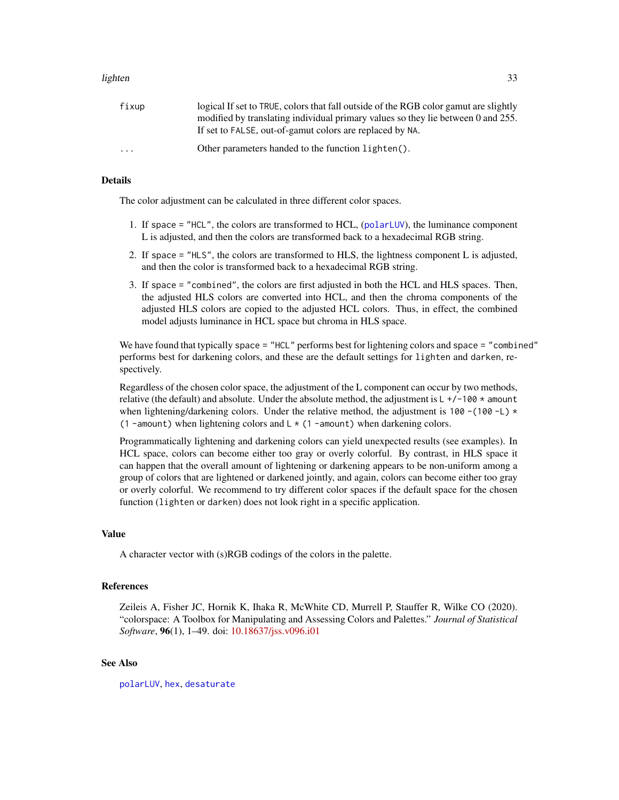#### lighten 33

| fixup                   | logical If set to TRUE, colors that fall outside of the RGB color gamut are slightly |
|-------------------------|--------------------------------------------------------------------------------------|
|                         | modified by translating individual primary values so they lie between 0 and 255.     |
|                         | If set to FALSE, out-of-gamut colors are replaced by NA.                             |
| $\cdot$ $\cdot$ $\cdot$ | Other parameters handed to the function lighten().                                   |

## Details

The color adjustment can be calculated in three different color spaces.

- 1. If space = "HCL", the colors are transformed to HCL, ([polarLUV](#page-38-1)), the luminance component L is adjusted, and then the colors are transformed back to a hexadecimal RGB string.
- 2. If space = "HLS", the colors are transformed to HLS, the lightness component L is adjusted, and then the color is transformed back to a hexadecimal RGB string.
- 3. If space = "combined", the colors are first adjusted in both the HCL and HLS spaces. Then, the adjusted HLS colors are converted into HCL, and then the chroma components of the adjusted HLS colors are copied to the adjusted HCL colors. Thus, in effect, the combined model adjusts luminance in HCL space but chroma in HLS space.

We have found that typically space = "HCL" performs best for lightening colors and space = "combined" performs best for darkening colors, and these are the default settings for lighten and darken, respectively.

Regardless of the chosen color space, the adjustment of the L component can occur by two methods, relative (the default) and absolute. Under the absolute method, the adjustment is  $L +$ /-100  $*$  amount when lightening/darkening colors. Under the relative method, the adjustment is 100 -(100 -L)  $\star$ (1 -amount) when lightening colors and  $L \times (1 - \text{amount})$  when darkening colors.

Programmatically lightening and darkening colors can yield unexpected results (see examples). In HCL space, colors can become either too gray or overly colorful. By contrast, in HLS space it can happen that the overall amount of lightening or darkening appears to be non-uniform among a group of colors that are lightened or darkened jointly, and again, colors can become either too gray or overly colorful. We recommend to try different color spaces if the default space for the chosen function (lighten or darken) does not look right in a specific application.

## Value

A character vector with (s)RGB codings of the colors in the palette.

#### **References**

Zeileis A, Fisher JC, Hornik K, Ihaka R, McWhite CD, Murrell P, Stauffer R, Wilke CO (2020). "colorspace: A Toolbox for Manipulating and Assessing Colors and Palettes." *Journal of Statistical Software*, 96(1), 1–49. doi: [10.18637/jss.v096.i01](https://doi.org/10.18637/jss.v096.i01)

## See Also

[polarLUV](#page-38-1), [hex](#page-26-1), [desaturate](#page-14-1)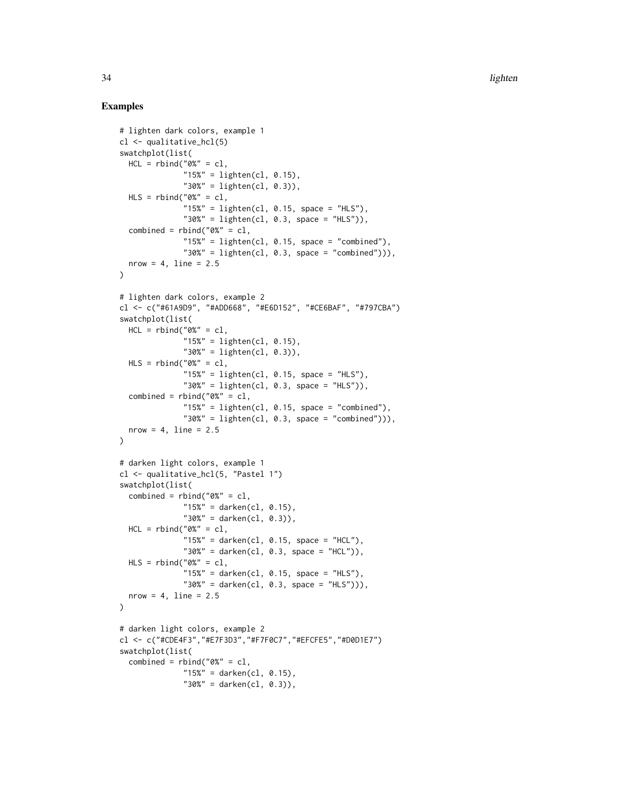## Examples

```
# lighten dark colors, example 1
cl <- qualitative_hcl(5)
swatchplot(list(
  HCL = rbind("0%" = c1,"15%" = lighten(cl, 0.15),
               "30%" = lighten(cl, 0.3)),
  HLS = rbind("0%" = c1,"15%" = lighten(cl, 0.15, space = "HLS"),
               "30\%" = lighten(cl, 0.3, space = "HLS")),
  combined = rbind("0%" = c1,"15\" = lighten(cl, 0.15, space = "combined"),
               "30\%" = lighten(cl, 0.3, space = "combined")),
 nrow = 4, line = 2.5\lambda# lighten dark colors, example 2
cl <- c("#61A9D9", "#ADD668", "#E6D152", "#CE6BAF", "#797CBA")
swatchplot(list(
  HCL = \text{rbind}("0\%" = c1,"15\%" = lighten(cl, 0.15),"30\%" = lighten(cl, 0.3)),HLS = rbind("0%" = c1,"15\" = lighten(cl, 0.15, space = "HLS"),
              "30%" = lighten(cl, 0.3, space = "HLS")),
  combined = rbind("0%" = c1,"15\" = lighten(cl, 0.15, space = "combined"),
               "30\%" = lighten(cl, 0.3, space = "combined")),
  nrow = 4, line = 2.5\mathcal{L}# darken light colors, example 1
cl <- qualitative_hcl(5, "Pastel 1")
swatchplot(list(
  combined = rbind("0%" = c1,"15\" = darken(cl, 0.15),
               "30%" = darken(cl, 0.3)),
  HCL = \text{rbind}("0\%" = c1,"15\%" = \text{darken}(\text{cl}, 0.15, \text{ space} = "HCL"),
               "30\%" = \text{darken(cl, 0.3, space = "HCl")},HLS = rbind("0%" = c1,"15\" = darken(cl, 0.15, space = "HLS"),
               "30%" = darken(cl, 0.3, space = "HLS"))),
  nrow = 4, line = 2.5
\mathcal{L}# darken light colors, example 2
cl <- c("#CDE4F3","#E7F3D3","#F7F0C7","#EFCFE5","#D0D1E7")
swatchplot(list(
  combined = rbind("0%" = c1,"15\" = darken(cl, 0.15),
              "30\%" = \text{darken}(\text{cl}, 0.3),
```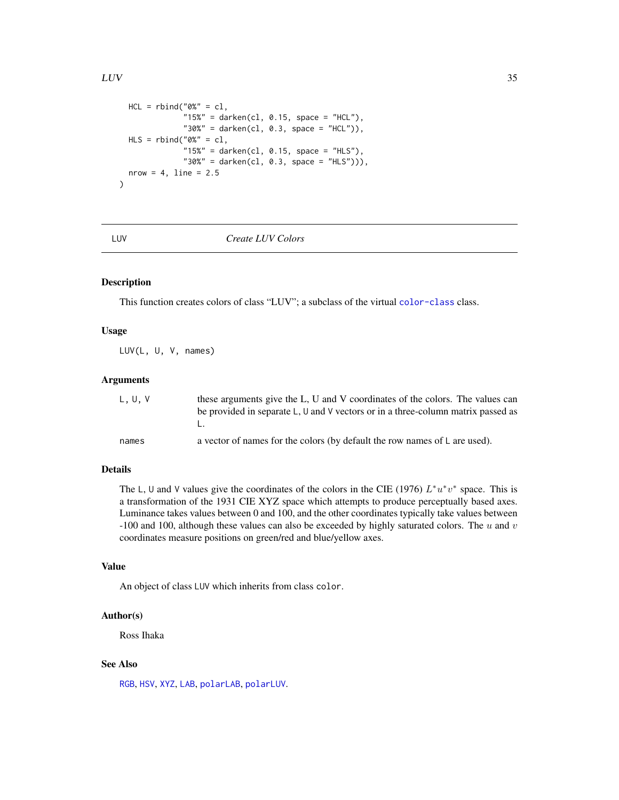```
HCL = \text{rbind}("0\%" = c1,"15\" = darken(cl, 0.15, space = "HCL"),
               "30%" = darken(cl, 0.3, space = "HCL")),
 HLS = rbind("0%" = c1,"15\" = darken(cl, 0.15, space = "HLS"),
              "30\%" = \text{darken(cl, 0.3, space = "HLS")),
 nrow = 4, line = 2.5
)
```
<span id="page-34-1"></span>

LUV *Create LUV Colors*

## Description

This function creates colors of class "LUV"; a subclass of the virtual [color-class](#page-6-1) class.

## Usage

LUV(L, U, V, names)

#### Arguments

| L.U.V | these arguments give the L, U and V coordinates of the colors. The values can         |
|-------|---------------------------------------------------------------------------------------|
|       | be provided in separate L, U and V vectors or in a three-column matrix passed as      |
|       |                                                                                       |
| names | a vector of names for the colors (by default the row names of $\mathsf{L}$ are used). |

## Details

The L, U and V values give the coordinates of the colors in the CIE (1976)  $L^*u^*v^*$  space. This is a transformation of the 1931 CIE XYZ space which attempts to produce perceptually based axes. Luminance takes values between 0 and 100, and the other coordinates typically take values between -100 and 100, although these values can also be exceeded by highly saturated colors. The  $u$  and  $v$ coordinates measure positions on green/red and blue/yellow axes.

## Value

An object of class LUV which inherits from class color.

## Author(s)

Ross Ihaka

## See Also

[RGB](#page-44-1), [HSV](#page-29-1), [XYZ](#page-81-1), [LAB](#page-30-1), [polarLAB](#page-37-1), [polarLUV](#page-38-1).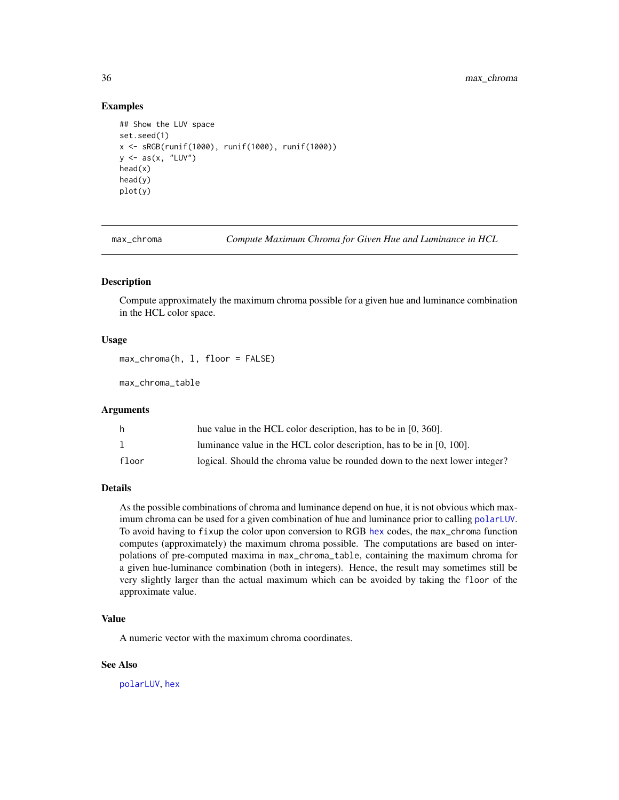## <span id="page-35-0"></span>Examples

```
## Show the LUV space
set.seed(1)
x <- sRGB(runif(1000), runif(1000), runif(1000))
y \leftarrow as(x, "LUV")head(x)
head(y)
plot(y)
```
max\_chroma *Compute Maximum Chroma for Given Hue and Luminance in HCL*

## **Description**

Compute approximately the maximum chroma possible for a given hue and luminance combination in the HCL color space.

## Usage

max\_chroma(h, l, floor = FALSE)

max\_chroma\_table

#### Arguments

| h     | hue value in the HCL color description, has to be in $[0, 360]$ .           |
|-------|-----------------------------------------------------------------------------|
|       | luminance value in the HCL color description, has to be in [0, 100].        |
| floor | logical. Should the chroma value be rounded down to the next lower integer? |

## Details

As the possible combinations of chroma and luminance depend on hue, it is not obvious which maximum chroma can be used for a given combination of hue and luminance prior to calling [polarLUV](#page-38-1). To avoid having to fixup the color upon conversion to RGB [hex](#page-26-1) codes, the max\_chroma function computes (approximately) the maximum chroma possible. The computations are based on interpolations of pre-computed maxima in max\_chroma\_table, containing the maximum chroma for a given hue-luminance combination (both in integers). Hence, the result may sometimes still be very slightly larger than the actual maximum which can be avoided by taking the floor of the approximate value.

## Value

A numeric vector with the maximum chroma coordinates.

## See Also

[polarLUV](#page-38-1), [hex](#page-26-1)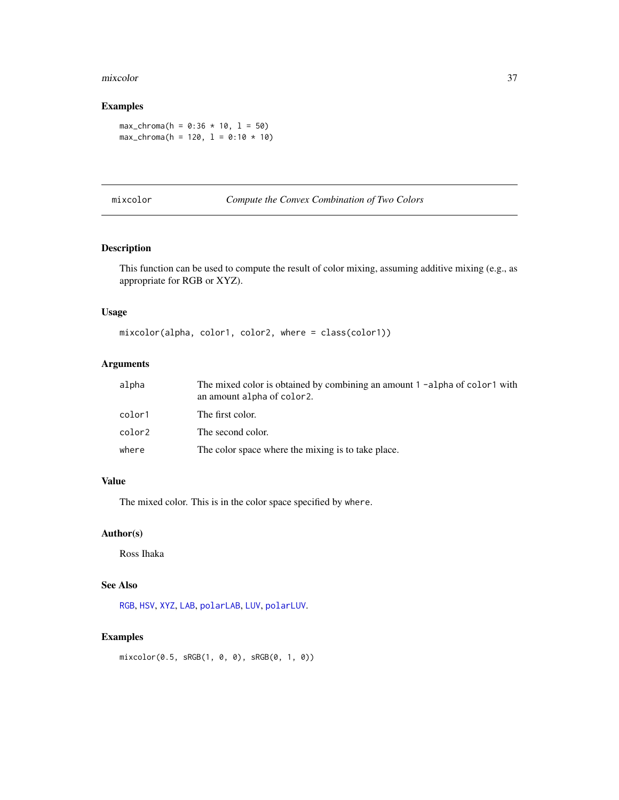#### mixcolor 37

### Examples

 $max_{c}$ chroma(h = 0:36 \* 10, 1 = 50)  $max_{c}$ chroma(h = 120, 1 = 0:10 \* 10)

| mixcolor |  |
|----------|--|
|          |  |
|          |  |
|          |  |

# mixcolor *Compute the Convex Combination of Two Colors*

# Description

This function can be used to compute the result of color mixing, assuming additive mixing (e.g., as appropriate for RGB or XYZ).

# Usage

mixcolor(alpha, color1, color2, where = class(color1))

# Arguments

| alpha  | The mixed color is obtained by combining an amount 1 -alpha of color1 with<br>an amount alpha of color <sub>2</sub> . |
|--------|-----------------------------------------------------------------------------------------------------------------------|
| color1 | The first color.                                                                                                      |
| color2 | The second color.                                                                                                     |
| where  | The color space where the mixing is to take place.                                                                    |

# Value

The mixed color. This is in the color space specified by where.

### Author(s)

Ross Ihaka

# See Also

[RGB](#page-44-0), [HSV](#page-29-0), [XYZ](#page-81-0), [LAB](#page-30-0), [polarLAB](#page-37-0), [LUV](#page-34-0), [polarLUV](#page-38-0).

# Examples

mixcolor(0.5, sRGB(1, 0, 0), sRGB(0, 1, 0))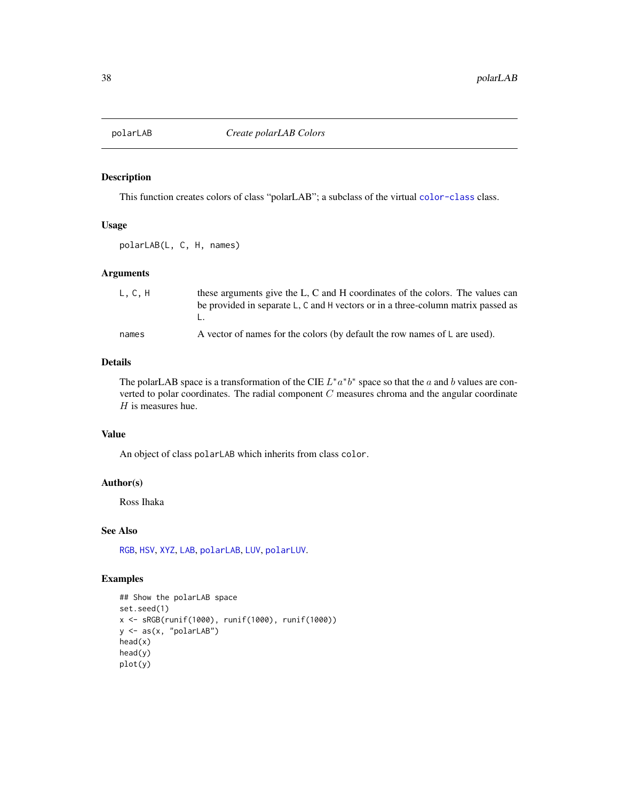<span id="page-37-0"></span>

This function creates colors of class "polarLAB"; a subclass of the virtual [color-class](#page-6-0) class.

### Usage

polarLAB(L, C, H, names)

# Arguments

| L.C.H | these arguments give the L, C and H coordinates of the colors. The values can<br>be provided in separate L, C and H vectors or in a three-column matrix passed as |
|-------|-------------------------------------------------------------------------------------------------------------------------------------------------------------------|
| names | A vector of names for the colors (by default the row names of L are used).                                                                                        |

### Details

The polarLAB space is a transformation of the CIE  $L^* a^* b^*$  space so that the a and b values are converted to polar coordinates. The radial component  $C$  measures chroma and the angular coordinate  $H$  is measures hue.

### Value

An object of class polarLAB which inherits from class color.

### Author(s)

Ross Ihaka

#### See Also

[RGB](#page-44-0), [HSV](#page-29-0), [XYZ](#page-81-0), [LAB](#page-30-0), [polarLAB](#page-37-0), [LUV](#page-34-0), [polarLUV](#page-38-0).

```
## Show the polarLAB space
set.seed(1)
x <- sRGB(runif(1000), runif(1000), runif(1000))
y <- as(x, "polarLAB")
head(x)
head(y)
plot(y)
```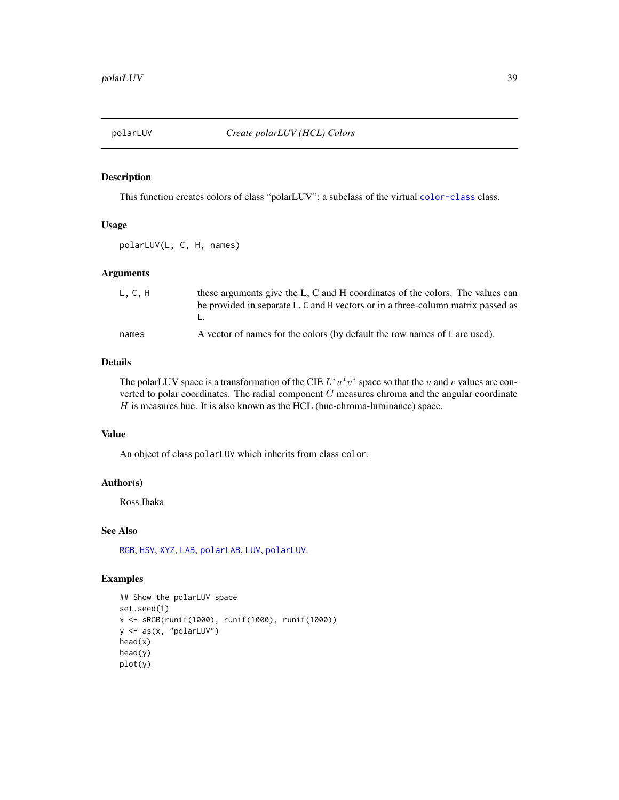<span id="page-38-0"></span>

This function creates colors of class "polarLUV"; a subclass of the virtual [color-class](#page-6-0) class.

#### Usage

polarLUV(L, C, H, names)

# Arguments

| L.C.H | these arguments give the L, C and H coordinates of the colors. The values can<br>be provided in separate L, C and H vectors or in a three-column matrix passed as |
|-------|-------------------------------------------------------------------------------------------------------------------------------------------------------------------|
| names | A vector of names for the colors (by default the row names of L are used).                                                                                        |

### Details

The polarLUV space is a transformation of the CIE  $L^*u^*v^*$  space so that the u and v values are converted to polar coordinates. The radial component  $C$  measures chroma and the angular coordinate  $H$  is measures hue. It is also known as the HCL (hue-chroma-luminance) space.

### Value

An object of class polarLUV which inherits from class color.

### Author(s)

Ross Ihaka

#### See Also

[RGB](#page-44-0), [HSV](#page-29-0), [XYZ](#page-81-0), [LAB](#page-30-0), [polarLAB](#page-37-0), [LUV](#page-34-0), [polarLUV](#page-38-0).

```
## Show the polarLUV space
set.seed(1)
x <- sRGB(runif(1000), runif(1000), runif(1000))
y <- as(x, "polarLUV")
head(x)
head(y)
plot(y)
```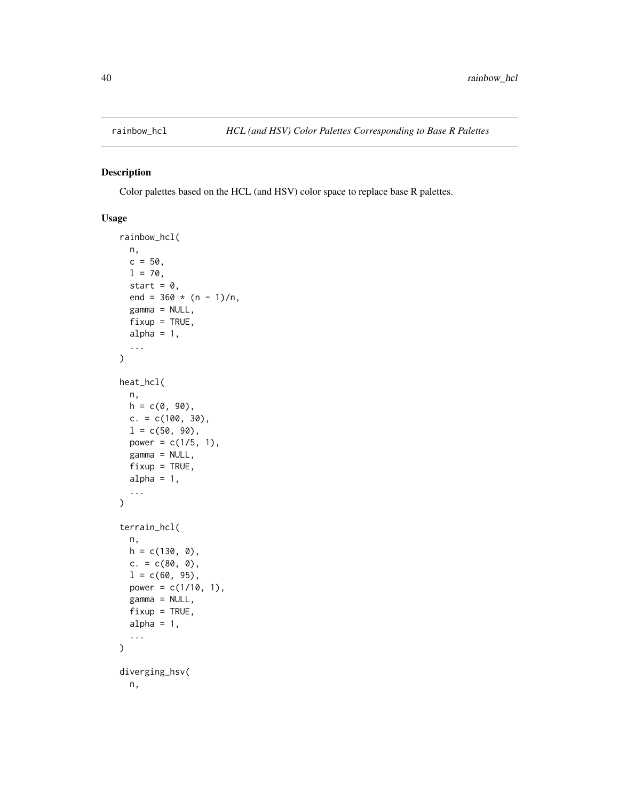Color palettes based on the HCL (and HSV) color space to replace base R palettes.

```
rainbow_hcl(
 n,
 c = 50,
  1 = 70,
  start = 0,
  end = 360 \times (n - 1)/n,
  gamma = NULL,fixup = TRUE,alpha = 1,
  ...
)
heat_hcl(
  n,
 h = c(0, 90),
 c. = c(100, 30),l = c(50, 90),
 power = c(1/5, 1),
 gamma = NULL,
  fixup = TRUE,alpha = 1,
  ...
)
terrain_hcl(
 n,
 h = c(130, 0),
 c. = c(80, 0),l = c(60, 95),
 power = c(1/10, 1),gamma = NULL,
 fixup = TRUE,alpha = 1,
  ...
\mathcal{L}diverging_hsv(
 n,
```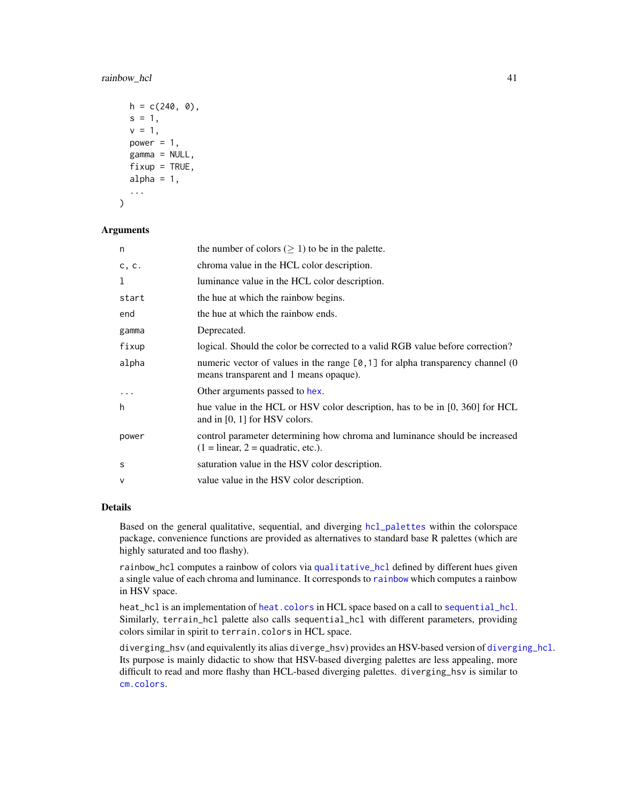### rainbow\_hcl 41

```
h = c(240, 0),
s = 1,
v = 1,
power = 1,
gamma = NULL,
fixup = TRUE,alpha = 1,
...
```
#### Arguments

)

| n            | the number of colors ( $\geq$ 1) to be in the palette.                                                                           |
|--------------|----------------------------------------------------------------------------------------------------------------------------------|
| c, c.        | chroma value in the HCL color description.                                                                                       |
| 1            | luminance value in the HCL color description.                                                                                    |
| start        | the hue at which the rainbow begins.                                                                                             |
| end          | the hue at which the rainbow ends.                                                                                               |
| gamma        | Deprecated.                                                                                                                      |
| fixup        | logical. Should the color be corrected to a valid RGB value before correction?                                                   |
| alpha        | numeric vector of values in the range $[0, 1]$ for alpha transparency channel $(0, 1)$<br>means transparent and 1 means opaque). |
| $\ddotsc$    | Other arguments passed to hex.                                                                                                   |
| h            | hue value in the HCL or HSV color description, has to be in [0, 360] for HCL<br>and in $[0, 1]$ for HSV colors.                  |
| power        | control parameter determining how chroma and luminance should be increased<br>$(1 = linear, 2 = quadratic, etc.).$               |
| S            | saturation value in the HSV color description.                                                                                   |
| $\mathsf{V}$ | value value in the HSV color description.                                                                                        |

### Details

Based on the general qualitative, sequential, and diverging [hcl\\_palettes](#page-21-0) within the colorspace package, convenience functions are provided as alternatives to standard base R palettes (which are highly saturated and too flashy).

rainbow\_hcl computes a rainbow of colors via [qualitative\\_hcl](#page-21-1) defined by different hues given a single value of each chroma and luminance. It corresponds to [rainbow](#page-0-0) which computes a rainbow in HSV space.

heat\_hcl is an implementation of [heat.colors](#page-0-0) in HCL space based on a call to [sequential\\_hcl](#page-21-1). Similarly, terrain\_hcl palette also calls sequential\_hcl with different parameters, providing colors similar in spirit to terrain.colors in HCL space.

diverging\_hsv (and equivalently its alias diverge\_hsv) provides an HSV-based version of [diverging\\_hcl](#page-21-1). Its purpose is mainly didactic to show that HSV-based diverging palettes are less appealing, more difficult to read and more flashy than HCL-based diverging palettes. diverging\_hsv is similar to [cm.colors](#page-0-0).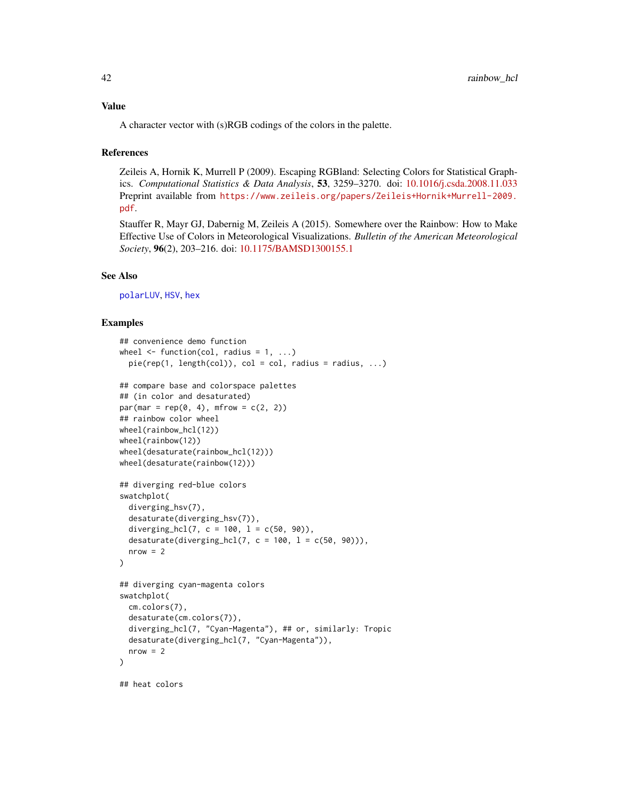A character vector with (s)RGB codings of the colors in the palette.

#### References

Zeileis A, Hornik K, Murrell P (2009). Escaping RGBland: Selecting Colors for Statistical Graphics. *Computational Statistics & Data Analysis*, 53, 3259–3270. doi: [10.1016/j.csda.2008.11.033](https://doi.org/10.1016/j.csda.2008.11.033) Preprint available from [https://www.zeileis.org/papers/Zeileis+Hornik+Murrell-2009.](https://www.zeileis.org/papers/Zeileis+Hornik+Murrell-2009.pdf) [pdf](https://www.zeileis.org/papers/Zeileis+Hornik+Murrell-2009.pdf).

Stauffer R, Mayr GJ, Dabernig M, Zeileis A (2015). Somewhere over the Rainbow: How to Make Effective Use of Colors in Meteorological Visualizations. *Bulletin of the American Meteorological Society*, 96(2), 203–216. doi: [10.1175/BAMSD1300155.1](https://doi.org/10.1175/BAMS-D-13-00155.1)

#### See Also

[polarLUV](#page-38-0), [HSV](#page-29-0), [hex](#page-26-0)

### Examples

```
## convenience demo function
wheel \leq function(col, radius = 1, ...)
 pie(rep(1, length(col)), col = col, radius = radius, ...)## compare base and colorspace palettes
## (in color and desaturated)
par(max = rep(0, 4), mfrom = c(2, 2))## rainbow color wheel
wheel(rainbow_hcl(12))
wheel(rainbow(12))
wheel(desaturate(rainbow_hcl(12)))
wheel(desaturate(rainbow(12)))
## diverging red-blue colors
swatchplot(
 diverging_hsv(7),
 desaturate(diverging_hsv(7)),
 diverging_hcl(7, c = 100, l = c(50, 90)),
 desaturate(diverging_hcl(7, c = 100, l = c(50, 90))),
 nrow = 2)
## diverging cyan-magenta colors
swatchplot(
 cm.colors(7),
 desaturate(cm.colors(7)),
 diverging_hcl(7, "Cyan-Magenta"), ## or, similarly: Tropic
 desaturate(diverging_hcl(7, "Cyan-Magenta")),
 nrow = 2)
```
## heat colors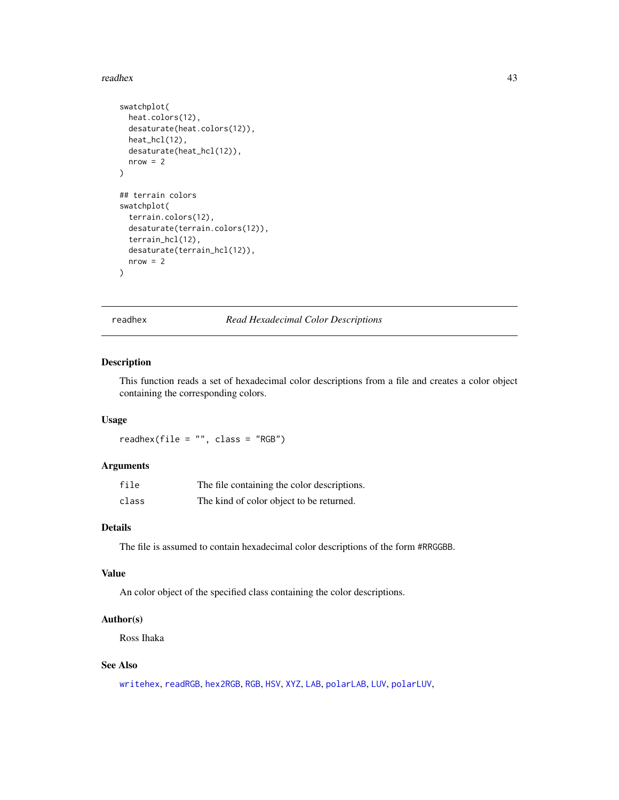#### readhex 43

```
swatchplot(
 heat.colors(12),
 desaturate(heat.colors(12)),
 heat_hcl(12),
 desaturate(heat_hcl(12)),
 nrow = 2)
## terrain colors
swatchplot(
 terrain.colors(12),
 desaturate(terrain.colors(12)),
 terrain_hcl(12),
 desaturate(terrain_hcl(12)),
 nrow = 2)
```
<span id="page-42-0"></span>readhex *Read Hexadecimal Color Descriptions*

#### Description

This function reads a set of hexadecimal color descriptions from a file and creates a color object containing the corresponding colors.

#### Usage

 $readhex(file = "", class = "RGB")$ 

### Arguments

| file  | The file containing the color descriptions. |
|-------|---------------------------------------------|
| class | The kind of color object to be returned.    |

# Details

The file is assumed to contain hexadecimal color descriptions of the form #RRGGBB.

### Value

An color object of the specified class containing the color descriptions.

### Author(s)

Ross Ihaka

# See Also

[writehex](#page-80-0), [readRGB](#page-43-0), [hex2RGB](#page-27-0), [RGB](#page-44-0), [HSV](#page-29-0), [XYZ](#page-81-0), [LAB](#page-30-0), [polarLAB](#page-37-0), [LUV](#page-34-0), [polarLUV](#page-38-0),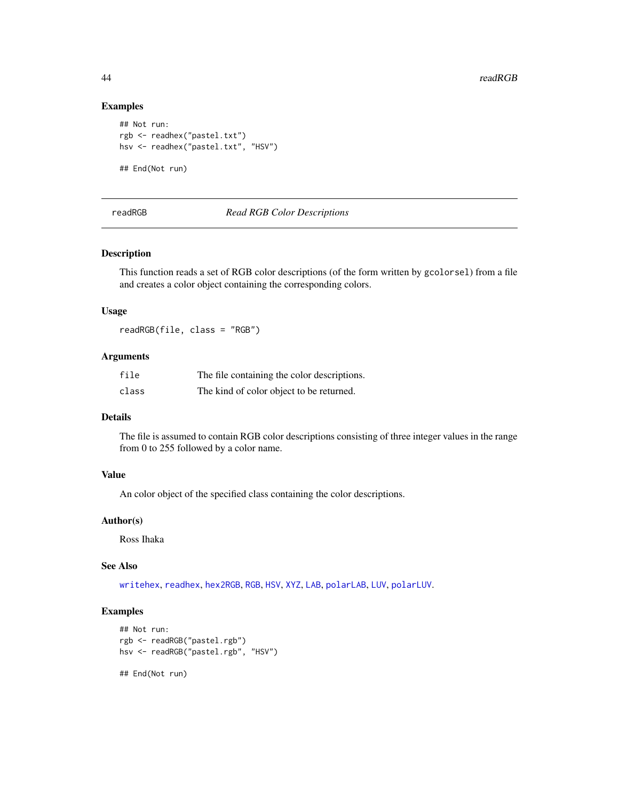#### Examples

```
## Not run:
rgb <- readhex("pastel.txt")
hsv <- readhex("pastel.txt", "HSV")
## End(Not run)
```
<span id="page-43-0"></span>readRGB *Read RGB Color Descriptions*

#### Description

This function reads a set of RGB color descriptions (of the form written by gcolorsel) from a file and creates a color object containing the corresponding colors.

# Usage

readRGB(file, class = "RGB")

### Arguments

| file  | The file containing the color descriptions. |
|-------|---------------------------------------------|
| class | The kind of color object to be returned.    |

#### Details

The file is assumed to contain RGB color descriptions consisting of three integer values in the range from 0 to 255 followed by a color name.

#### Value

An color object of the specified class containing the color descriptions.

#### Author(s)

Ross Ihaka

# See Also

[writehex](#page-80-0), [readhex](#page-42-0), [hex2RGB](#page-27-0), [RGB](#page-44-0), [HSV](#page-29-0), [XYZ](#page-81-0), [LAB](#page-30-0), [polarLAB](#page-37-0), [LUV](#page-34-0), [polarLUV](#page-38-0).

```
## Not run:
rgb <- readRGB("pastel.rgb")
hsv <- readRGB("pastel.rgb", "HSV")
## End(Not run)
```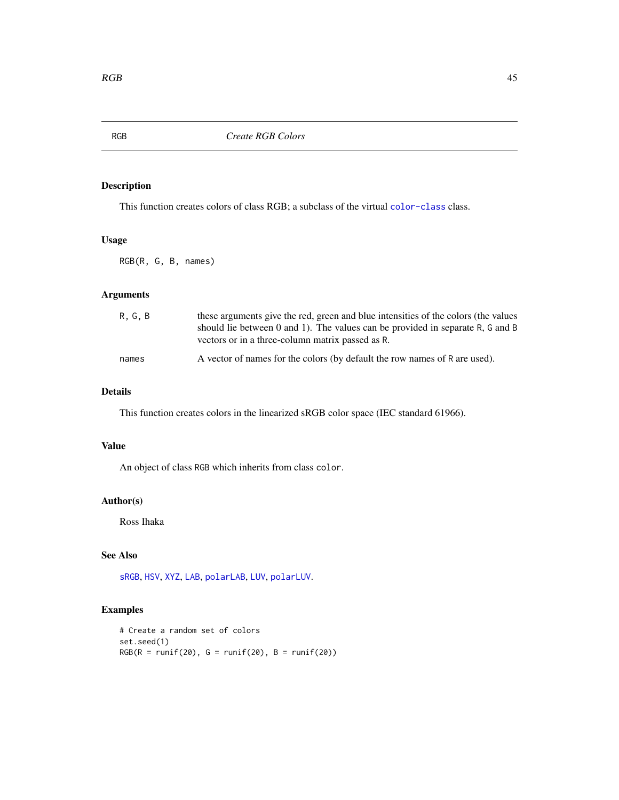<span id="page-44-0"></span>

This function creates colors of class RGB; a subclass of the virtual [color-class](#page-6-0) class.

### Usage

RGB(R, G, B, names)

# Arguments

| R.G.B | these arguments give the red, green and blue intensities of the colors (the values<br>should lie between 0 and 1). The values can be provided in separate R, G and B<br>vectors or in a three-column matrix passed as R. |
|-------|--------------------------------------------------------------------------------------------------------------------------------------------------------------------------------------------------------------------------|
| names | A vector of names for the colors (by default the row names of R are used).                                                                                                                                               |

# Details

This function creates colors in the linearized sRGB color space (IEC standard 61966).

#### Value

An object of class RGB which inherits from class color.

### Author(s)

Ross Ihaka

# See Also

[sRGB](#page-76-0), [HSV](#page-29-0), [XYZ](#page-81-0), [LAB](#page-30-0), [polarLAB](#page-37-0), [LUV](#page-34-0), [polarLUV](#page-38-0).

```
# Create a random set of colors
set.seed(1)
RGB(R = runif(20), G = runif(20), B = runif(20))
```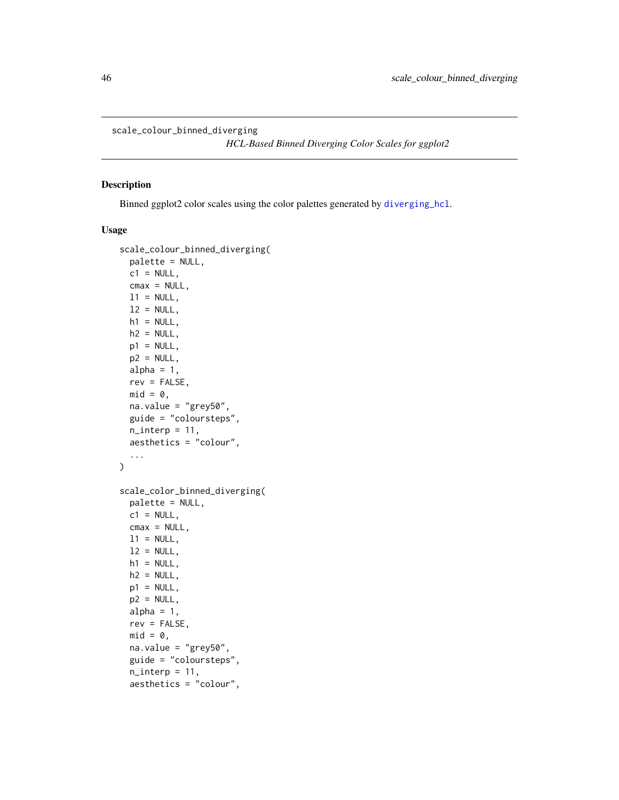scale\_colour\_binned\_diverging

*HCL-Based Binned Diverging Color Scales for ggplot2*

### Description

Binned ggplot2 color scales using the color palettes generated by [diverging\\_hcl](#page-21-1).

```
scale_colour_binned_diverging(
 palette = NULL,
 c1 = NULL,cmax = NULL,l1 = NULL,12 = NULL,h1 = NULL,h2 = NULL,p1 = NULL,p2 = NULL,alpha = 1,
 rev = FALSE,
 mid = 0,na.value = "grey50",
 guide = "coloursteps",
 n_{\text{interp}} = 11,
  aesthetics = "colour",
  ...
\mathcal{E}scale_color_binned_diverging(
 palette = NULL,
 c1 = NULL,cmax = NULL,l1 = NULL,l2 = NULL,h1 = NULL,h2 = NULL,p1 = NULL,p2 = NULL,alpha = 1,
  rev = FALSE,
 mid = 0,na.value = "grey50",
 guide = "coloursteps",
 n_{\text{interp}} = 11,
  aesthetics = "colour",
```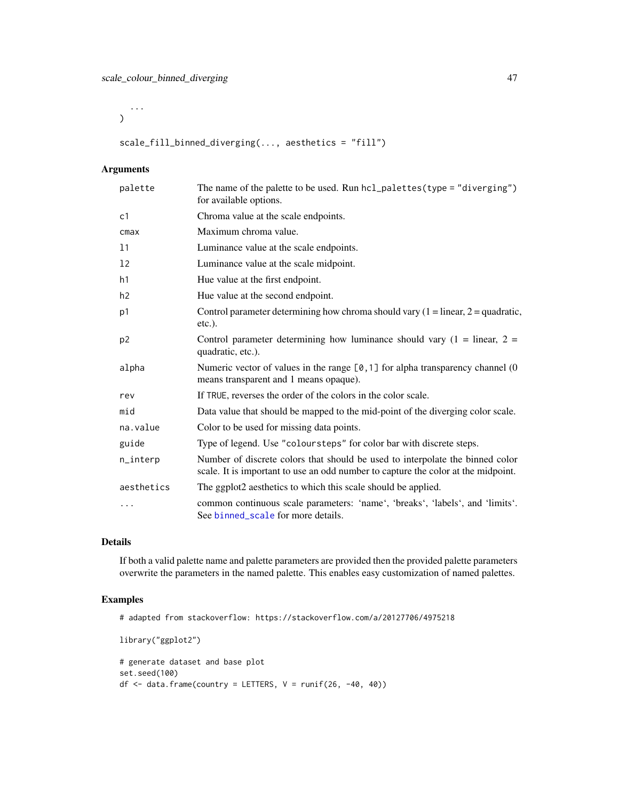...  $\mathcal{L}$ 

scale\_fill\_binned\_diverging(..., aesthetics = "fill")

# Arguments

| palette    | The name of the palette to be used. Run hcl_palettes(type = "diverging")<br>for available options.                                                                 |
|------------|--------------------------------------------------------------------------------------------------------------------------------------------------------------------|
| c1         | Chroma value at the scale endpoints.                                                                                                                               |
| cmax       | Maximum chroma value.                                                                                                                                              |
| 11         | Luminance value at the scale endpoints.                                                                                                                            |
| 12         | Luminance value at the scale midpoint.                                                                                                                             |
| h1         | Hue value at the first endpoint.                                                                                                                                   |
| h2         | Hue value at the second endpoint.                                                                                                                                  |
| p1         | Control parameter determining how chroma should vary $(1 = linear, 2 = quadratic,$<br>$etc.$ ).                                                                    |
| p2         | Control parameter determining how luminance should vary $(1 = linear, 2 = 1)$<br>quadratic, etc.).                                                                 |
| alpha      | Numeric vector of values in the range $[0,1]$ for alpha transparency channel (0)<br>means transparent and 1 means opaque).                                         |
| rev        | If TRUE, reverses the order of the colors in the color scale.                                                                                                      |
| mid        | Data value that should be mapped to the mid-point of the diverging color scale.                                                                                    |
| na.value   | Color to be used for missing data points.                                                                                                                          |
| guide      | Type of legend. Use "coloursteps" for color bar with discrete steps.                                                                                               |
| n_interp   | Number of discrete colors that should be used to interpolate the binned color<br>scale. It is important to use an odd number to capture the color at the midpoint. |
| aesthetics | The ggplot2 aesthetics to which this scale should be applied.                                                                                                      |
| .          | common continuous scale parameters: 'name', 'breaks', 'labels', and 'limits'.<br>See binned_scale for more details.                                                |

# Details

If both a valid palette name and palette parameters are provided then the provided palette parameters overwrite the parameters in the named palette. This enables easy customization of named palettes.

```
# adapted from stackoverflow: https://stackoverflow.com/a/20127706/4975218
library("ggplot2")
```

```
# generate dataset and base plot
set.seed(100)
df \le data.frame(country = LETTERS, V = runif(26, -40, 40))
```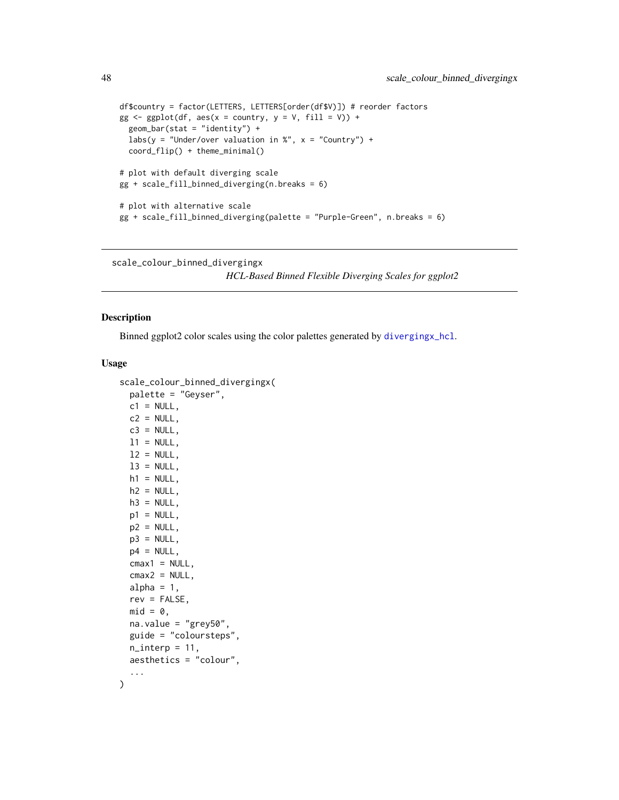```
df$country = factor(LETTERS, LETTERS[order(df$V)]) # reorder factors
gg \leq - ggplot(df, aes(x = country, y = V, fill = V)) +geom_bar(stat = "identity") +
  labs(y = "Under/over valuation in %", x = "Country") +
  coord_flip() + theme_minimal()
# plot with default diverging scale
gg + scale_fill_binned_diverging(n.breaks = 6)
# plot with alternative scale
gg + scale_fill_binned_diverging(palette = "Purple-Green", n.breaks = 6)
```
scale\_colour\_binned\_divergingx

*HCL-Based Binned Flexible Diverging Scales for ggplot2*

#### Description

Binned ggplot2 color scales using the color palettes generated by [divergingx\\_hcl](#page-15-0).

```
scale_colour_binned_divergingx(
 palette = "Geyser",
 c1 = NULL,c2 = NULL,
 c3 = NULL,l1 = NULL,
 l2 = NULL,13 = NULL,h1 = NULL,h2 = NULL,h3 = NULL,p1 = NULL,p2 = NULL,p3 = NULL,p4 = NULL,cmax1 = NULL,cmax2 = NULL,alpha = 1,
 rev = FALSE,mid = 0,na.value = "grey50",
 guide = "coloursteps",
 n_interp = 11,
 aesthetics = "colour",
  ...
)
```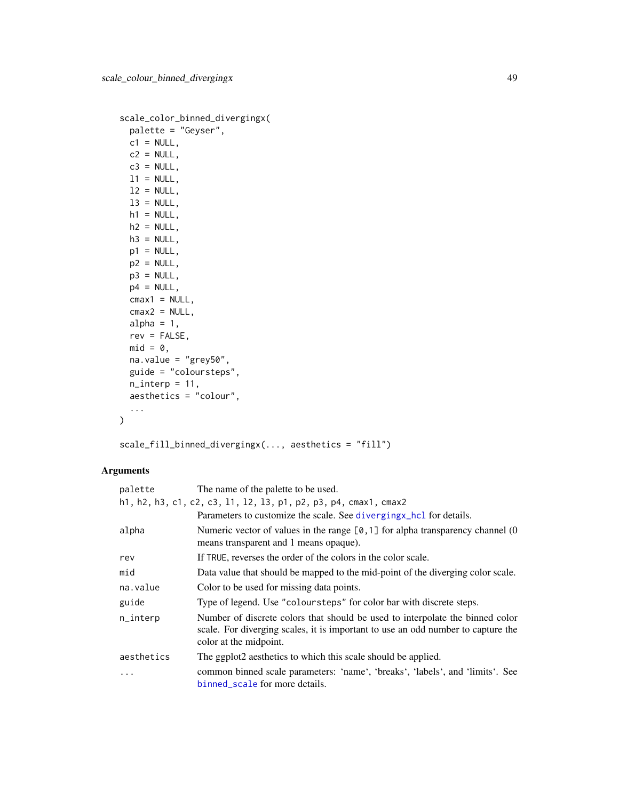```
scale_color_binned_divergingx(
 palette = "Geyser",
 c1 = NULL,c2 = NULL,c3 = NULL,11 = NULL,12 = NULL,13 = NULL,h1 = NULL,h2 = NULL,h3 = NULL,p1 = NULL,p2 = NULL,p3 = NULL,p4 = NULL,cmax1 = NULL,cmax2 = NULL,alpha = 1,
 rev = FALSE,
 mid = 0,na.value = "grey50",
 guide = "coloursteps",
 n_{\text{interp}} = 11,
 aesthetics = "colour",
  ...
\mathcal{L}
```
scale\_fill\_binned\_divergingx(..., aesthetics = "fill")

| palette    | The name of the palette to be used.                                                                                                                                                         |
|------------|---------------------------------------------------------------------------------------------------------------------------------------------------------------------------------------------|
|            | h1, h2, h3, c1, c2, c3, 11, 12, 13, p1, p2, p3, p4, cmax1, cmax2                                                                                                                            |
|            | Parameters to customize the scale. See diverging x_hcl for details.                                                                                                                         |
| alpha      | Numeric vector of values in the range $[0, 1]$ for alpha transparency channel (0)<br>means transparent and 1 means opaque).                                                                 |
| rev        | If TRUE, reverses the order of the colors in the color scale.                                                                                                                               |
| mid        | Data value that should be mapped to the mid-point of the diverging color scale.                                                                                                             |
| na.value   | Color to be used for missing data points.                                                                                                                                                   |
| guide      | Type of legend. Use "coloursteps" for color bar with discrete steps.                                                                                                                        |
| n_interp   | Number of discrete colors that should be used to interpolate the binned color<br>scale. For diverging scales, it is important to use an odd number to capture the<br>color at the midpoint. |
| aesthetics | The ggplot2 aesthetics to which this scale should be applied.                                                                                                                               |
| $\ddotsc$  | common binned scale parameters: 'name', 'breaks', 'labels', and 'limits'. See<br>binned_scale for more details.                                                                             |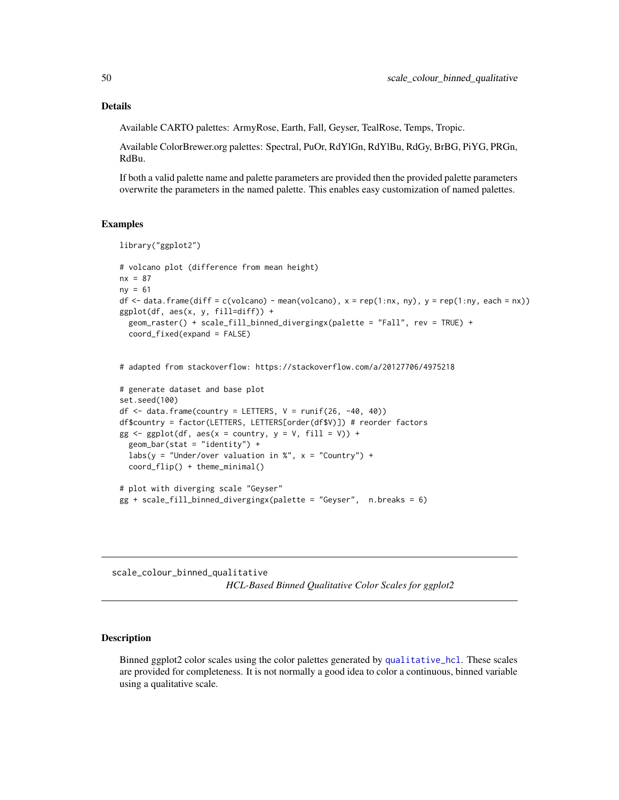Available CARTO palettes: ArmyRose, Earth, Fall, Geyser, TealRose, Temps, Tropic.

Available ColorBrewer.org palettes: Spectral, PuOr, RdYlGn, RdYlBu, RdGy, BrBG, PiYG, PRGn, RdBu.

If both a valid palette name and palette parameters are provided then the provided palette parameters overwrite the parameters in the named palette. This enables easy customization of named palettes.

#### Examples

```
library("ggplot2")
# volcano plot (difference from mean height)
nx = 87ny = 61df \le - data.frame(diff = c(volcano) - mean(volcano), x = rep(1:nx, ny), y = rep(1:ny, each = nx))
ggplot(df, aes(x, y, fill=diff)) +geom_raster() + scale_fill_binned_divergingx(palette = "Fall", rev = TRUE) +
  coord_fixed(expand = FALSE)
# adapted from stackoverflow: https://stackoverflow.com/a/20127706/4975218
# generate dataset and base plot
set.seed(100)
df \le data.frame(country = LETTERS, V = runif(26, -40, 40))
df$country = factor(LETTERS, LETTERS[order(df$V)]) # reorder factors
gg \leq-ggplot(df, aes(x = country, y = V, fill = V)) +geom_bar(stat = "identity") +
  labs(y = "Under/over valuation in %", x = "Country") +
```

```
gg + scale_fill_binned_divergingx(palette = "Geyser", n.breaks = 6)
```
coord\_flip() + theme\_minimal()

# plot with diverging scale "Geyser"

scale\_colour\_binned\_qualitative *HCL-Based Binned Qualitative Color Scales for ggplot2*

#### **Description**

Binned ggplot2 color scales using the color palettes generated by [qualitative\\_hcl](#page-21-1). These scales are provided for completeness. It is not normally a good idea to color a continuous, binned variable using a qualitative scale.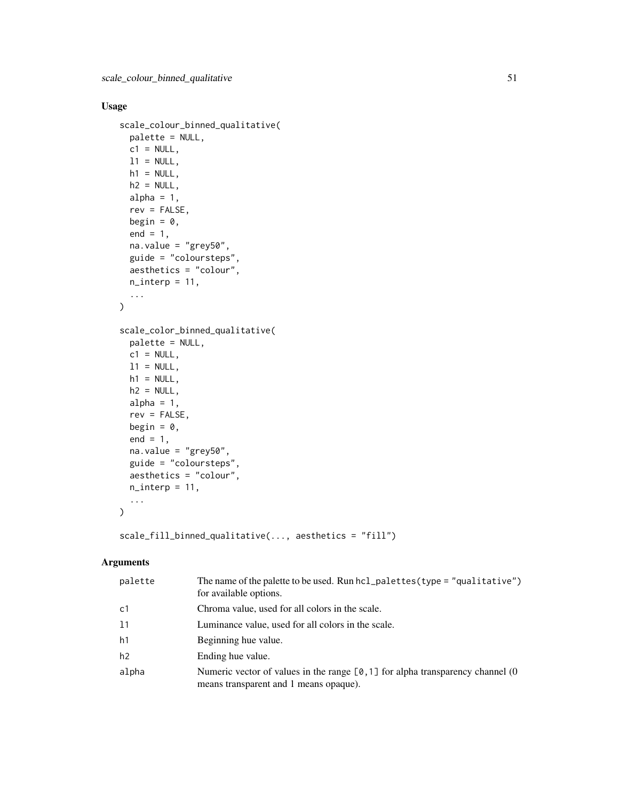# Usage

```
scale_colour_binned_qualitative(
 palette = NULL,
 c1 = NULL,11 = NULL,h1 = NULL,h2 = NULL,alpha = 1,
  rev = FALSE,begin = 0,
  end = 1,
 na.value = "grey50",
 guide = "coloursteps",
 aesthetics = "colour",
 n_{\text{interp}} = 11,
  ...
\mathcal{L}scale_color_binned_qualitative(
 palette = NULL,
 c1 = NULL,11 = NULL,h1 = NULL,h2 = NULL,alpha = 1,
  rev = FALSE,
 begin = 0,
 end = 1,
 na.value = "grey50",
  guide = "coloursteps",
  aesthetics = "colour",
 n_{\text{interp}} = 11,
  ...
\mathcal{L}
```
scale\_fill\_binned\_qualitative(..., aesthetics = "fill")

| palette | The name of the palette to be used. Run hcl_palettes(type = $"qualitative"$ )<br>for available options.                     |
|---------|-----------------------------------------------------------------------------------------------------------------------------|
| c1      | Chroma value, used for all colors in the scale.                                                                             |
| 11      | Luminance value, used for all colors in the scale.                                                                          |
| h1      | Beginning hue value.                                                                                                        |
| h2      | Ending hue value.                                                                                                           |
| alpha   | Numeric vector of values in the range $[0, 1]$ for alpha transparency channel (0)<br>means transparent and 1 means opaque). |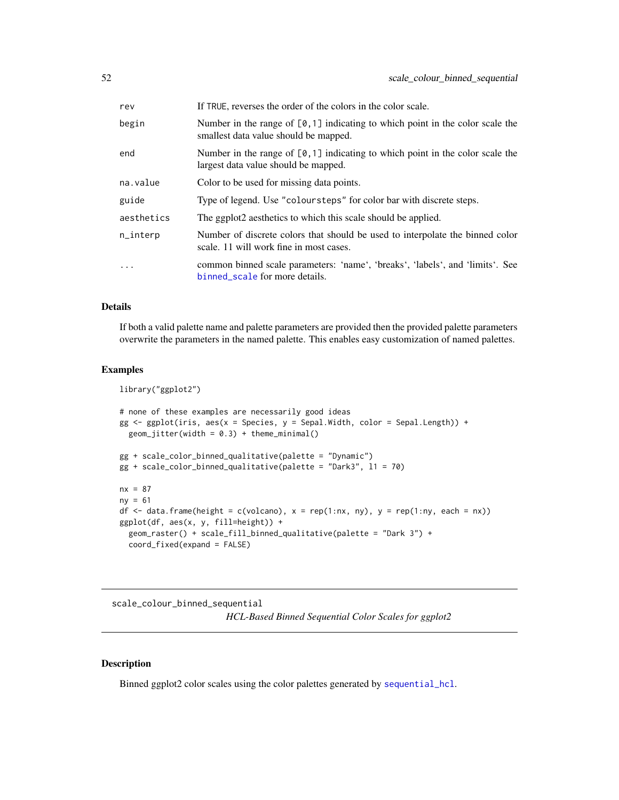| rev         | If TRUE, reverses the order of the colors in the color scale.                                                            |
|-------------|--------------------------------------------------------------------------------------------------------------------------|
| begin       | Number in the range of $[0,1]$ indicating to which point in the color scale the<br>smallest data value should be mapped. |
| end         | Number in the range of $[0, 1]$ indicating to which point in the color scale the<br>largest data value should be mapped. |
| na.value    | Color to be used for missing data points.                                                                                |
| guide       | Type of legend. Use "coloursteps" for color bar with discrete steps.                                                     |
| aesthetics  | The ggplot2 aesthetics to which this scale should be applied.                                                            |
| $n$ _interp | Number of discrete colors that should be used to interpolate the binned color<br>scale. 11 will work fine in most cases. |
| $\ddotsc$   | common binned scale parameters: 'name', 'breaks', 'labels', and 'limits'. See<br>binned_scale for more details.          |

If both a valid palette name and palette parameters are provided then the provided palette parameters overwrite the parameters in the named palette. This enables easy customization of named palettes.

#### Examples

library("ggplot2")

```
# none of these examples are necessarily good ideas
gg <- ggplot(iris, aes(x = Species, y = Sepal.Width, color = Sepal.Length)) +
  geom_jitter(width = 0.3) + theme\_minimal()gg + scale_color_binned_qualitative(palette = "Dynamic")
gg + scale_color_binned_qualitative(palette = "Dark3", l1 = 70)
nx = 87ny = 61df <- data.frame(height = c(volcano), x = rep(1:nx, ny), y = rep(1:ny, each = nx))
ggplot(df, aes(x, y, fill=height)) +
  geom_raster() + scale_fill_binned_qualitative(palette = "Dark 3") +
  coord_fixed(expand = FALSE)
```
scale\_colour\_binned\_sequential *HCL-Based Binned Sequential Color Scales for ggplot2*

#### Description

Binned ggplot2 color scales using the color palettes generated by [sequential\\_hcl](#page-21-1).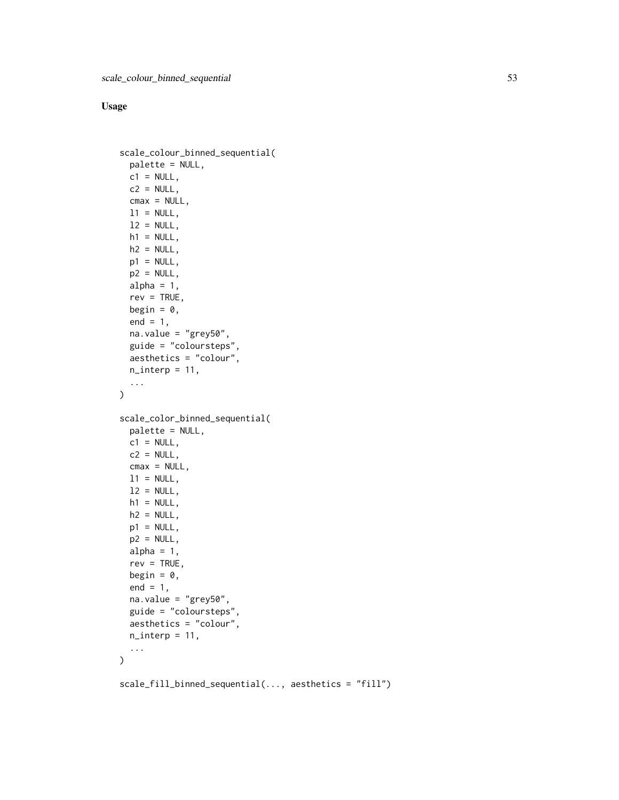```
scale_colour_binned_sequential(
  palette = NULL,
 c1 = NULL,c2 = NULL,cmax = NULL,l1 = NULL,l2 = NULL,h1 = NULL,h2 = NULL,p1 = NULL,p2 = NULL,alpha = 1,
  rev = TRUE,begin = 0,
  end = 1,
 na.value = "grey50",
  guide = "coloursteps",
  aesthetics = "colour",
 n_{\text{interp}} = 11,
  ...
)
scale_color_binned_sequential(
 palette = NULL,
 c1 = NULL,c2 = NULL,cmax = NULL,l1 = NULL,l2 = NULL,h1 = NULL,h2 = NULL,p1 = NULL,p2 = NULL,alpha = 1,
  rev = TRUE,begin = 0,
  end = 1,
  na.value = "grey50",
  guide = "coloursteps",
  aesthetics = "colour",
 n_{\text{interp}} = 11,
  ...
\mathcal{L}scale_fill_binned_sequential(..., aesthetics = "fill")
```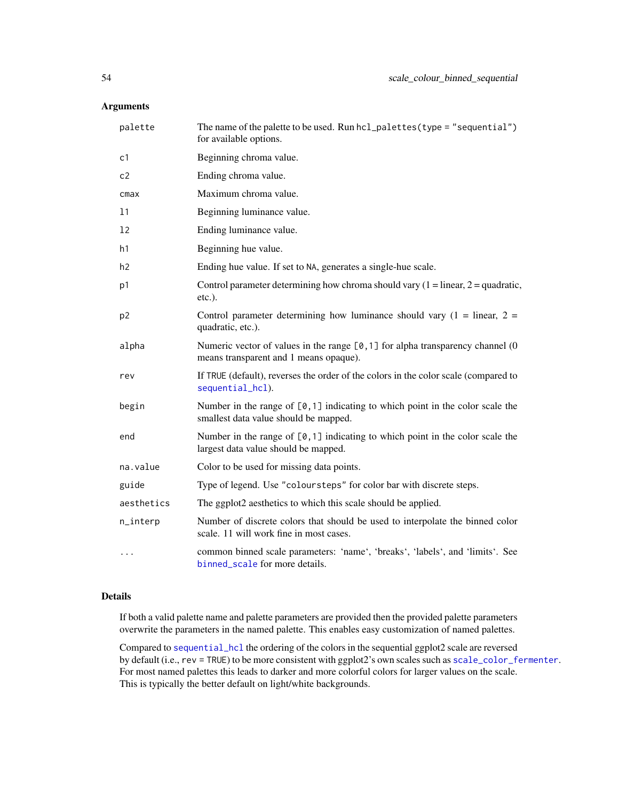### Arguments

| palette        | The name of the palette to be used. Run hcl_palettes(type = "sequential")<br>for available options.                              |
|----------------|----------------------------------------------------------------------------------------------------------------------------------|
| c1             | Beginning chroma value.                                                                                                          |
| c2             | Ending chroma value.                                                                                                             |
| cmax           | Maximum chroma value.                                                                                                            |
| 11             | Beginning luminance value.                                                                                                       |
| 12             | Ending luminance value.                                                                                                          |
| h1             | Beginning hue value.                                                                                                             |
| h2             | Ending hue value. If set to NA, generates a single-hue scale.                                                                    |
| p1             | Control parameter determining how chroma should vary $(1 = linear, 2 = quadratic,$<br>$etc.$ ).                                  |
| p <sub>2</sub> | Control parameter determining how luminance should vary $(1 = \text{linear}, 2 =$<br>quadratic, etc.).                           |
| alpha          | Numeric vector of values in the range $[0, 1]$ for alpha transparency channel $(0, 1)$<br>means transparent and 1 means opaque). |
| rev            | If TRUE (default), reverses the order of the colors in the color scale (compared to<br>sequential_hcl).                          |
| begin          | Number in the range of $[0, 1]$ indicating to which point in the color scale the<br>smallest data value should be mapped.        |
| end            | Number in the range of $[0,1]$ indicating to which point in the color scale the<br>largest data value should be mapped.          |
| na.value       | Color to be used for missing data points.                                                                                        |
| guide          | Type of legend. Use "coloursteps" for color bar with discrete steps.                                                             |
| aesthetics     | The ggplot2 aesthetics to which this scale should be applied.                                                                    |
| n_interp       | Number of discrete colors that should be used to interpolate the binned color<br>scale. 11 will work fine in most cases.         |
| .              | common binned scale parameters: 'name', 'breaks', 'labels', and 'limits'. See<br>binned_scale for more details.                  |

# Details

If both a valid palette name and palette parameters are provided then the provided palette parameters overwrite the parameters in the named palette. This enables easy customization of named palettes.

Compared to [sequential\\_hcl](#page-21-1) the ordering of the colors in the sequential ggplot2 scale are reversed by default (i.e., rev = TRUE) to be more consistent with ggplot2's own scales such as [scale\\_color\\_fermenter](#page-0-0). For most named palettes this leads to darker and more colorful colors for larger values on the scale. This is typically the better default on light/white backgrounds.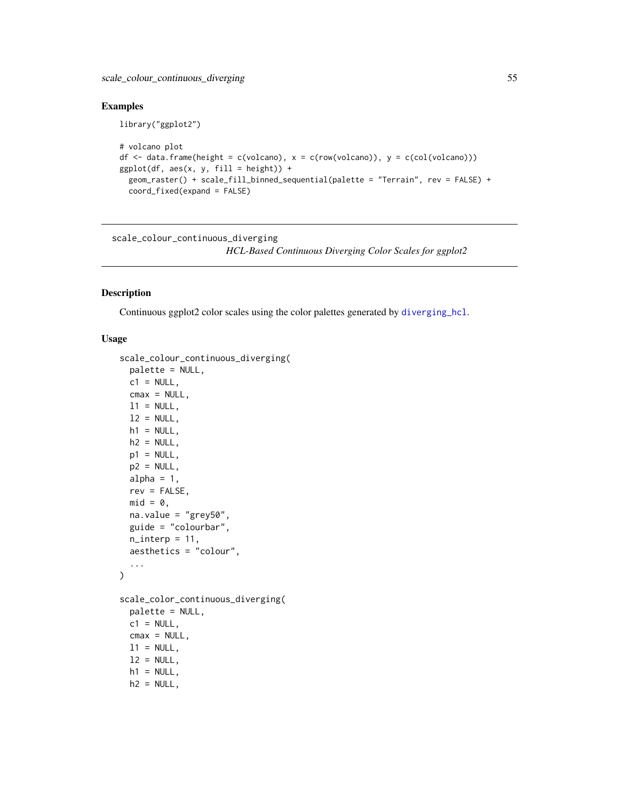scale\_colour\_continuous\_diverging 55

### Examples

library("ggplot2")

```
# volcano plot
df <- data.frame(height = c(volcano), x = c(row(volcano)), y = c(col(volcano)))
ggplot(df, aes(x, y, fill = height)) +geom_raster() + scale_fill_binned_sequential(palette = "Terrain", rev = FALSE) +
  coord_fixed(expand = FALSE)
```
scale\_colour\_continuous\_diverging *HCL-Based Continuous Diverging Color Scales for ggplot2*

#### Description

Continuous ggplot2 color scales using the color palettes generated by [diverging\\_hcl](#page-21-1).

```
scale_colour_continuous_diverging(
 palette = NULL,
 c1 = NULL,cmax = NULL,l1 = NULL,12 = NULL,
 h1 = NULL,h2 = NULL,
 p1 = NULL,p2 = NULL,alpha = 1,
 rev = FALSE,mid = 0,na.value = "grey50",
 guide = "colourbar",
 n_interp = 11,
 aesthetics = "colour",
  ...
)
scale_color_continuous_diverging(
 palette = NULL,
 c1 = NULL,
 cmax = NULL,l1 = NULL,
 l2 = NULL,h1 = NULL,
```

```
h2 = NULL,
```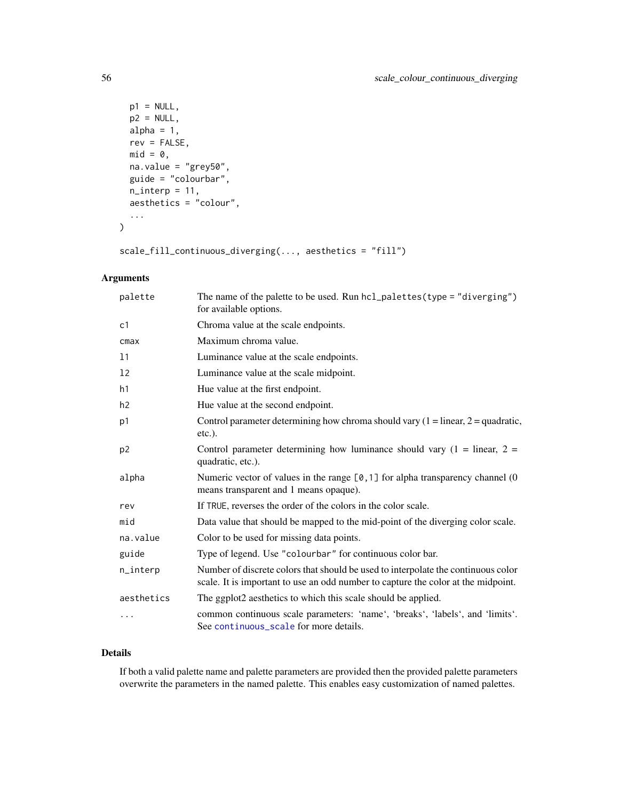```
p1 = NULL,p2 = NULL,alpha = 1,
 rev = FALSE,
 mid = 0,na.value = "grey50",
 guide = "colourbar",
 n_{\text{interp}} = 11,
 aesthetics = "colour",
  ...
)
```

```
scale_fill_continuous_diverging(..., aesthetics = "fill")
```
# Arguments

| palette        | The name of the palette to be used. Run hcl_palettes(type = "diverging")<br>for available options.                                                                     |
|----------------|------------------------------------------------------------------------------------------------------------------------------------------------------------------------|
| c1             | Chroma value at the scale endpoints.                                                                                                                                   |
| cmax           | Maximum chroma value.                                                                                                                                                  |
| 11             | Luminance value at the scale endpoints.                                                                                                                                |
| 12             | Luminance value at the scale midpoint.                                                                                                                                 |
| h1             | Hue value at the first endpoint.                                                                                                                                       |
| h2             | Hue value at the second endpoint.                                                                                                                                      |
| p1             | Control parameter determining how chroma should vary $(1 = linear, 2 = quadratic,$<br>$etc.$ ).                                                                        |
| p <sub>2</sub> | Control parameter determining how luminance should vary $(1 = \text{linear}, 2 = \text{linear})$<br>quadratic, etc.).                                                  |
| alpha          | Numeric vector of values in the range $[0, 1]$ for alpha transparency channel $(0)$<br>means transparent and 1 means opaque).                                          |
| rev            | If TRUE, reverses the order of the colors in the color scale.                                                                                                          |
| mid            | Data value that should be mapped to the mid-point of the diverging color scale.                                                                                        |
| na.value       | Color to be used for missing data points.                                                                                                                              |
| guide          | Type of legend. Use "colourbar" for continuous color bar.                                                                                                              |
| n_interp       | Number of discrete colors that should be used to interpolate the continuous color<br>scale. It is important to use an odd number to capture the color at the midpoint. |
| aesthetics     | The ggplot2 aesthetics to which this scale should be applied.                                                                                                          |
|                | common continuous scale parameters: 'name', 'breaks', 'labels', and 'limits'.<br>See continuous_scale for more details.                                                |

# Details

If both a valid palette name and palette parameters are provided then the provided palette parameters overwrite the parameters in the named palette. This enables easy customization of named palettes.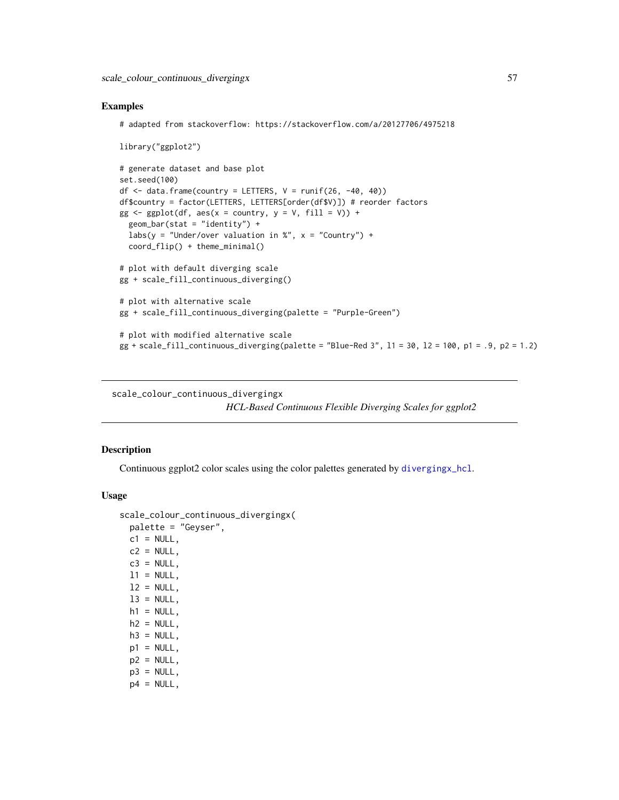scale\_colour\_continuous\_divergingx 57

#### Examples

# adapted from stackoverflow: https://stackoverflow.com/a/20127706/4975218

```
library("ggplot2")
# generate dataset and base plot
set.seed(100)
df \le data.frame(country = LETTERS, V = runif(26, -40, 40))
df$country = factor(LETTERS, LETTERS[order(df$V)]) # reorder factors
gg \leq-ggplot(df, aes(x = country, y = V, fill = V)) +geom_bar(stat = "identity") +
  labs(y = "Under/over valuation in %", x = "Country") +
  coord_flip() + theme_minimal()
# plot with default diverging scale
gg + scale_fill_continuous_diverging()
# plot with alternative scale
gg + scale_fill_continuous_diverging(palette = "Purple-Green")
# plot with modified alternative scale
gg + scale_fill\_continuous\_diverging(palette = "Blue-Red 3", 11 = 30, 12 = 100, p1 = .9, p2 = 1.2)
```
scale\_colour\_continuous\_divergingx

*HCL-Based Continuous Flexible Diverging Scales for ggplot2*

#### Description

Continuous ggplot2 color scales using the color palettes generated by [divergingx\\_hcl](#page-15-0).

```
scale_colour_continuous_divergingx(
 palette = "Geyser",
 c1 = NULL,c2 = NULL,c3 = NULL,l1 = NULL,l2 = NULL,l3 = NULL,h1 = NULL,h2 = NULL,
 h3 = NULL,p1 = NULL,
 p2 = NULL,p3 = NULL,p4 = NULL,
```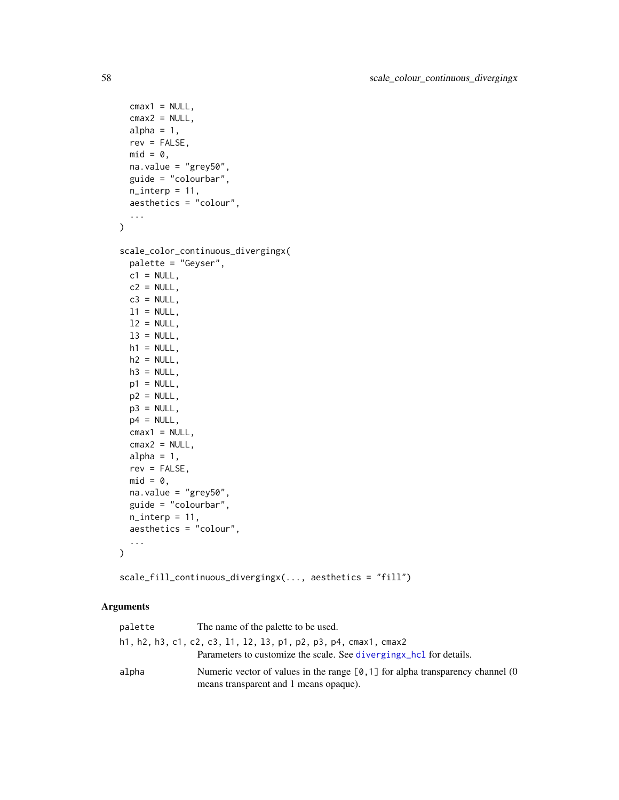```
cmax1 = NULL,cmax2 = NULL,alpha = 1,
  rev = FALSE,
 mid = 0,na.value = "grey50",
 guide = "colourbar",
 n_{\text{interp}} = 11,
  aesthetics = "colour",
  ...
\mathcal{L}scale_color_continuous_divergingx(
 palette = "Geyser",
 c1 = NULL,c2 = NULL,c3 = NULL,l1 = NULL,l2 = NULL,13 = NULL,h1 = NULL,h2 = NULL,h3 = NULL,p1 = NULL,p2 = NULL,p3 = NULL,p4 = NULL,cmax1 = NULL,cmax2 = NULL,alpha = 1,
  rev = FALSE,
 mid = 0,na.value = "grey50",
 guide = "colourbar",
 n_{\text{interp}} = 11,
  aesthetics = "colour",
  ...
\mathcal{L}
```
scale\_fill\_continuous\_divergingx(..., aesthetics = "fill")

| palette | The name of the palette to be used.                                                                                         |
|---------|-----------------------------------------------------------------------------------------------------------------------------|
|         | h1, h2, h3, c1, c2, c3, 11, 12, 13, p1, p2, p3, p4, cmax1, cmax2                                                            |
|         | Parameters to customize the scale. See diverging x_hc1 for details.                                                         |
| alpha   | Numeric vector of values in the range $[0, 1]$ for alpha transparency channel (0)<br>means transparent and 1 means opaque). |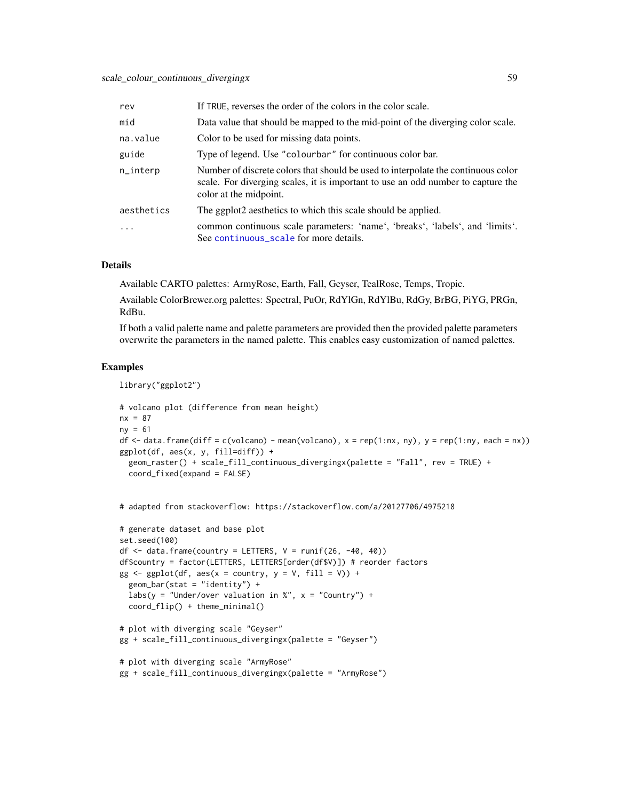| rev         | If TRUE, reverses the order of the colors in the color scale.                                                                                                                                   |
|-------------|-------------------------------------------------------------------------------------------------------------------------------------------------------------------------------------------------|
| mid         | Data value that should be mapped to the mid-point of the diverging color scale.                                                                                                                 |
| na.value    | Color to be used for missing data points.                                                                                                                                                       |
| guide       | Type of legend. Use "colourbar" for continuous color bar.                                                                                                                                       |
| $n$ _interp | Number of discrete colors that should be used to interpolate the continuous color<br>scale. For diverging scales, it is important to use an odd number to capture the<br>color at the midpoint. |
| aesthetics  | The ggplot2 aesthetics to which this scale should be applied.                                                                                                                                   |
| .           | common continuous scale parameters: 'name', 'breaks', 'labels', and 'limits'.<br>See continuous_scale for more details.                                                                         |

Available CARTO palettes: ArmyRose, Earth, Fall, Geyser, TealRose, Temps, Tropic.

Available ColorBrewer.org palettes: Spectral, PuOr, RdYlGn, RdYlBu, RdGy, BrBG, PiYG, PRGn, RdBu.

If both a valid palette name and palette parameters are provided then the provided palette parameters overwrite the parameters in the named palette. This enables easy customization of named palettes.

#### Examples

```
library("ggplot2")
```

```
# volcano plot (difference from mean height)
nx = 87
ny = 61df <- data.frame(diff = c(volcano) - mean(volcano), x = rep(1:nx, ny), y = rep(1:ny, each = nx))
ggplot(df, aes(x, y, fill=diff)) +geom_raster() + scale_fill_continuous_divergingx(palette = "Fall", rev = TRUE) +
  coord_fixed(expand = FALSE)
```
# adapted from stackoverflow: https://stackoverflow.com/a/20127706/4975218

```
# generate dataset and base plot
set.seed(100)
df \le data.frame(country = LETTERS, V = runif(26, -40, 40))
df$country = factor(LETTERS, LETTERS[order(df$V)]) # reorder factors
gg \leftarrow ggplot(df, aes(x = country, y = V, fill = V)) +geom_bar(stat = "identity") +
 labs(y = "Under/over valuation in %", x = "Country") +
 coord_flip() + theme_minimal()
# plot with diverging scale "Geyser"
gg + scale_fill_continuous_divergingx(palette = "Geyser")
```

```
# plot with diverging scale "ArmyRose"
gg + scale_fill_continuous_divergingx(palette = "ArmyRose")
```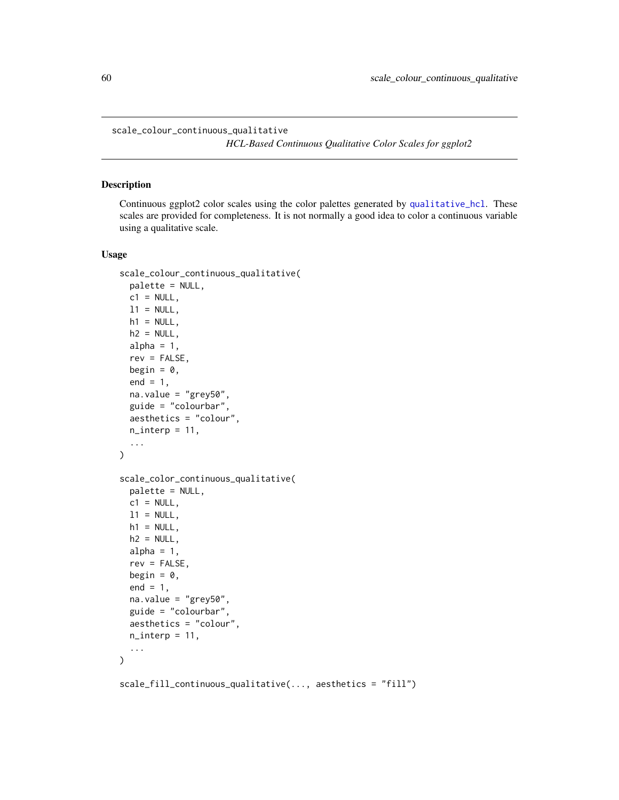scale\_colour\_continuous\_qualitative

*HCL-Based Continuous Qualitative Color Scales for ggplot2*

# Description

Continuous ggplot2 color scales using the color palettes generated by [qualitative\\_hcl](#page-21-1). These scales are provided for completeness. It is not normally a good idea to color a continuous variable using a qualitative scale.

```
scale_colour_continuous_qualitative(
 palette = NULL,
 c1 = NULL,l1 = NULL,h1 = NULL,h2 = NULL,alpha = 1,
  rev = FALSE,
 begin = 0,
  end = 1,
  na.value = "grey50",
 guide = "colourbar",
 aesthetics = "colour",
 n_{\text{interp}} = 11,
  ...
)
scale_color_continuous_qualitative(
 palette = NULL,
 c1 = NULL,l1 = NULL,h1 = NULL,h2 = NULL,alpha = 1,
  rev = FALSE,
 begin = 0,
  end = 1,
 na.value = "grey50",
 guide = "colourbar",
 aesthetics = "colour",
 n_interp = 11,
  ...
)
scale_fill_continuous_qualitative(..., aesthetics = "fill")
```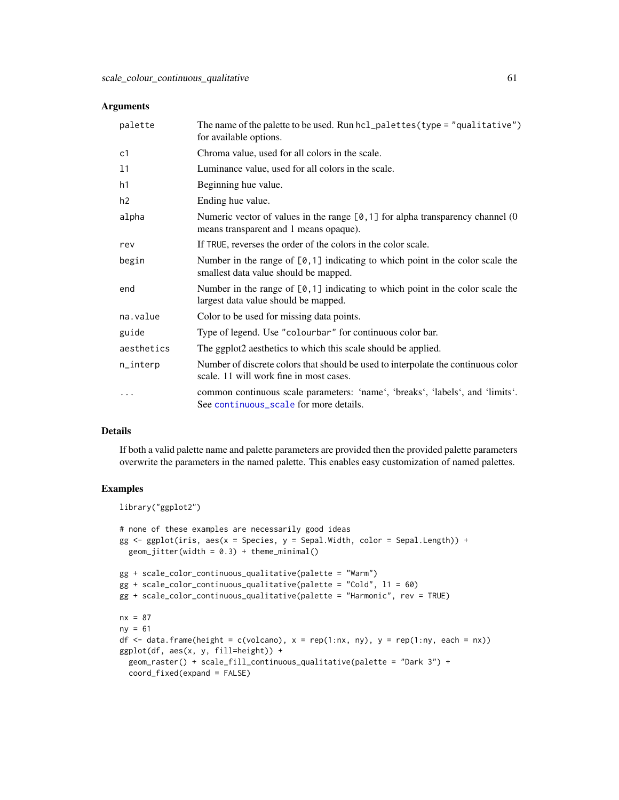#### **Arguments**

| palette    | The name of the palette to be used. Run hcl_palettes(type = "qualitative")<br>for available options.                             |
|------------|----------------------------------------------------------------------------------------------------------------------------------|
| c1         | Chroma value, used for all colors in the scale.                                                                                  |
| 11         | Luminance value, used for all colors in the scale.                                                                               |
| h1         | Beginning hue value.                                                                                                             |
| h2         | Ending hue value.                                                                                                                |
| alpha      | Numeric vector of values in the range $[0, 1]$ for alpha transparency channel $(0, 1)$<br>means transparent and 1 means opaque). |
| rev        | If TRUE, reverses the order of the colors in the color scale.                                                                    |
| begin      | Number in the range of $[0, 1]$ indicating to which point in the color scale the<br>smallest data value should be mapped.        |
| end        | Number in the range of $[0, 1]$ indicating to which point in the color scale the<br>largest data value should be mapped.         |
| na.value   | Color to be used for missing data points.                                                                                        |
| guide      | Type of legend. Use "colourbar" for continuous color bar.                                                                        |
| aesthetics | The ggplot2 aesthetics to which this scale should be applied.                                                                    |
| n_interp   | Number of discrete colors that should be used to interpolate the continuous color<br>scale. 11 will work fine in most cases.     |
| $\ddotsc$  | common continuous scale parameters: 'name', 'breaks', 'labels', and 'limits'.<br>See continuous_scale for more details.          |

### Details

If both a valid palette name and palette parameters are provided then the provided palette parameters overwrite the parameters in the named palette. This enables easy customization of named palettes.

```
library("ggplot2")
# none of these examples are necessarily good ideas
gg \leq - ggplot(iris, aes(x = Species, y = Sepal.Width, color = Sepal.Length)) +geom_jitter(width = 0.3) + theme-minimal()gg + scale_color_continuous_qualitative(palette = "Warm")
gg + scale\_color\_continuous\_qualitative(palette = "Gold", 11 = 60)gg + scale_color_continuous_qualitative(palette = "Harmonic", rev = TRUE)
nx = 87ny = 61df <- data.frame(height = c(volcano), x = rep(1:nx, ny), y = rep(1:ny, each = nx))
ggplot(df, aes(x, y, fill=height)) +
  geom_raster() + scale_fill_continuous_qualitative(palette = "Dark 3") +
  coord_fixed(expand = FALSE)
```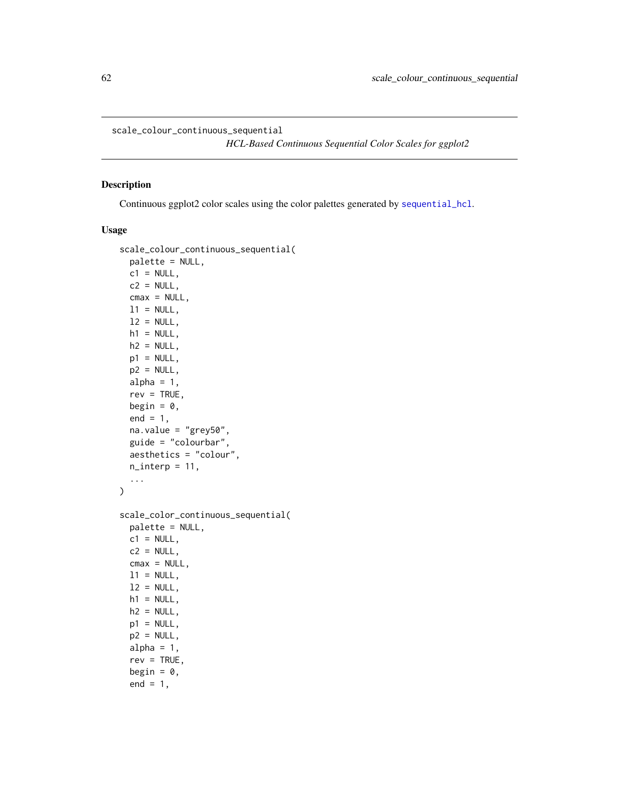scale\_colour\_continuous\_sequential

*HCL-Based Continuous Sequential Color Scales for ggplot2*

### Description

Continuous ggplot2 color scales using the color palettes generated by [sequential\\_hcl](#page-21-1).

```
scale_colour_continuous_sequential(
 palette = NULL,
 c1 = NULL,c2 = NULL,cmax = NULL,l1 = NULL,12 = NULL,h1 = NULL,h2 = NULL,p1 = NULL,p2 = NULL,alpha = 1,
 rev = TRUE,begin = 0,
 end = 1,
 na.value = "grey50",
 guide = "colourbar",
 aesthetics = "colour",
 n_interp = 11,
  ...
)
scale_color_continuous_sequential(
 palette = NULL,
 c1 = NULL,c2 = NULL,cmax = NULL,l1 = NULL,l2 = NULL,h1 = NULL,h2 = NULL,p1 = NULL,
 p2 = NULL,alpha = 1,
 rev = TRUE,begin = \theta,
 end = 1,
```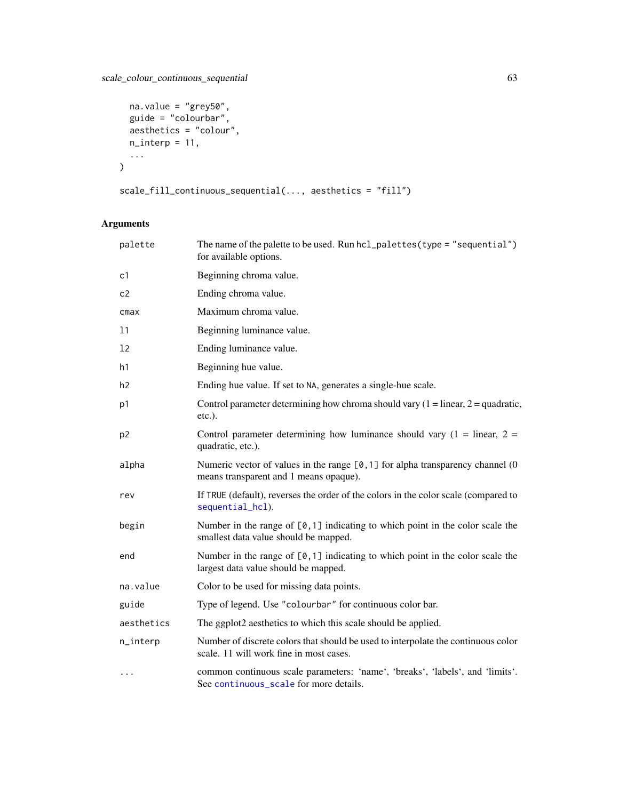```
na.value = "grey50",
 guide = "colorbar",aesthetics = "colour",
 n_interp = 11,
 ...
\mathcal{L}
```

```
scale_fill_continuous_sequential(..., aesthetics = "fill")
```

| palette        | The name of the palette to be used. Run hcl_palettes(type = "sequential")<br>for available options.                          |
|----------------|------------------------------------------------------------------------------------------------------------------------------|
| c1             | Beginning chroma value.                                                                                                      |
| c2             | Ending chroma value.                                                                                                         |
| cmax           | Maximum chroma value.                                                                                                        |
| 11             | Beginning luminance value.                                                                                                   |
| 12             | Ending luminance value.                                                                                                      |
| h1             | Beginning hue value.                                                                                                         |
| h2             | Ending hue value. If set to NA, generates a single-hue scale.                                                                |
| p1             | Control parameter determining how chroma should vary $(1 = linear, 2 = quadratic,$<br>$etc.$ ).                              |
| p <sub>2</sub> | Control parameter determining how luminance should vary $(1 = \text{linear}, 2 =$<br>quadratic, etc.).                       |
| alpha          | Numeric vector of values in the range $[0, 1]$ for alpha transparency channel (0)<br>means transparent and 1 means opaque).  |
| rev            | If TRUE (default), reverses the order of the colors in the color scale (compared to<br>sequential_hcl).                      |
| begin          | Number in the range of $[0, 1]$ indicating to which point in the color scale the<br>smallest data value should be mapped.    |
| end            | Number in the range of $[0,1]$ indicating to which point in the color scale the<br>largest data value should be mapped.      |
| na.value       | Color to be used for missing data points.                                                                                    |
| guide          | Type of legend. Use "colourbar" for continuous color bar.                                                                    |
| aesthetics     | The ggplot2 aesthetics to which this scale should be applied.                                                                |
| n_interp       | Number of discrete colors that should be used to interpolate the continuous color<br>scale. 11 will work fine in most cases. |
|                | common continuous scale parameters: 'name', 'breaks', 'labels', and 'limits'.<br>See continuous_scale for more details.      |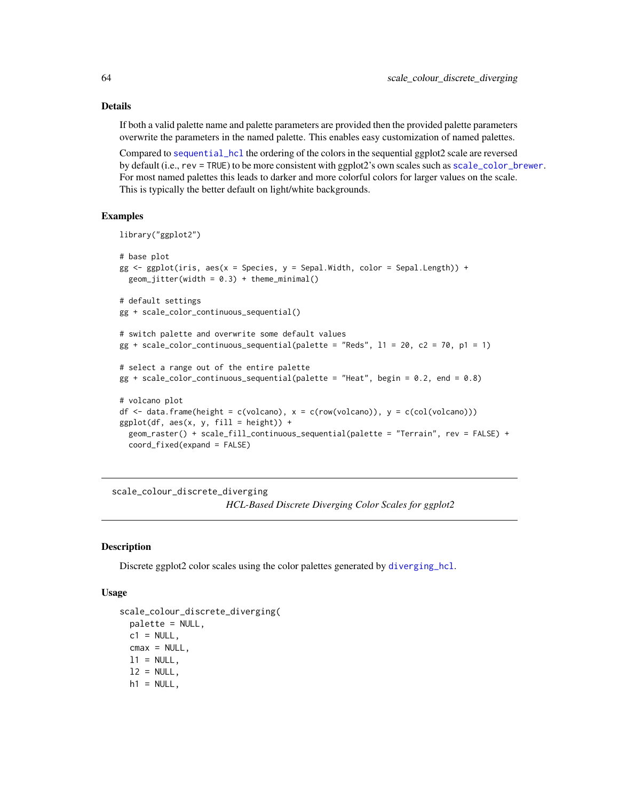If both a valid palette name and palette parameters are provided then the provided palette parameters overwrite the parameters in the named palette. This enables easy customization of named palettes.

Compared to [sequential\\_hcl](#page-21-1) the ordering of the colors in the sequential ggplot2 scale are reversed by default (i.e., rev = TRUE) to be more consistent with ggplot2's own scales such as [scale\\_color\\_brewer](#page-0-0). For most named palettes this leads to darker and more colorful colors for larger values on the scale. This is typically the better default on light/white backgrounds.

#### Examples

```
library("ggplot2")
# base plot
gg <- ggplot(iris, aes(x = Species, y = Sepal.Width, color = Sepal.Length)) +
  geom_jitter(width = 0.3) + theme-minimal()# default settings
gg + scale_color_continuous_sequential()
# switch palette and overwrite some default values
gg + scale\_color\_continuous\_sequential(palette = "Reds", 11 = 20, c2 = 70, p1 = 1)# select a range out of the entire palette
gg + scale\_color\_continuous\_sequential(palette = "Heat", begin = 0.2, end = 0.8)# volcano plot
df <- data.frame(height = c(volcano), x = c(row(volcano)), y = c(col(volcano)))
ggplot(df, aes(x, y, fill = height)) +geom_raster() + scale_fill_continuous_sequential(palette = "Terrain", rev = FALSE) +
  coord_fixed(expand = FALSE)
```
scale\_colour\_discrete\_diverging *HCL-Based Discrete Diverging Color Scales for ggplot2*

#### **Description**

Discrete ggplot2 color scales using the color palettes generated by [diverging\\_hcl](#page-21-1).

```
scale_colour_discrete_diverging(
 palette = NULL,
 c1 = NULL,
 cmax = NULL,
 l1 = NULL,l2 = NULL,h1 = NULL,
```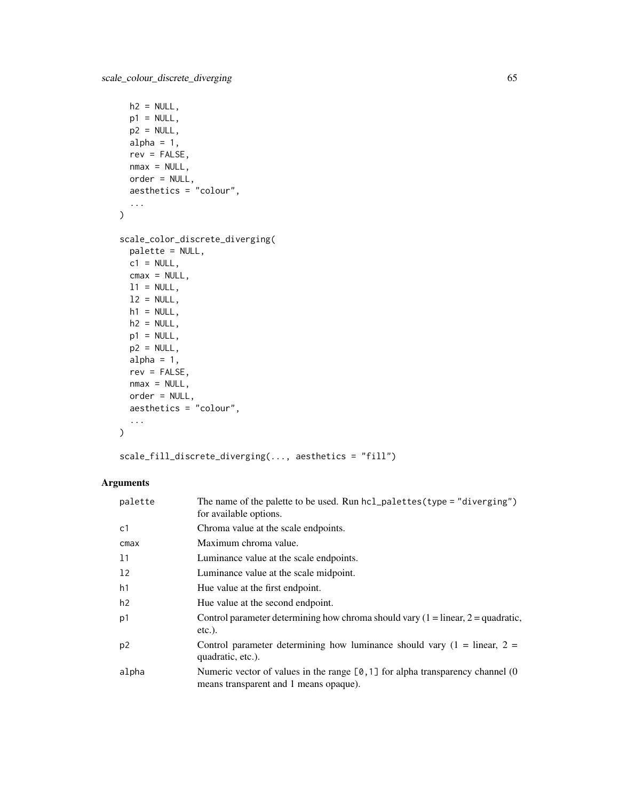```
h2 = NULL,p1 = NULL,p2 = NULL,alpha = 1,
 rev = FALSE,
 nmax = NULL,order = NULL,
 aesthetics = "colour",
  ...
\sumscale_color_discrete_diverging(
 palette = NULL,
 c1 = NULL,cmax = NULL,l1 = NULL,12 = NULL,h1 = NULL,h2 = NULL,p1 = NULL,p2 = NULL,alpha = 1,
 rev = FALSE,nmax = NULL,order = NULL,
 aesthetics = "colour",
 ...
\mathcal{L}
```
scale\_fill\_discrete\_diverging(..., aesthetics = "fill")

| palette        | The name of the palette to be used. Run hcl_palettes(type = "diverging")<br>for available options.                         |
|----------------|----------------------------------------------------------------------------------------------------------------------------|
| c1             | Chroma value at the scale endpoints.                                                                                       |
| cmax           | Maximum chroma value.                                                                                                      |
| 11             | Luminance value at the scale endpoints.                                                                                    |
| 12             | Luminance value at the scale midpoint.                                                                                     |
| h1             | Hue value at the first endpoint.                                                                                           |
| h <sub>2</sub> | Hue value at the second endpoint.                                                                                          |
| p1             | Control parameter determining how chroma should vary $(1 = linear, 2 = quadratic,$<br>$etc.$ ).                            |
| p <sub>2</sub> | Control parameter determining how luminance should vary $(1 = linear, 2 = 1)$<br>quadratic, etc.).                         |
| alpha          | Numeric vector of values in the range $[0,1]$ for alpha transparency channel (0)<br>means transparent and 1 means opaque). |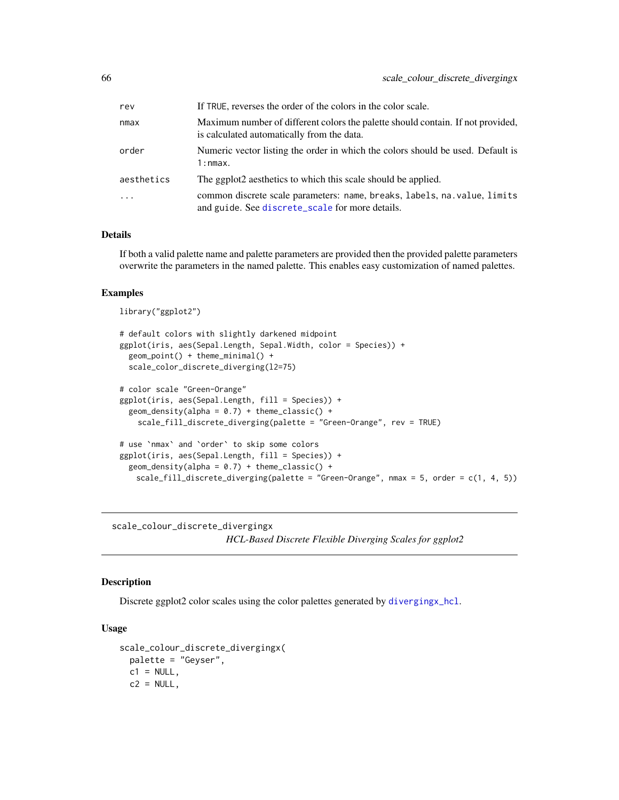| rev        | If TRUE, reverses the order of the colors in the color scale.                                                                 |
|------------|-------------------------------------------------------------------------------------------------------------------------------|
| nmax       | Maximum number of different colors the palette should contain. If not provided,<br>is calculated automatically from the data. |
| order      | Numeric vector listing the order in which the colors should be used. Default is<br>1:mmax.                                    |
| aesthetics | The ggplot2 aesthetics to which this scale should be applied.                                                                 |
|            | common discrete scale parameters: name, breaks, labels, na. value, limits<br>and guide. See discrete_scale for more details.  |

If both a valid palette name and palette parameters are provided then the provided palette parameters overwrite the parameters in the named palette. This enables easy customization of named palettes.

### Examples

```
library("ggplot2")
```

```
# default colors with slightly darkened midpoint
ggplot(iris, aes(Sepal.Length, Sepal.Width, color = Species)) +
 geom_point() + theme_minimal() +
 scale_color_discrete_diverging(l2=75)
# color scale "Green-Orange"
ggplot(iris, aes(Sepal.Length, fill = Species)) +
 geom\_density(alpha = 0.7) + theme\_classic() +scale_fill_discrete_diverging(palette = "Green-Orange", rev = TRUE)
# use `nmax` and `order` to skip some colors
ggplot(iris, aes(Sepal.Length, fill = Species)) +
 geom\_density(alpha = 0.7) + theme\_classify() +scale_fill_discrete_diverging(palette = "Green-Orange", nmax = 5, order = c(1, 4, 5))
```
scale\_colour\_discrete\_divergingx *HCL-Based Discrete Flexible Diverging Scales for ggplot2*

# Description

Discrete ggplot2 color scales using the color palettes generated by [divergingx\\_hcl](#page-15-0).

```
scale_colour_discrete_divergingx(
 palette = "Geyser",
 c1 = NULL,c2 = NULL,
```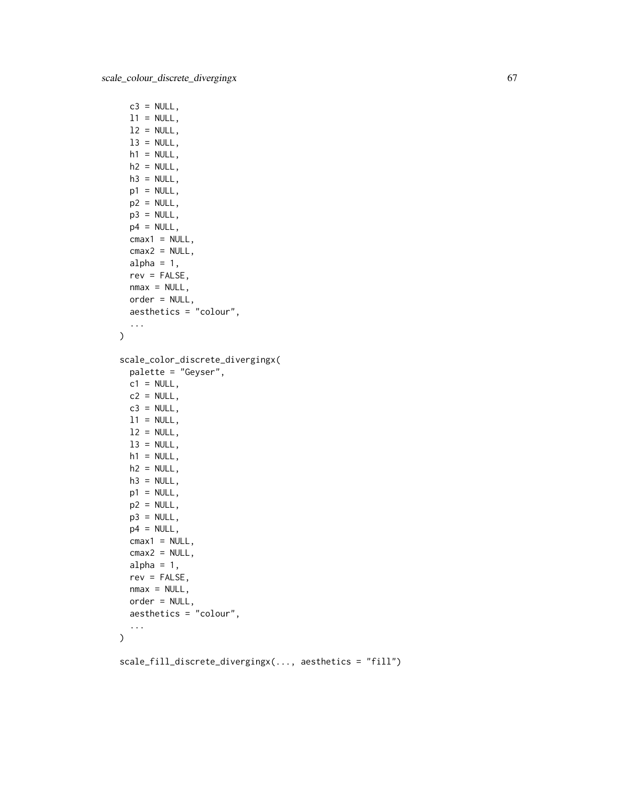```
c3 = NULL,l1 = NULL,12 = NULL,l3 = NULL,h1 = NULL,h2 = NULL,h3 = NULL,p1 = NULL,p2 = NULL,p3 = NULL,p4 = NULL,cmax1 = NULL,cmax2 = NULL,alpha = 1,
 rev = FALSE,
 nmax = NULL,order = NULL,
 aesthetics = "colour",
  ...
\mathcal{L}scale_color_discrete_divergingx(
 palette = "Geyser",
 c1 = NULL,c2 = NULL,c3 = NULL,l1 = NULL,12 = NULL,13 = NULL,h1 = NULL,h2 = NULL,h3 = NULL,p1 = NULL,p2 = NULL,p3 = NULL,p4 = NULL,cmax1 = NULL,cmax2 = NULL,alpha = 1,
 rev = FALSE,
 nmax = NULL,order = NULL,
 aesthetics = "colour",
  ...
)
scale_fill_discrete_divergingx(..., aesthetics = "fill")
```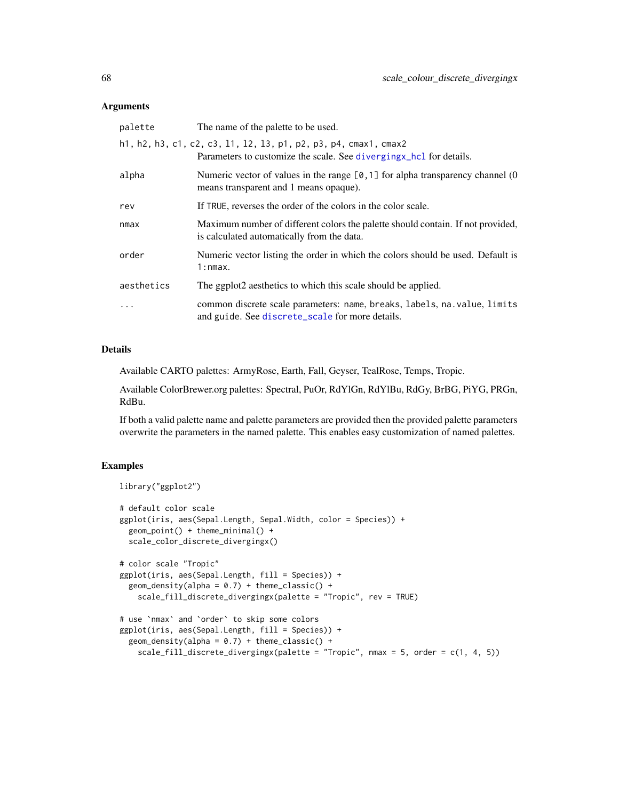#### Arguments

| palette    | The name of the palette to be used.                                                                                                     |
|------------|-----------------------------------------------------------------------------------------------------------------------------------------|
|            | h1, h2, h3, c1, c2, c3, 11, 12, 13, p1, p2, p3, p4, cmax1, cmax2<br>Parameters to customize the scale. See diverging x_hcl for details. |
| alpha      | Numeric vector of values in the range $[0,1]$ for alpha transparency channel $(0, 1)$<br>means transparent and 1 means opaque).         |
| rev        | If TRUE, reverses the order of the colors in the color scale.                                                                           |
| nmax       | Maximum number of different colors the palette should contain. If not provided,<br>is calculated automatically from the data.           |
| order      | Numeric vector listing the order in which the colors should be used. Default is<br>1:mmax.                                              |
| aesthetics | The ggplot2 aesthetics to which this scale should be applied.                                                                           |
| .          | common discrete scale parameters: name, breaks, labels, na. value, limits<br>and guide. See discrete_scale for more details.            |

### Details

Available CARTO palettes: ArmyRose, Earth, Fall, Geyser, TealRose, Temps, Tropic.

Available ColorBrewer.org palettes: Spectral, PuOr, RdYlGn, RdYlBu, RdGy, BrBG, PiYG, PRGn, RdBu.

If both a valid palette name and palette parameters are provided then the provided palette parameters overwrite the parameters in the named palette. This enables easy customization of named palettes.

```
library("ggplot2")
# default color scale
ggplot(iris, aes(Sepal.Length, Sepal.Width, color = Species)) +
  geom_point() + theme_minimal() +
  scale_color_discrete_divergingx()
# color scale "Tropic"
ggplot(iris, aes(Sepal.Length, fill = Species)) +
  geom\_density(alpha = 0.7) + theme\_classify() +scale_fill_discrete_divergingx(palette = "Tropic", rev = TRUE)
# use `nmax` and `order` to skip some colors
ggplot(iris, aes(Sepal.Length, fill = Species)) +
  geom\_density(alpha = 0.7) + theme\_classify() +scale_fill_discrete_divergingx(palette = "Tropic", nmax = 5, order = c(1, 4, 5))
```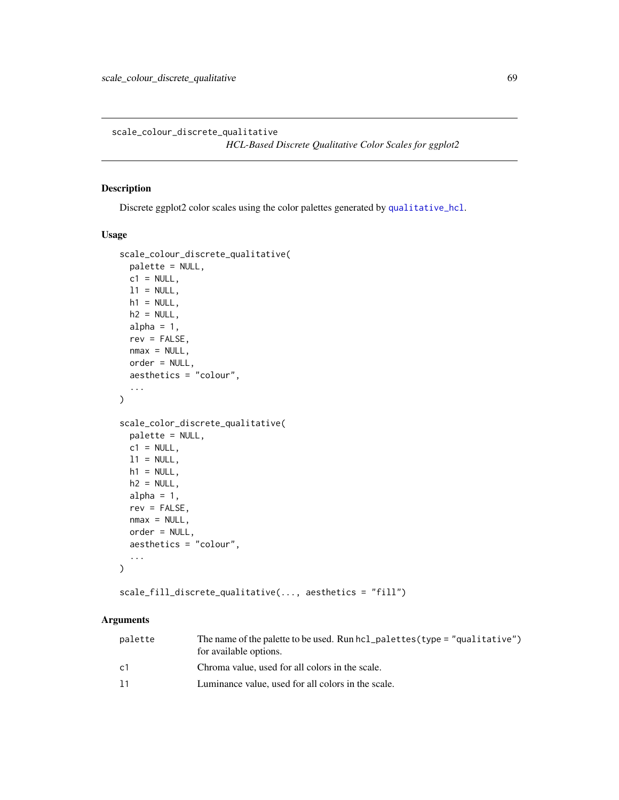scale\_colour\_discrete\_qualitative *HCL-Based Discrete Qualitative Color Scales for ggplot2*

# Description

Discrete ggplot2 color scales using the color palettes generated by [qualitative\\_hcl](#page-21-1).

# Usage

```
scale_colour_discrete_qualitative(
  palette = NULL,
 c1 = NULL,l1 = NULL,h1 = NULL,h2 = NULL,alpha = 1,
 rev = FALSE,
 nmax = NULL,order = NULL,
  aesthetics = "colour",
  ...
\mathcal{L}scale_color_discrete_qualitative(
 palette = NULL,
 c1 = NULL,l1 = NULL,h1 = NULL,h2 = NULL,alpha = 1,
 rev = FALSE,
 nmax = NULL,order = NULL,
  aesthetics = "colour",
  ...
\lambda
```
scale\_fill\_discrete\_qualitative(..., aesthetics = "fill")

| palette | The name of the palette to be used. Run hcl_palettes(type = "qualitative")<br>for available options. |
|---------|------------------------------------------------------------------------------------------------------|
| c1      | Chroma value, used for all colors in the scale.                                                      |
| 11      | Luminance value, used for all colors in the scale.                                                   |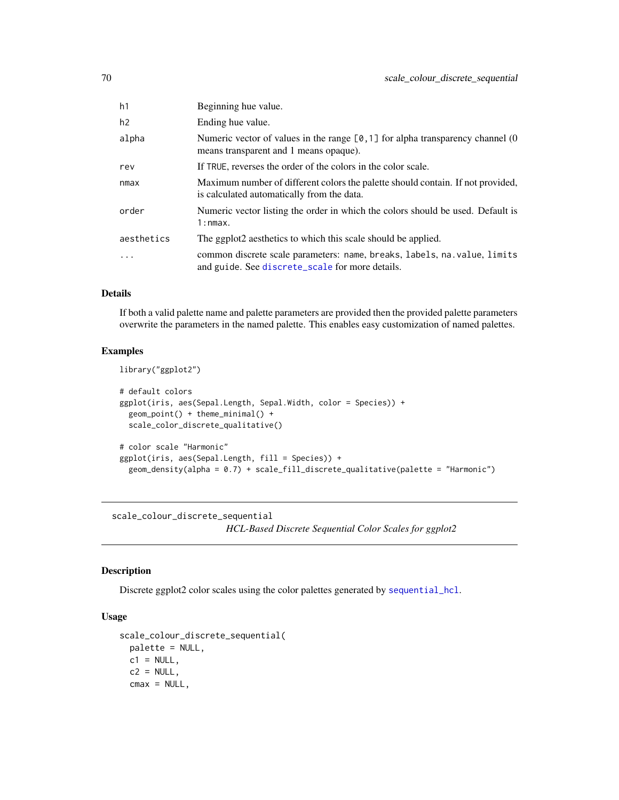| h1         | Beginning hue value.                                                                                                          |
|------------|-------------------------------------------------------------------------------------------------------------------------------|
| h2         | Ending hue value.                                                                                                             |
| alpha      | Numeric vector of values in the range $[0, 1]$ for alpha transparency channel (0)<br>means transparent and 1 means opaque).   |
| rev        | If TRUE, reverses the order of the colors in the color scale.                                                                 |
| nmax       | Maximum number of different colors the palette should contain. If not provided,<br>is calculated automatically from the data. |
| order      | Numeric vector listing the order in which the colors should be used. Default is<br>1:mmax.                                    |
| aesthetics | The ggplot2 aesthetics to which this scale should be applied.                                                                 |
| .          | common discrete scale parameters: name, breaks, labels, na. value, limits<br>and guide. See discrete_scale for more details.  |

If both a valid palette name and palette parameters are provided then the provided palette parameters overwrite the parameters in the named palette. This enables easy customization of named palettes.

# Examples

```
library("ggplot2")
# default colors
ggplot(iris, aes(Sepal.Length, Sepal.Width, color = Species)) +
 geom_point() + theme_minimal() +
 scale_color_discrete_qualitative()
# color scale "Harmonic"
ggplot(iris, aes(Sepal.Length, fill = Species)) +
 geom_density(alpha = 0.7) + scale_fill_discrete_qualitative(palette = "Harmonic")
```
scale\_colour\_discrete\_sequential *HCL-Based Discrete Sequential Color Scales for ggplot2*

### Description

Discrete ggplot2 color scales using the color palettes generated by [sequential\\_hcl](#page-21-1).

```
scale_colour_discrete_sequential(
 palette = NULL,
 c1 = NULL,c2 = NULL,cmax = NULL,
```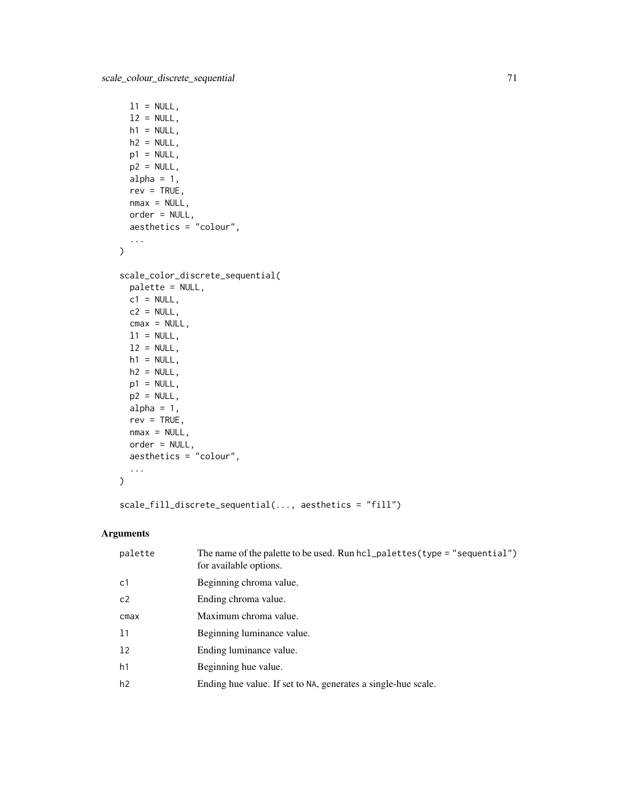```
l1 = NULL,l2 = NULL,h1 = NULL,h2 = NULL,p1 = NULL,p2 = NULL,alpha = 1,
 rev = TRUE,nmax = NULL,order = NULL,
 aesthetics = "colour",
  ...
)
scale_color_discrete_sequential(
 palette = NULL,
 c1 = NULL,c2 = NULL,cmax = NULL,l1 = NULL,12 = NULL,h1 = NULL,h2 = NULL,p1 = NULL,p2 = NULL,alpha = 1,
 rev = TRUE,nmax = NULL,order = NULL,
 aesthetics = "colour",
  ...
)
```

```
scale_fill_discrete_sequential(..., aesthetics = "fill")
```

| palette        | The name of the palette to be used. Run hcl_palettes(type = "sequential")<br>for available options. |
|----------------|-----------------------------------------------------------------------------------------------------|
| c1             | Beginning chroma value.                                                                             |
| c <sub>2</sub> | Ending chroma value.                                                                                |
| cmax           | Maximum chroma value.                                                                               |
| 11             | Beginning luminance value.                                                                          |
| 12             | Ending luminance value.                                                                             |
| h1             | Beginning hue value.                                                                                |
| h2             | Ending hue value. If set to NA, generates a single-hue scale.                                       |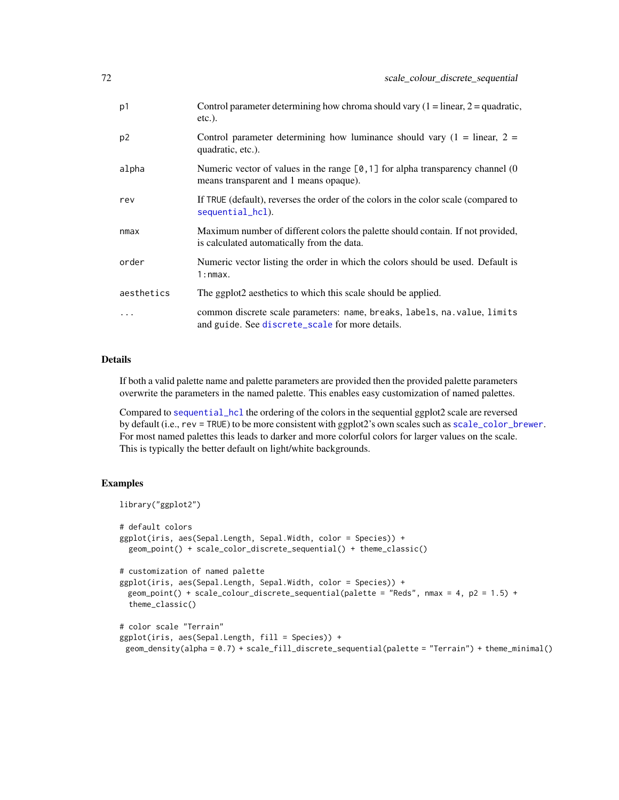| p1             | Control parameter determining how chroma should vary $(1 = linear, 2 = quadratic,$<br>$etc.$ ).                               |
|----------------|-------------------------------------------------------------------------------------------------------------------------------|
| p <sub>2</sub> | Control parameter determining how luminance should vary $(1 = linear, 2 = 1)$<br>quadratic, etc.).                            |
| alpha          | Numeric vector of values in the range $[0, 1]$ for alpha transparency channel (0)<br>means transparent and 1 means opaque).   |
| rev            | If TRUE (default), reverses the order of the colors in the color scale (compared to<br>sequential_hcl).                       |
| nmax           | Maximum number of different colors the palette should contain. If not provided,<br>is calculated automatically from the data. |
| order          | Numeric vector listing the order in which the colors should be used. Default is<br>1:mmax.                                    |
| aesthetics     | The ggplot2 aesthetics to which this scale should be applied.                                                                 |
| .              | common discrete scale parameters: name, breaks, labels, na. value, limits<br>and guide. See discrete_scale for more details.  |

If both a valid palette name and palette parameters are provided then the provided palette parameters overwrite the parameters in the named palette. This enables easy customization of named palettes.

Compared to [sequential\\_hcl](#page-21-1) the ordering of the colors in the sequential ggplot2 scale are reversed by default (i.e., rev = TRUE) to be more consistent with ggplot2's own scales such as [scale\\_color\\_brewer](#page-0-0). For most named palettes this leads to darker and more colorful colors for larger values on the scale. This is typically the better default on light/white backgrounds.

```
library("ggplot2")
# default colors
ggplot(iris, aes(Sepal.Length, Sepal.Width, color = Species)) +
  geom_point() + scale_color_discrete_sequential() + theme_classic()
# customization of named palette
ggplot(iris, aes(Sepal.Length, Sepal.Width, color = Species)) +
  geom_point() + scale_colour_discrete_sequential(palette = "Reds", nmax = 4, p2 = 1.5) +
  theme_classic()
# color scale "Terrain"
ggplot(iris, aes(Sepal.Length, fill = Species)) +
 geom_density(alpha = 0.7) + scale_fill_discrete_sequential(palette = "Terrain") + theme_minimal()
```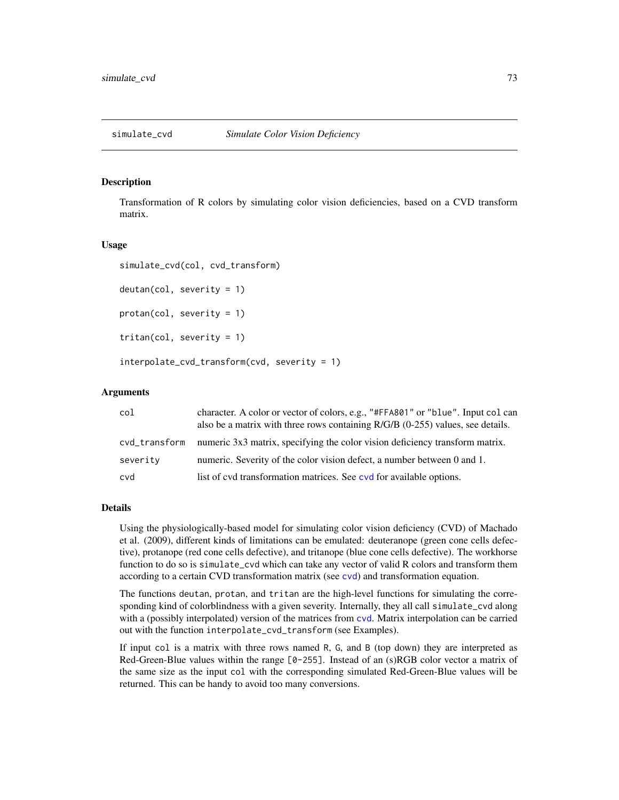<span id="page-72-1"></span><span id="page-72-0"></span>

Transformation of R colors by simulating color vision deficiencies, based on a CVD transform matrix.

#### Usage

```
simulate_cvd(col, cvd_transform)
deutan(col, severity = 1)
protan(col, severity = 1)
tritan(col, severity = 1)
interpolate_cvd_transform(cvd, severity = 1)
```
## Arguments

| col           | character. A color or vector of colors, e.g., "#FFA801" or "blue". Input col can<br>also be a matrix with three rows containing $R/G/B$ (0-255) values, see details. |
|---------------|----------------------------------------------------------------------------------------------------------------------------------------------------------------------|
| cvd_transform | numeric 3x3 matrix, specifying the color vision deficiency transform matrix.                                                                                         |
| severity      | numeric. Severity of the color vision defect, a number between 0 and 1.                                                                                              |
| cvd           | list of cvd transformation matrices. See cvd for available options.                                                                                                  |

#### Details

Using the physiologically-based model for simulating color vision deficiency (CVD) of Machado et al. (2009), different kinds of limitations can be emulated: deuteranope (green cone cells defective), protanope (red cone cells defective), and tritanope (blue cone cells defective). The workhorse function to do so is simulate\_cvd which can take any vector of valid R colors and transform them according to a certain CVD transformation matrix (see [cvd](#page-10-0)) and transformation equation.

The functions deutan, protan, and tritan are the high-level functions for simulating the corresponding kind of colorblindness with a given severity. Internally, they all call simulate\_cvd along with a (possibly interpolated) version of the matrices from [cvd](#page-10-0). Matrix interpolation can be carried out with the function interpolate\_cvd\_transform (see Examples).

If input col is a matrix with three rows named R, G, and B (top down) they are interpreted as Red-Green-Blue values within the range [0-255]. Instead of an (s)RGB color vector a matrix of the same size as the input col with the corresponding simulated Red-Green-Blue values will be returned. This can be handy to avoid too many conversions.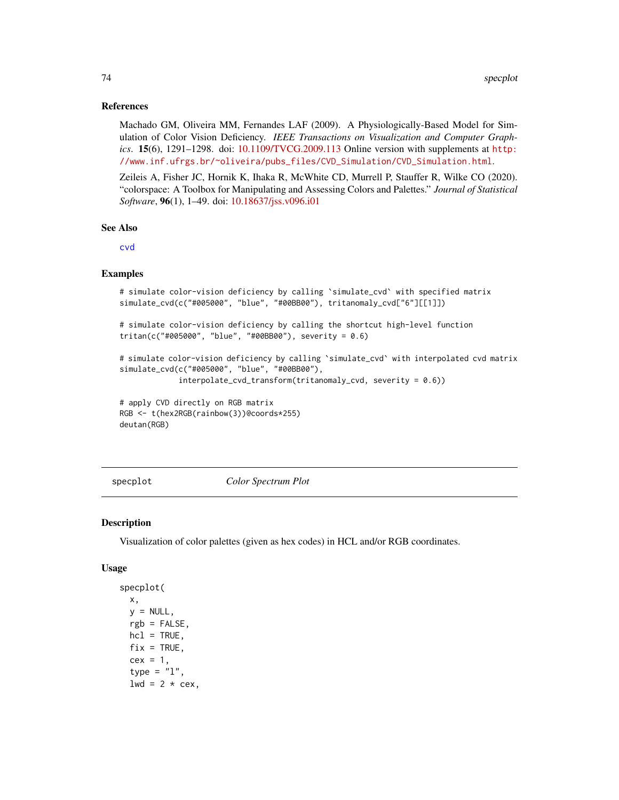#### <span id="page-73-0"></span>References

Machado GM, Oliveira MM, Fernandes LAF (2009). A Physiologically-Based Model for Simulation of Color Vision Deficiency. *IEEE Transactions on Visualization and Computer Graphics*. 15(6), 1291–1298. doi: [10.1109/TVCG.2009.113](https://doi.org/10.1109/TVCG.2009.113) Online version with supplements at [http:](http://www.inf.ufrgs.br/~oliveira/pubs_files/CVD_Simulation/CVD_Simulation.html) [//www.inf.ufrgs.br/~oliveira/pubs\\_files/CVD\\_Simulation/CVD\\_Simulation.html](http://www.inf.ufrgs.br/~oliveira/pubs_files/CVD_Simulation/CVD_Simulation.html).

Zeileis A, Fisher JC, Hornik K, Ihaka R, McWhite CD, Murrell P, Stauffer R, Wilke CO (2020). "colorspace: A Toolbox for Manipulating and Assessing Colors and Palettes." *Journal of Statistical Software*, 96(1), 1–49. doi: [10.18637/jss.v096.i01](https://doi.org/10.18637/jss.v096.i01)

#### See Also

[cvd](#page-10-0)

#### Examples

```
# simulate color-vision deficiency by calling `simulate_cvd` with specified matrix
simulate_cvd(c("#005000", "blue", "#00BB00"), tritanomaly_cvd["6"][[1]])
# simulate color-vision deficiency by calling the shortcut high-level function
tritan(c("#005000", "blue", "#00BB00"), severity = 0.6)
# simulate color-vision deficiency by calling `simulate_cvd` with interpolated cvd matrix
simulate_cvd(c("#005000", "blue", "#00BB00"),
             interpolate_cvd_transform(tritanomaly_cvd, severity = 0.6))
```

```
# apply CVD directly on RGB matrix
RGB <- t(hex2RGB(rainbow(3))@coords*255)
deutan(RGB)
```
specplot *Color Spectrum Plot*

#### Description

Visualization of color palettes (given as hex codes) in HCL and/or RGB coordinates.

#### Usage

```
specplot(
  x,
 y = NULL,
  rgb = FALSE,
 hcl = TRUE,fix = TRUE,
  cex = 1,
  type = "1",1wd = 2 * cex,
```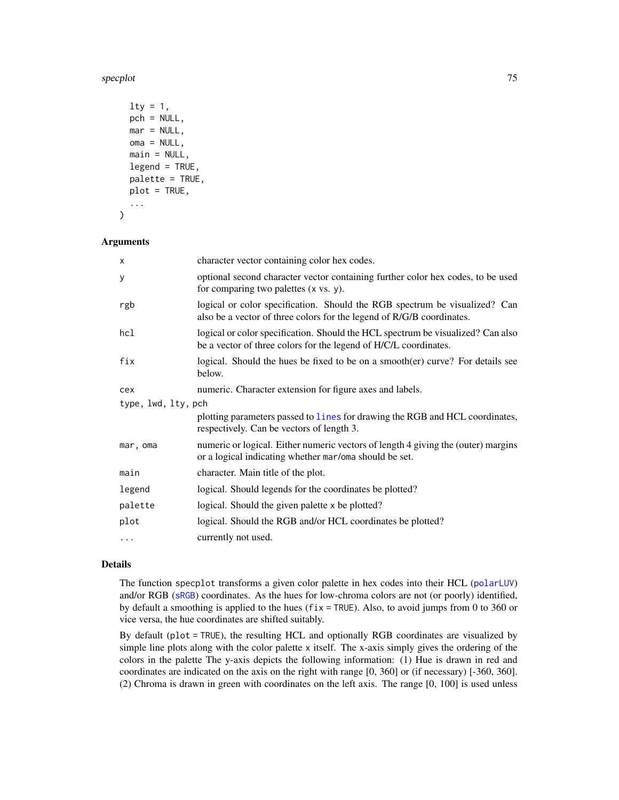<span id="page-74-0"></span>specplot 75

```
lty = 1,
pch = NULL,
mar = NULL,oma = NULL,main = NULL,
legend = TRUE,
palette = TRUE,
plot = TRUE,
...
```
#### Arguments

)

| X                   | character vector containing color hex codes.                                                                                                        |  |
|---------------------|-----------------------------------------------------------------------------------------------------------------------------------------------------|--|
| У                   | optional second character vector containing further color hex codes, to be used<br>for comparing two palettes (x vs. y).                            |  |
| rgb                 | logical or color specification. Should the RGB spectrum be visualized? Can<br>also be a vector of three colors for the legend of R/G/B coordinates. |  |
| hcl                 | logical or color specification. Should the HCL spectrum be visualized? Can also<br>be a vector of three colors for the legend of H/C/L coordinates. |  |
| fix                 | logical. Should the hues be fixed to be on a smooth (er) curve? For details see<br>below.                                                           |  |
| cex                 | numeric. Character extension for figure axes and labels.                                                                                            |  |
| type, lwd, lty, pch |                                                                                                                                                     |  |
|                     | plotting parameters passed to lines for drawing the RGB and HCL coordinates,<br>respectively. Can be vectors of length 3.                           |  |
| mar, oma            | numeric or logical. Either numeric vectors of length 4 giving the (outer) margins<br>or a logical indicating whether mar/oma should be set.         |  |
| main                | character. Main title of the plot.                                                                                                                  |  |
| legend              | logical. Should legends for the coordinates be plotted?                                                                                             |  |
| palette             | logical. Should the given palette x be plotted?                                                                                                     |  |
| plot                | logical. Should the RGB and/or HCL coordinates be plotted?                                                                                          |  |
| $\cdots$            | currently not used.                                                                                                                                 |  |

#### Details

The function specplot transforms a given color palette in hex codes into their HCL ([polarLUV](#page-38-0)) and/or RGB ([sRGB](#page-76-0)) coordinates. As the hues for low-chroma colors are not (or poorly) identified, by default a smoothing is applied to the hues ( $fix = TRUE$ ). Also, to avoid jumps from 0 to 360 or vice versa, the hue coordinates are shifted suitably.

By default (plot = TRUE), the resulting HCL and optionally RGB coordinates are visualized by simple line plots along with the color palette x itself. The x-axis simply gives the ordering of the colors in the palette The y-axis depicts the following information: (1) Hue is drawn in red and coordinates are indicated on the axis on the right with range [0, 360] or (if necessary) [-360, 360]. (2) Chroma is drawn in green with coordinates on the left axis. The range [0, 100] is used unless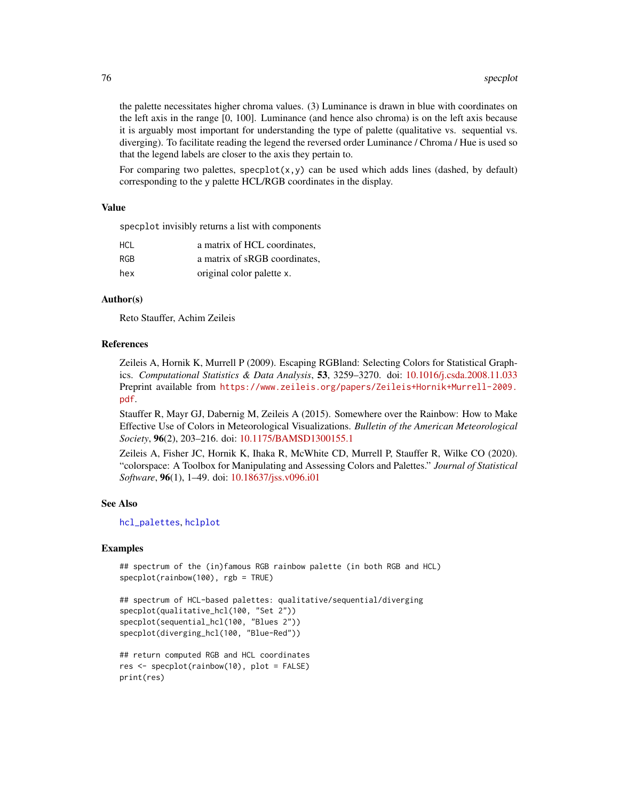the palette necessitates higher chroma values. (3) Luminance is drawn in blue with coordinates on the left axis in the range [0, 100]. Luminance (and hence also chroma) is on the left axis because it is arguably most important for understanding the type of palette (qualitative vs. sequential vs. diverging). To facilitate reading the legend the reversed order Luminance / Chroma / Hue is used so that the legend labels are closer to the axis they pertain to.

For comparing two palettes,  $specific(x,y)$  can be used which adds lines (dashed, by default) corresponding to the y palette HCL/RGB coordinates in the display.

#### Value

specplot invisibly returns a list with components

| HCL | a matrix of HCL coordinates,  |
|-----|-------------------------------|
| RGB | a matrix of sRGB coordinates, |
| hex | original color palette x.     |

## Author(s)

Reto Stauffer, Achim Zeileis

#### References

Zeileis A, Hornik K, Murrell P (2009). Escaping RGBland: Selecting Colors for Statistical Graphics. *Computational Statistics & Data Analysis*, 53, 3259–3270. doi: [10.1016/j.csda.2008.11.033](https://doi.org/10.1016/j.csda.2008.11.033) Preprint available from [https://www.zeileis.org/papers/Zeileis+Hornik+Murrell-2009.](https://www.zeileis.org/papers/Zeileis+Hornik+Murrell-2009.pdf) [pdf](https://www.zeileis.org/papers/Zeileis+Hornik+Murrell-2009.pdf).

Stauffer R, Mayr GJ, Dabernig M, Zeileis A (2015). Somewhere over the Rainbow: How to Make Effective Use of Colors in Meteorological Visualizations. *Bulletin of the American Meteorological Society*, 96(2), 203–216. doi: [10.1175/BAMSD1300155.1](https://doi.org/10.1175/BAMS-D-13-00155.1)

Zeileis A, Fisher JC, Hornik K, Ihaka R, McWhite CD, Murrell P, Stauffer R, Wilke CO (2020). "colorspace: A Toolbox for Manipulating and Assessing Colors and Palettes." *Journal of Statistical Software*, 96(1), 1–49. doi: [10.18637/jss.v096.i01](https://doi.org/10.18637/jss.v096.i01)

#### See Also

[hcl\\_palettes](#page-21-0), [hclplot](#page-17-0)

## Examples

```
## spectrum of the (in)famous RGB rainbow palette (in both RGB and HCL)
specplot(rainbow(100), rgb = TRUE)
```

```
## spectrum of HCL-based palettes: qualitative/sequential/diverging
specplot(qualitative_hcl(100, "Set 2"))
specplot(sequential_hcl(100, "Blues 2"))
specplot(diverging_hcl(100, "Blue-Red"))
```

```
## return computed RGB and HCL coordinates
res <- specplot(rainbow(10), plot = FALSE)
print(res)
```
<span id="page-75-0"></span>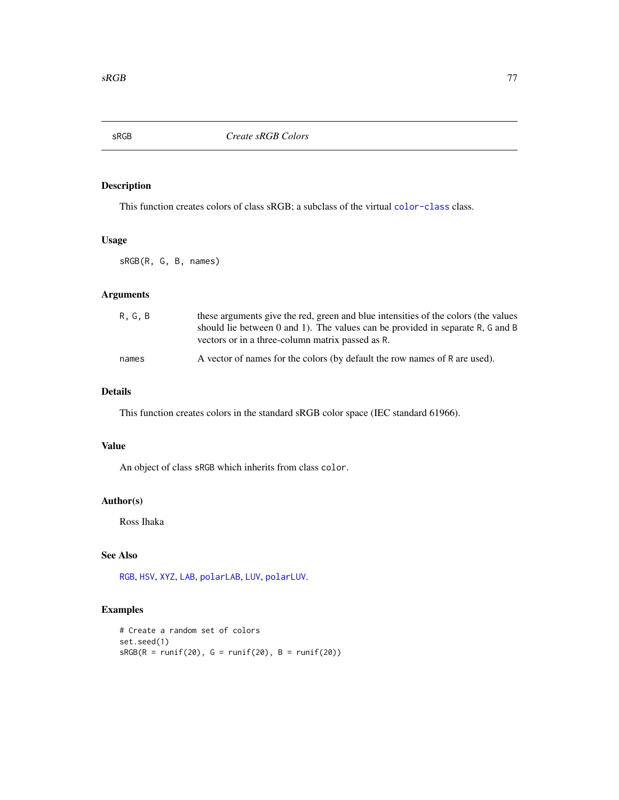<span id="page-76-1"></span><span id="page-76-0"></span>

This function creates colors of class sRGB; a subclass of the virtual [color-class](#page-6-0) class.

## Usage

sRGB(R, G, B, names)

## Arguments

| R.G.B | these arguments give the red, green and blue intensities of the colors (the values<br>should lie between 0 and 1). The values can be provided in separate R, G and B<br>vectors or in a three-column matrix passed as R. |
|-------|--------------------------------------------------------------------------------------------------------------------------------------------------------------------------------------------------------------------------|
| names | A vector of names for the colors (by default the row names of R are used).                                                                                                                                               |

## Details

This function creates colors in the standard sRGB color space (IEC standard 61966).

#### Value

An object of class sRGB which inherits from class color.

#### Author(s)

Ross Ihaka

## See Also

[RGB](#page-44-0), [HSV](#page-29-0), [XYZ](#page-81-0), [LAB](#page-30-0), [polarLAB](#page-37-0), [LUV](#page-34-0), [polarLUV](#page-38-0).

## Examples

```
# Create a random set of colors
set.seed(1)
sRGB(R = runif(20), G = runif(20), B = runif(20))
```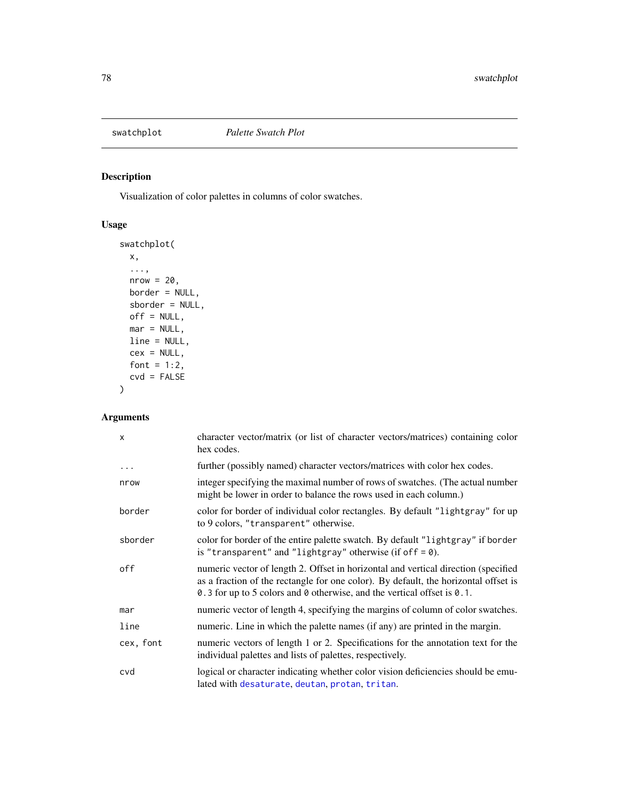<span id="page-77-0"></span>

Visualization of color palettes in columns of color swatches.

## Usage

```
swatchplot(
 x,
  ...,
 nrow = 20,
 border = NULL,
 sborder = NULL,
 off = NULL,mar = NULL,line = NULL,
 cex = NULL,font = 1:2,
  cvd = FALSE\mathcal{L}
```
## Arguments

| $\boldsymbol{\mathsf{x}}$ | character vector/matrix (or list of character vectors/matrices) containing color<br>hex codes.                                                                                                                                                          |
|---------------------------|---------------------------------------------------------------------------------------------------------------------------------------------------------------------------------------------------------------------------------------------------------|
| $\cdots$                  | further (possibly named) character vectors/matrices with color hex codes.                                                                                                                                                                               |
| nrow                      | integer specifying the maximal number of rows of swatches. (The actual number<br>might be lower in order to balance the rows used in each column.)                                                                                                      |
| border                    | color for border of individual color rectangles. By default "lightgray" for up<br>to 9 colors, "transparent" otherwise.                                                                                                                                 |
| sborder                   | color for border of the entire palette swatch. By default "lightgray" if border<br>is "transparent" and "lightgray" otherwise (if of $f = 0$ ).                                                                                                         |
| off                       | numeric vector of length 2. Offset in horizontal and vertical direction (specified<br>as a fraction of the rectangle for one color). By default, the horizontal offset is<br>0.3 for up to 5 colors and 0 otherwise, and the vertical offset is $0.1$ . |
| mar                       | numeric vector of length 4, specifying the margins of column of color swatches.                                                                                                                                                                         |
| line                      | numeric. Line in which the palette names (if any) are printed in the margin.                                                                                                                                                                            |
| cex, font                 | numeric vectors of length 1 or 2. Specifications for the annotation text for the<br>individual palettes and lists of palettes, respectively.                                                                                                            |
| cvd                       | logical or character indicating whether color vision deficiencies should be emu-<br>lated with desaturate, deutan, protan, tritan.                                                                                                                      |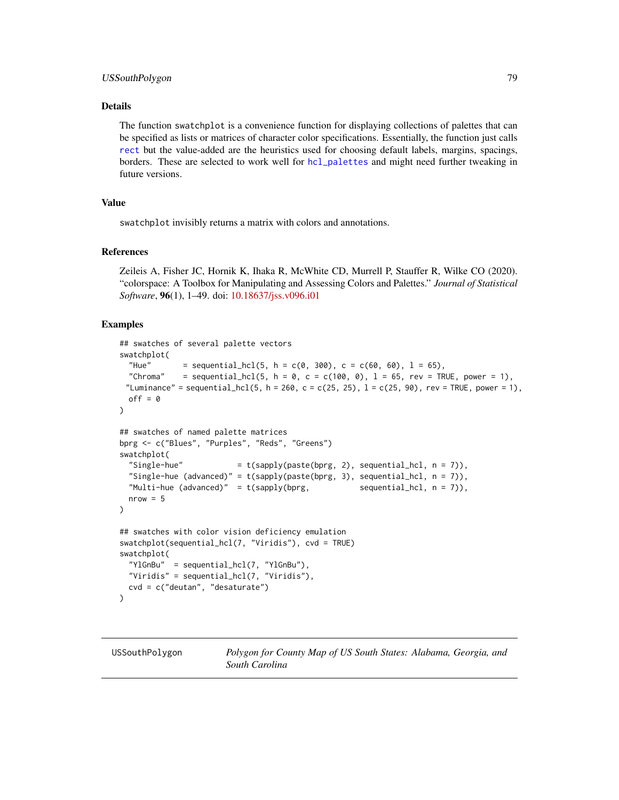#### <span id="page-78-0"></span>Details

The function swatchplot is a convenience function for displaying collections of palettes that can be specified as lists or matrices of character color specifications. Essentially, the function just calls [rect](#page-0-0) but the value-added are the heuristics used for choosing default labels, margins, spacings, borders. These are selected to work well for [hcl\\_palettes](#page-21-0) and might need further tweaking in future versions.

## Value

swatchplot invisibly returns a matrix with colors and annotations.

#### References

Zeileis A, Fisher JC, Hornik K, Ihaka R, McWhite CD, Murrell P, Stauffer R, Wilke CO (2020). "colorspace: A Toolbox for Manipulating and Assessing Colors and Palettes." *Journal of Statistical Software*, 96(1), 1–49. doi: [10.18637/jss.v096.i01](https://doi.org/10.18637/jss.v096.i01)

#### Examples

```
## swatches of several palette vectors
swatchplot(
 "Hue" = sequential_hcl(5, h = c(0, 300), c = c(60, 60), l = 65),
 "Chroma" = sequential_hcl(5, h = 0, c = c(100, 0), l = 65, rev = TRUE, power = 1),
 "Luminance" = sequential_hcl(5, h = 260, c = c(25, 25), l = c(25, 90), rev = TRUE, power = 1),
 off = 0)
## swatches of named palette matrices
bprg <- c("Blues", "Purples", "Reds", "Greens")
swatchplot(
 "Single-hue" = t(sapply(paste(bprg, 2), sequential_hcl, n = 7)),"Single-hue (advanced)" = t(sapply(paste(bprg, 3), sequential_hcl, n = 7)),
 "Multi-hue (advanced)" = t(sapply(bprg, sequential_hcl, n = 7)),
 nrow = 5)
## swatches with color vision deficiency emulation
swatchplot(sequential_hcl(7, "Viridis"), cvd = TRUE)
swatchplot(
 "YlGnBu" = sequential_hcl(7, "YlGnBu"),
 "Viridis" = sequential_hcl(7, "Viridis"),
 cvd = c("deutan", "desaturate")
)
```
USSouthPolygon *Polygon for County Map of US South States: Alabama, Georgia, and South Carolina*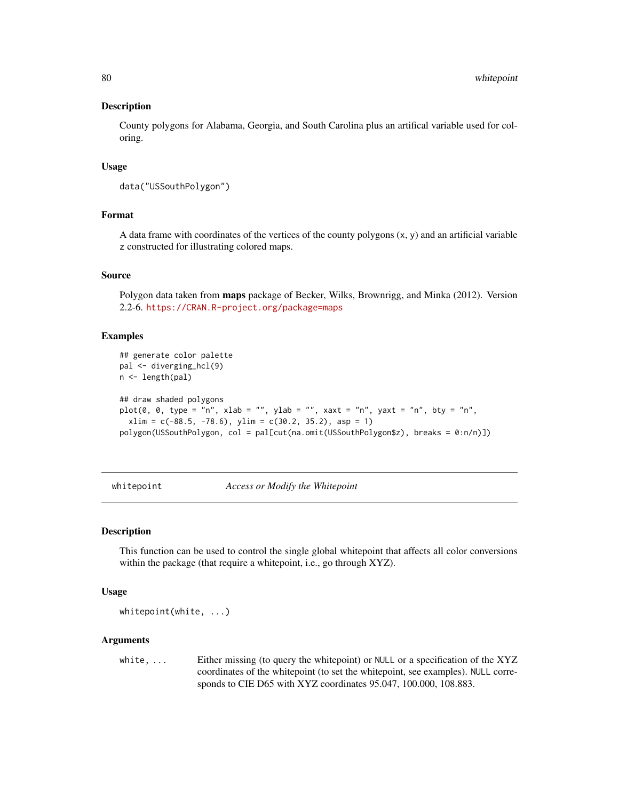<span id="page-79-0"></span>County polygons for Alabama, Georgia, and South Carolina plus an artifical variable used for coloring.

#### Usage

```
data("USSouthPolygon")
```
#### Format

A data frame with coordinates of the vertices of the county polygons  $(x, y)$  and an artificial variable z constructed for illustrating colored maps.

#### Source

Polygon data taken from maps package of Becker, Wilks, Brownrigg, and Minka (2012). Version 2.2-6. <https://CRAN.R-project.org/package=maps>

#### Examples

```
## generate color palette
pal <- diverging_hcl(9)
n <- length(pal)
## draw shaded polygons
plot(0, 0, type = "n", xlab = "", ylab = "", xaxt = "n", yaxt = "n", bty = "n",
  xlim = c(-88.5, -78.6), ylim = c(30.2, 35.2), asp = 1)polygon(USSouthPolygon, col = pal[cut(na.omit(USSouthPolygon$z), breaks = 0:n/n)])
```
whitepoint *Access or Modify the Whitepoint*

#### Description

This function can be used to control the single global whitepoint that affects all color conversions within the package (that require a whitepoint, i.e., go through XYZ).

#### Usage

whitepoint(white, ...)

#### Arguments

white, ... Either missing (to query the whitepoint) or NULL or a specification of the XYZ coordinates of the whitepoint (to set the whitepoint, see examples). NULL corresponds to CIE D65 with XYZ coordinates 95.047, 100.000, 108.883.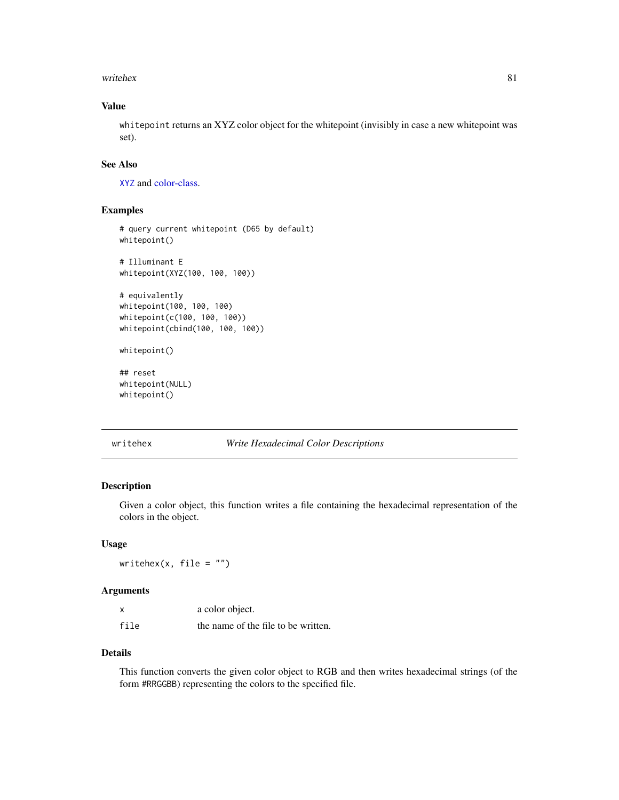#### <span id="page-80-0"></span>writehex 81

## Value

whitepoint returns an XYZ color object for the whitepoint (invisibly in case a new whitepoint was set).

## See Also

[XYZ](#page-81-0) and [color-class.](#page-6-0)

## Examples

```
# query current whitepoint (D65 by default)
whitepoint()
# Illuminant E
whitepoint(XYZ(100, 100, 100))
# equivalently
whitepoint(100, 100, 100)
whitepoint(c(100, 100, 100))
whitepoint(cbind(100, 100, 100))
whitepoint()
## reset
whitepoint(NULL)
whitepoint()
```
#### writehex *Write Hexadecimal Color Descriptions*

## Description

Given a color object, this function writes a file containing the hexadecimal representation of the colors in the object.

## Usage

writehex(x, file =  $"$ )

### Arguments

| x    | a color object.                     |
|------|-------------------------------------|
| file | the name of the file to be written. |

#### Details

This function converts the given color object to RGB and then writes hexadecimal strings (of the form #RRGGBB) representing the colors to the specified file.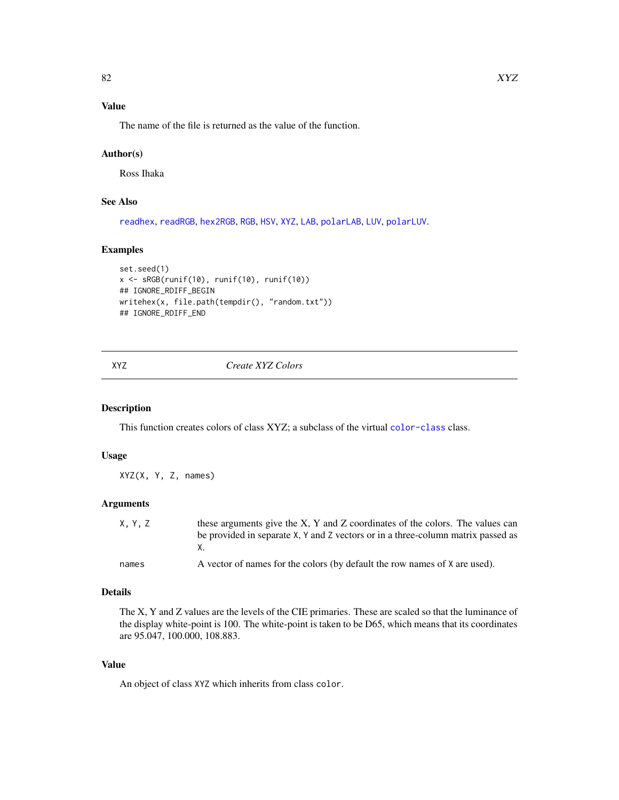## <span id="page-81-1"></span>Value

The name of the file is returned as the value of the function.

#### Author(s)

Ross Ihaka

## See Also

[readhex](#page-42-0), [readRGB](#page-43-0), [hex2RGB](#page-27-0), [RGB](#page-44-0), [HSV](#page-29-0), [XYZ](#page-81-0), [LAB](#page-30-0), [polarLAB](#page-37-0), [LUV](#page-34-0), [polarLUV](#page-38-0).

## Examples

```
set.seed(1)
x \leftarrow sRGB(runif(10), runif(10), runif(10))
## IGNORE_RDIFF_BEGIN
writehex(x, file.path(tempdir(), "random.txt"))
## IGNORE_RDIFF_END
```
<span id="page-81-0"></span>

#### XYZ *Create XYZ Colors*

#### Description

This function creates colors of class XYZ; a subclass of the virtual [color-class](#page-6-0) class.

## Usage

XYZ(X, Y, Z, names)

#### Arguments

| X.Y.Z | these arguments give the X, Y and Z coordinates of the colors. The values can    |
|-------|----------------------------------------------------------------------------------|
|       | be provided in separate X, Y and Z vectors or in a three-column matrix passed as |
|       |                                                                                  |
| names | A vector of names for the colors (by default the row names of X are used).       |

#### Details

The X, Y and Z values are the levels of the CIE primaries. These are scaled so that the luminance of the display white-point is 100. The white-point is taken to be D65, which means that its coordinates are 95.047, 100.000, 108.883.

#### Value

An object of class XYZ which inherits from class color.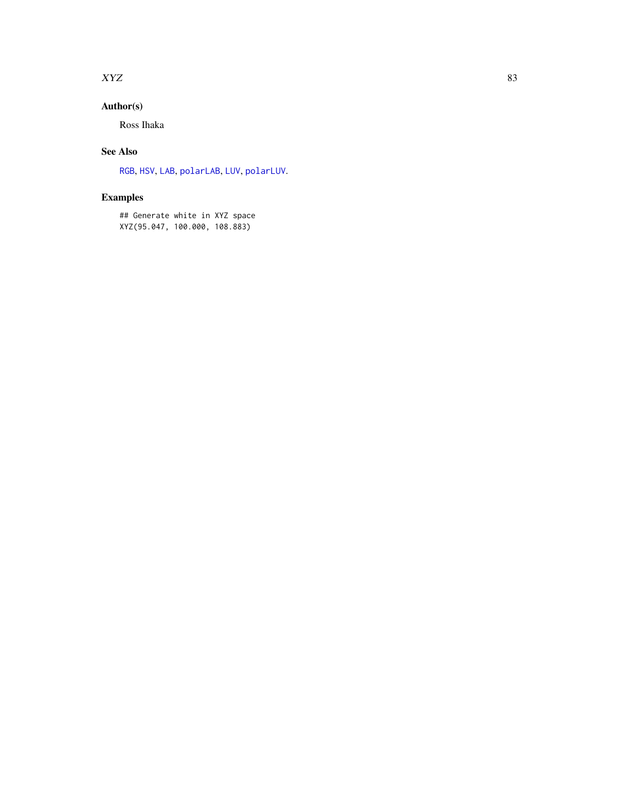#### <span id="page-82-0"></span> $XYZ$  83

## Author(s)

Ross Ihaka

## See Also

[RGB](#page-44-0), [HSV](#page-29-0), [LAB](#page-30-0), [polarLAB](#page-37-0), [LUV](#page-34-0), [polarLUV](#page-38-0).

## Examples

## Generate white in XYZ space XYZ(95.047, 100.000, 108.883)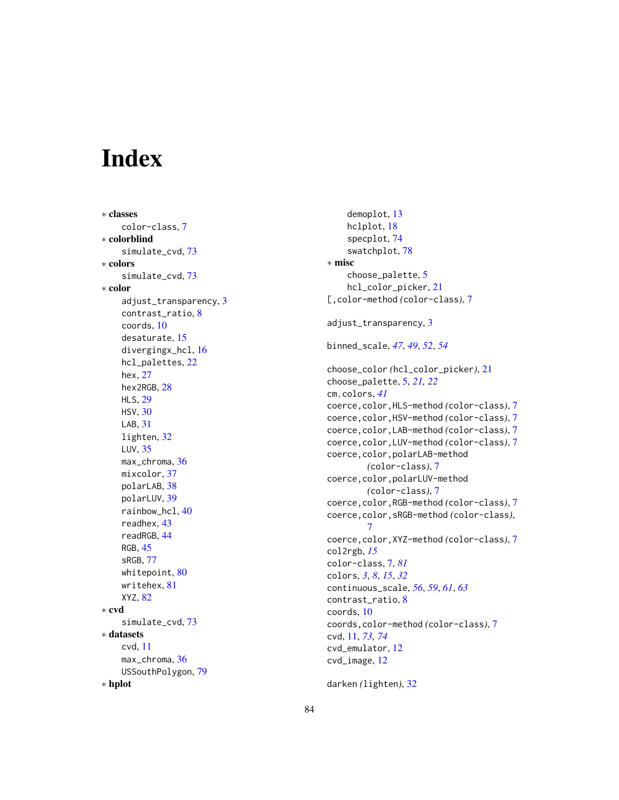# Index

```
∗ classes
    color-class
,
7
∗ colorblind
    simulate_cvd
, 73
∗ colors
    simulate_cvd
, 73
∗ color
    3
    contrast_ratio
,
8
    coords
, 10
    15
    divergingx_hcl
, 16
    hcl_palettes
, 22
    hex
, 27
    hex2RGB
, 28
    HLS
, 29
    HSV
, 30
    LAB
, 31
    lighten
, 32
    LUV
, 35
    36
    37
    polarLAB
, 38
    polarLUV
, 39
    rainbow_hcl
, 40
    readhex
, 43
    readRGB
, 44
    RGB
, 45
    sRGB
, 77
    80
    writehex
, 81
    XYZ
, 82
∗ cvd
    simulate_cvd
, 73
∗ datasets
    cvd
, 11
    36
    USSouthPolygon
, 79
∗ hplot
```
demoplot , [13](#page-12-0) hclplot , [18](#page-17-1) specplot , [74](#page-73-0) swatchplot , [78](#page-77-0) ∗ misc choose\_palette , [5](#page-4-0) hcl\_color\_picker , [21](#page-20-0) [,color-method *(*color-class *)* , [7](#page-6-1) adjust\_transparency , [3](#page-2-0) binned\_scale , *[47](#page-46-0)* , *[49](#page-48-0)* , *[52](#page-51-0)* , *[54](#page-53-0)* choose\_color *(*hcl\_color\_picker *)* , [21](#page-20-0) choose\_palette , [5](#page-4-0) , *[21](#page-20-0) , [22](#page-21-1)* cm.colors , *[41](#page-40-0)* coerce,color,HLS-method *(*color-class *)* , [7](#page-6-1) coerce,color,HSV-method *(*color-class *)* , [7](#page-6-1) coerce,color,LAB-method *(*color-class *)* , [7](#page-6-1) coerce,color,LUV-method *(*color-class *)* , [7](#page-6-1) coerce,color,polarLAB-method *(*color-class*)*, [7](#page-6-1) coerce,color,polarLUV-method *(*color-class*)*, [7](#page-6-1) coerce,color,RGB-method *(*color-class *)* , [7](#page-6-1) coerce,color,sRGB-method *(*color-class *)* , [7](#page-6-1) coerce,color,XYZ-method *(*color-class *)* , [7](#page-6-1) col2rgb , *[15](#page-14-1)* color-class , [7](#page-6-1) , *[81](#page-80-0)* colors , *[3](#page-2-0)* , *[8](#page-7-0)* , *[15](#page-14-1)* , *[32](#page-31-0)* continuous\_scale , *[56](#page-55-0)* , *[59](#page-58-0)* , *[61](#page-60-0)* , *[63](#page-62-0)* contrast\_ratio , [8](#page-7-0) coords , [10](#page-9-0) coords,color-method *(*color-class *)* , [7](#page-6-1) cvd , [11](#page-10-1) , *[73](#page-72-1) , [74](#page-73-0)* cvd\_emulator , [12](#page-11-0) cvd\_image , [12](#page-11-0)

darken *(*lighten *)* , [32](#page-31-0)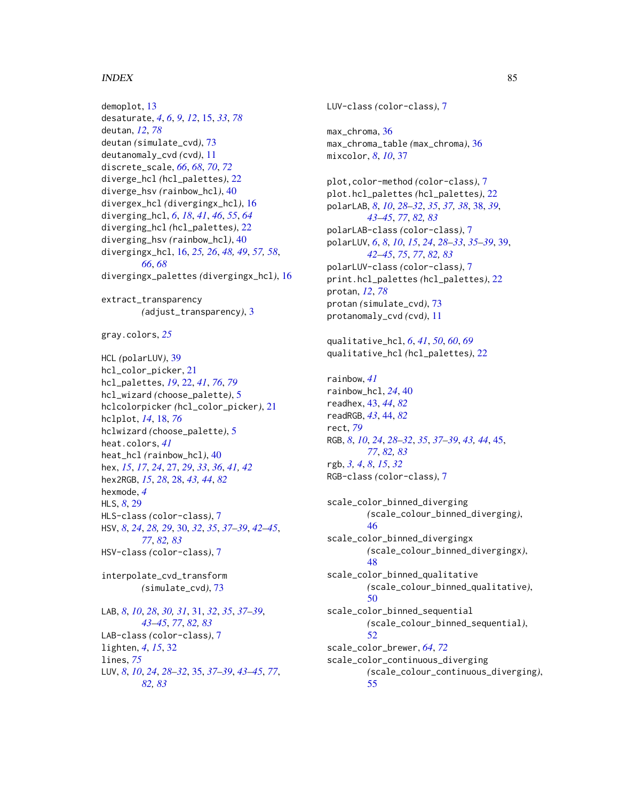#### $INDEX$  85

demoplot, [13](#page-12-0) desaturate, *[4](#page-3-0)*, *[6](#page-5-0)*, *[9](#page-8-0)*, *[12](#page-11-0)*, [15,](#page-14-1) *[33](#page-32-0)*, *[78](#page-77-0)* deutan, *[12](#page-11-0)*, *[78](#page-77-0)* deutan *(*simulate\_cvd*)*, [73](#page-72-1) deutanomaly\_cvd *(*cvd*)*, [11](#page-10-1) discrete\_scale, *[66](#page-65-0)*, *[68](#page-67-0)*, *[70](#page-69-0)*, *[72](#page-71-0)* diverge\_hcl *(*hcl\_palettes*)*, [22](#page-21-1) diverge\_hsv *(*rainbow\_hcl*)*, [40](#page-39-0) divergex\_hcl *(*divergingx\_hcl*)*, [16](#page-15-0) diverging\_hcl, *[6](#page-5-0)*, *[18](#page-17-1)*, *[41](#page-40-0)*, *[46](#page-45-0)*, *[55](#page-54-0)*, *[64](#page-63-0)* diverging\_hcl *(*hcl\_palettes*)*, [22](#page-21-1) diverging\_hsv *(*rainbow\_hcl*)*, [40](#page-39-0) divergingx\_hcl, [16,](#page-15-0) *[25,](#page-24-0) [26](#page-25-0)*, *[48,](#page-47-0) [49](#page-48-0)*, *[57,](#page-56-0) [58](#page-57-0)*, *[66](#page-65-0)*, *[68](#page-67-0)* divergingx\_palettes *(*divergingx\_hcl*)*, [16](#page-15-0) extract\_transparency *(*adjust\_transparency*)*, [3](#page-2-0) gray.colors, *[25](#page-24-0)* HCL *(*polarLUV*)*, [39](#page-38-1) hcl\_color\_picker, [21](#page-20-0) hcl\_palettes, *[19](#page-18-0)*, [22,](#page-21-1) *[41](#page-40-0)*, *[76](#page-75-0)*, *[79](#page-78-0)* hcl\_wizard *(*choose\_palette*)*, [5](#page-4-0) hclcolorpicker *(*hcl\_color\_picker*)*, [21](#page-20-0) hclplot, *[14](#page-13-0)*, [18,](#page-17-1) *[76](#page-75-0)* hclwizard *(*choose\_palette*)*, [5](#page-4-0) heat.colors, *[41](#page-40-0)* heat\_hcl *(*rainbow\_hcl*)*, [40](#page-39-0) hex, *[15](#page-14-1)*, *[17](#page-16-0)*, *[24](#page-23-0)*, [27,](#page-26-0) *[29](#page-28-0)*, *[33](#page-32-0)*, *[36](#page-35-0)*, *[41,](#page-40-0) [42](#page-41-0)* hex2RGB, *[15](#page-14-1)*, *[28](#page-27-1)*, [28,](#page-27-1) *[43,](#page-42-1) [44](#page-43-1)*, *[82](#page-81-1)* hexmode, *[4](#page-3-0)* HLS, *[8](#page-7-0)*, [29](#page-28-0) HLS-class *(*color-class*)*, [7](#page-6-1) HSV, *[8](#page-7-0)*, *[24](#page-23-0)*, *[28,](#page-27-1) [29](#page-28-0)*, [30,](#page-29-1) *[32](#page-31-0)*, *[35](#page-34-1)*, *[37–](#page-36-0)[39](#page-38-1)*, *[42–](#page-41-0)[45](#page-44-1)*, *[77](#page-76-1)*, *[82,](#page-81-1) [83](#page-82-0)* HSV-class *(*color-class*)*, [7](#page-6-1) interpolate\_cvd\_transform *(*simulate\_cvd*)*, [73](#page-72-1) LAB, *[8](#page-7-0)*, *[10](#page-9-0)*, *[28](#page-27-1)*, *[30,](#page-29-1) [31](#page-30-1)*, [31,](#page-30-1) *[32](#page-31-0)*, *[35](#page-34-1)*, *[37–](#page-36-0)[39](#page-38-1)*, *[43](#page-42-1)[–45](#page-44-1)*, *[77](#page-76-1)*, *[82,](#page-81-1) [83](#page-82-0)* LAB-class *(*color-class*)*, [7](#page-6-1) lighten, *[4](#page-3-0)*, *[15](#page-14-1)*, [32](#page-31-0) lines, *[75](#page-74-0)* LUV, *[8](#page-7-0)*, *[10](#page-9-0)*, *[24](#page-23-0)*, *[28](#page-27-1)[–32](#page-31-0)*, [35,](#page-34-1) *[37–](#page-36-0)[39](#page-38-1)*, *[43–](#page-42-1)[45](#page-44-1)*, *[77](#page-76-1)*,

```
82, 83
```
LUV-class *(*color-class*)*, [7](#page-6-1) max\_chroma, [36](#page-35-0) max\_chroma\_table *(*max\_chroma*)*, [36](#page-35-0) mixcolor, *[8](#page-7-0)*, *[10](#page-9-0)*, [37](#page-36-0) plot,color-method *(*color-class*)*, [7](#page-6-1) plot.hcl\_palettes *(*hcl\_palettes*)*, [22](#page-21-1) polarLAB, *[8](#page-7-0)*, *[10](#page-9-0)*, *[28](#page-27-1)[–32](#page-31-0)*, *[35](#page-34-1)*, *[37,](#page-36-0) [38](#page-37-1)*, [38,](#page-37-1) *[39](#page-38-1)*, *[43](#page-42-1)[–45](#page-44-1)*, *[77](#page-76-1)*, *[82,](#page-81-1) [83](#page-82-0)* polarLAB-class *(*color-class*)*, [7](#page-6-1) polarLUV, *[6](#page-5-0)*, *[8](#page-7-0)*, *[10](#page-9-0)*, *[15](#page-14-1)*, *[24](#page-23-0)*, *[28](#page-27-1)[–33](#page-32-0)*, *[35](#page-34-1)[–39](#page-38-1)*, [39,](#page-38-1) *[42](#page-41-0)[–45](#page-44-1)*, *[75](#page-74-0)*, *[77](#page-76-1)*, *[82,](#page-81-1) [83](#page-82-0)* polarLUV-class *(*color-class*)*, [7](#page-6-1) print.hcl\_palettes *(*hcl\_palettes*)*, [22](#page-21-1) protan, *[12](#page-11-0)*, *[78](#page-77-0)* protan *(*simulate\_cvd*)*, [73](#page-72-1) protanomaly\_cvd *(*cvd*)*, [11](#page-10-1) qualitative\_hcl, *[6](#page-5-0)*, *[41](#page-40-0)*, *[50](#page-49-0)*, *[60](#page-59-0)*, *[69](#page-68-0)* qualitative\_hcl *(*hcl\_palettes*)*, [22](#page-21-1) rainbow, *[41](#page-40-0)* rainbow\_hcl, *[24](#page-23-0)*, [40](#page-39-0) readhex, [43,](#page-42-1) *[44](#page-43-1)*, *[82](#page-81-1)* readRGB, *[43](#page-42-1)*, [44,](#page-43-1) *[82](#page-81-1)* rect, *[79](#page-78-0)* RGB, *[8](#page-7-0)*, *[10](#page-9-0)*, *[24](#page-23-0)*, *[28](#page-27-1)[–32](#page-31-0)*, *[35](#page-34-1)*, *[37](#page-36-0)[–39](#page-38-1)*, *[43,](#page-42-1) [44](#page-43-1)*, [45,](#page-44-1) *[77](#page-76-1)*, *[82,](#page-81-1) [83](#page-82-0)* rgb, *[3,](#page-2-0) [4](#page-3-0)*, *[8](#page-7-0)*, *[15](#page-14-1)*, *[32](#page-31-0)* RGB-class *(*color-class*)*, [7](#page-6-1) scale\_color\_binned\_diverging *(*scale\_colour\_binned\_diverging*)*, [46](#page-45-0) scale\_color\_binned\_divergingx *(*scale\_colour\_binned\_divergingx*)*, [48](#page-47-0) scale\_color\_binned\_qualitative *(*scale\_colour\_binned\_qualitative*)*, [50](#page-49-0) scale\_color\_binned\_sequential *(*scale\_colour\_binned\_sequential*)*,

scale\_color\_brewer, *[64](#page-63-0)*, *[72](#page-71-0)* scale\_color\_continuous\_diverging *(*scale\_colour\_continuous\_diverging*)*, [55](#page-54-0)

[52](#page-51-0)